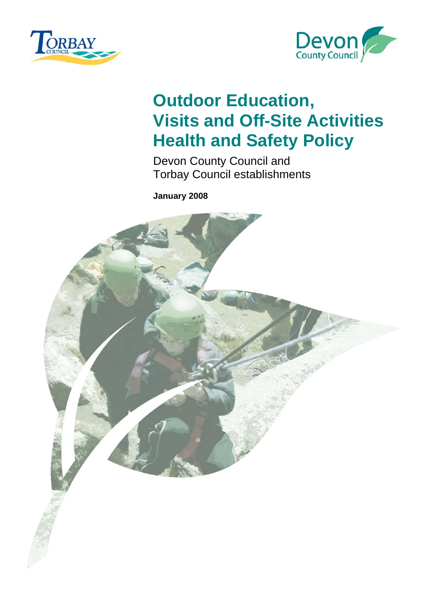<span id="page-0-0"></span>



## **Outdoor Education, Visits and Off-Site Activities Health and Safety Policy**

Devon County Council and Torbay Council establishments

**January 2008** 

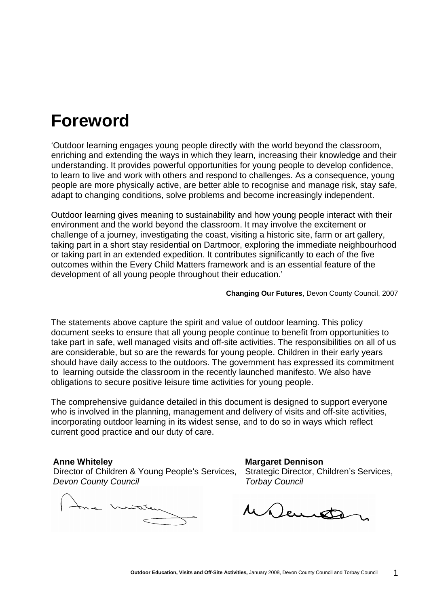## **Foreword**

'Outdoor learning engages young people directly with the world beyond the classroom, enriching and extending the ways in which they learn, increasing their knowledge and their understanding. It provides powerful opportunities for young people to develop confidence, to learn to live and work with others and respond to challenges. As a consequence, young people are more physically active, are better able to recognise and manage risk, stay safe, adapt to changing conditions, solve problems and become increasingly independent.

Outdoor learning gives meaning to sustainability and how young people interact with their environment and the world beyond the classroom. It may involve the excitement or challenge of a journey, investigating the coast, visiting a historic site, farm or art gallery, taking part in a short stay residential on Dartmoor, exploring the immediate neighbourhood or taking part in an extended expedition. It contributes significantly to each of the five outcomes within the Every Child Matters framework and is an essential feature of the development of all young people throughout their education.'

**Changing Our Futures**, Devon County Council, 2007

The statements above capture the spirit and value of outdoor learning. This policy document seeks to ensure that all young people continue to benefit from opportunities to take part in safe, well managed visits and off-site activities. The responsibilities on all of us are considerable, but so are the rewards for young people. Children in their early years should have daily access to the outdoors. The government has expressed its commitment to learning outside the classroom in the recently launched manifesto. We also have obligations to secure positive leisure time activities for young people.

The comprehensive guidance detailed in this document is designed to support everyone who is involved in the planning, management and delivery of visits and off-site activities, incorporating outdoor learning in its widest sense, and to do so in ways which reflect current good practice and our duty of care.

Director of Children & Young People's Services, Strategic Director, Children's Services, *Devon County Council* **Torbay Council Torbay Council** 

**Anne Whiteley Communist Communist Communist Communist Communist Communist Communist Communist Communist Communist Communist Communist Communist Communist Communist Communist Communist Communist Communist Communist Communi** 

Mauron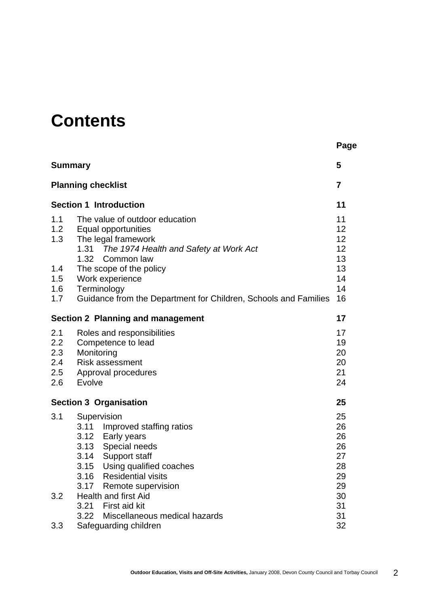## **Contents**

|                                                |                                                                                                                                                                                                                                                                                  | Page                                                     |  |  |
|------------------------------------------------|----------------------------------------------------------------------------------------------------------------------------------------------------------------------------------------------------------------------------------------------------------------------------------|----------------------------------------------------------|--|--|
| <b>Summary</b>                                 |                                                                                                                                                                                                                                                                                  | 5                                                        |  |  |
| <b>Planning checklist</b>                      |                                                                                                                                                                                                                                                                                  |                                                          |  |  |
| <b>Section 1 Introduction</b>                  |                                                                                                                                                                                                                                                                                  |                                                          |  |  |
| 1.1<br>1.2<br>1.3<br>1.4<br>1.5                | The value of outdoor education<br>Equal opportunities<br>The legal framework<br>1.31 The 1974 Health and Safety at Work Act<br>1.32<br>Common law<br>The scope of the policy<br>Work experience                                                                                  | 11<br>12<br>12<br>12<br>13<br>13<br>14                   |  |  |
| 1.6<br>1.7                                     | Terminology<br>Guidance from the Department for Children, Schools and Families                                                                                                                                                                                                   | 14<br>16                                                 |  |  |
| <b>Section 2 Planning and management</b><br>17 |                                                                                                                                                                                                                                                                                  |                                                          |  |  |
| 2.1<br>2.2<br>2.3<br>2.4<br>2.5<br>2.6         | Roles and responsibilities<br>Competence to lead<br>Monitoring<br><b>Risk assessment</b><br>Approval procedures<br>Evolve                                                                                                                                                        |                                                          |  |  |
| <b>Section 3 Organisation</b><br>25            |                                                                                                                                                                                                                                                                                  |                                                          |  |  |
| 3.1<br>3.2                                     | Supervision<br>3.11 Improved staffing ratios<br>3.12 Early years<br>Special needs<br>3.13<br>Support staff<br>3.14<br>Using qualified coaches<br>3.15<br>3.16<br><b>Residential visits</b><br>3.17<br>Remote supervision<br><b>Health and first Aid</b><br>3.21<br>First aid kit | 25<br>26<br>26<br>26<br>27<br>28<br>29<br>29<br>30<br>31 |  |  |
| 3.3                                            | Miscellaneous medical hazards<br>3.22<br>Safeguarding children                                                                                                                                                                                                                   | 31<br>32                                                 |  |  |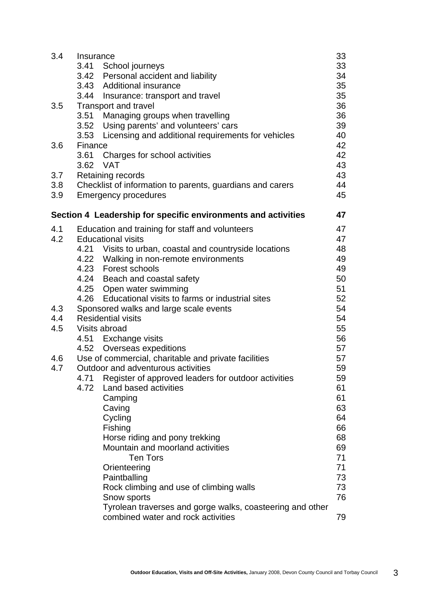| 3.4 | Insurance                                                     | 33 |
|-----|---------------------------------------------------------------|----|
|     | 3.41 School journeys                                          | 33 |
|     | 3.42 Personal accident and liability                          | 34 |
|     | 3.43 Additional insurance                                     | 35 |
|     | 3.44 Insurance: transport and travel                          | 35 |
| 3.5 | <b>Transport and travel</b>                                   | 36 |
|     | 3.51 Managing groups when travelling                          | 36 |
|     | 3.52 Using parents' and volunteers' cars                      | 39 |
|     | 3.53 Licensing and additional requirements for vehicles       | 40 |
| 3.6 | Finance                                                       | 42 |
|     | 3.61 Charges for school activities                            | 42 |
|     | 3.62 VAT                                                      | 43 |
| 3.7 | Retaining records                                             | 43 |
| 3.8 | Checklist of information to parents, guardians and carers     | 44 |
| 3.9 | <b>Emergency procedures</b>                                   | 45 |
|     | Section 4 Leadership for specific environments and activities | 47 |
| 4.1 | Education and training for staff and volunteers               | 47 |
| 4.2 | <b>Educational visits</b>                                     | 47 |
|     | 4.21 Visits to urban, coastal and countryside locations       | 48 |
|     | 4.22 Walking in non-remote environments                       | 49 |
|     | 4.23 Forest schools                                           | 49 |
|     | 4.24 Beach and coastal safety                                 | 50 |
|     | 4.25 Open water swimming                                      | 51 |
|     | 4.26 Educational visits to farms or industrial sites          | 52 |
| 4.3 | Sponsored walks and large scale events                        | 54 |
| 4.4 | <b>Residential visits</b>                                     | 54 |
| 4.5 | Visits abroad                                                 | 55 |
|     | 4.51 Exchange visits                                          | 56 |
|     | 4.52 Overseas expeditions                                     | 57 |
| 4.6 | Use of commercial, charitable and private facilities          | 57 |
| 4.7 | Outdoor and adventurous activities                            | 59 |
|     | 4.71<br>Register of approved leaders for outdoor activities   | 59 |
|     | Land based activities<br>4.72                                 | 61 |
|     | Camping                                                       | 61 |
|     | Caving                                                        | 63 |
|     | Cycling                                                       | 64 |
|     | Fishing                                                       | 66 |
|     | Horse riding and pony trekking                                | 68 |
|     | Mountain and moorland activities                              | 69 |
|     | <b>Ten Tors</b>                                               | 71 |
|     | Orienteering                                                  | 71 |
|     | Paintballing                                                  | 73 |
|     | Rock climbing and use of climbing walls                       | 73 |
|     | Snow sports                                                   | 76 |
|     | Tyrolean traverses and gorge walks, coasteering and other     |    |
|     | combined water and rock activities                            | 79 |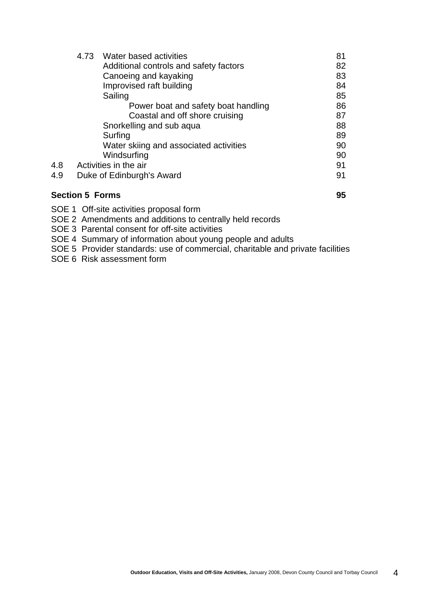|     | 4.73 | Water based activities                 | 81 |
|-----|------|----------------------------------------|----|
|     |      | Additional controls and safety factors | 82 |
|     |      | Canoeing and kayaking                  | 83 |
|     |      | Improvised raft building               | 84 |
|     |      | Sailing                                | 85 |
|     |      | Power boat and safety boat handling    | 86 |
|     |      | Coastal and off shore cruising         | 87 |
|     |      | Snorkelling and sub aqua               | 88 |
|     |      | Surfing                                | 89 |
|     |      | Water skiing and associated activities | 90 |
|     |      | Windsurfing                            | 90 |
| 4.8 |      | Activities in the air                  | 91 |
| 4.9 |      | Duke of Edinburgh's Award              | 91 |
|     |      |                                        |    |

#### **Section 5 Forms 95**

- SOE 1 Off-site activities proposal form
- SOE 2 Amendments and additions to centrally held records
- SOE 3 Parental consent for off-site activities

SOE 4 Summary of information about young people and adults

SOE 5 Provider standards: use of commercial, charitable and private facilities

SOE 6 Risk assessment form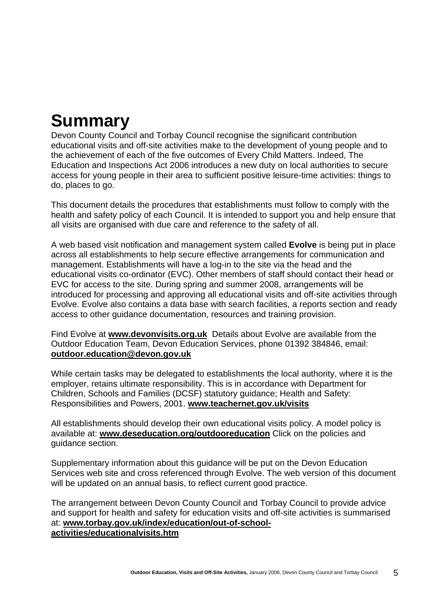# **Summary**

Devon County Council and Torbay Council recognise the significant contribution educational visits and off-site activities make to the development of young people and to the achievement of each of the five outcomes of Every Child Matters. Indeed, The Education and Inspections Act 2006 introduces a new duty on local authorities to secure access for young people in their area to sufficient positive leisure-time activities: things to do, places to go.

This document details the procedures that establishments must follow to comply with the health and safety policy of each Council. It is intended to support you and help ensure that all visits are organised with due care and reference to the safety of all.

A web based visit notification and management system called **Evolve** is being put in place across all establishments to help secure effective arrangements for communication and management. Establishments will have a log-in to the site via the head and the educational visits co-ordinator (EVC). Other members of staff should contact their head or EVC for access to the site. During spring and summer 2008, arrangements will be introduced for processing and approving all educational visits and off-site activities through Evolve. Evolve also contains a data base with search facilities, a reports section and ready access to other guidance documentation, resources and training provision.

Find Evolve at **[www.devonvisits.org.uk](http://www.devonvisits.org.uk/)** Details about Evolve are available from the Outdoor Education Team, Devon Education Services, phone 01392 384846, email: **[outdoor.education@devon.gov.uk](mailto:outdoor.education@devon.gov.uk)**

While certain tasks may be delegated to establishments the local authority, where it is the employer, retains ultimate responsibility. This is in accordance with Department for Children, Schools and Families (DCSF) statutory guidance; Health and Safety: Responsibilities and Powers, 2001. **[www.teachernet.gov.uk/visits](http://www.teachernet.gov.uk/visits)** 

All establishments should develop their own educational visits policy. A model policy is available at: **[www.deseducation.org/outdooreducation](http://www.deseducation.org/outdooreducation)** Click on the policies and guidance section.

Supplementary information about this guidance will be put on the Devon Education Services web site and cross referenced through Evolve. The web version of this document will be updated on an annual basis, to reflect current good practice.

The arrangement between Devon County Council and Torbay Council to provide advice and support for health and safety for education visits and off-site activities is summarised at: **[www.torbay.gov.uk/index/education/out-of-school](http://www.torbay.gov.uk/index/education/out-of-school-activities/educationalvisits.htm)[activities/educationalvisits.htm](http://www.torbay.gov.uk/index/education/out-of-school-activities/educationalvisits.htm)**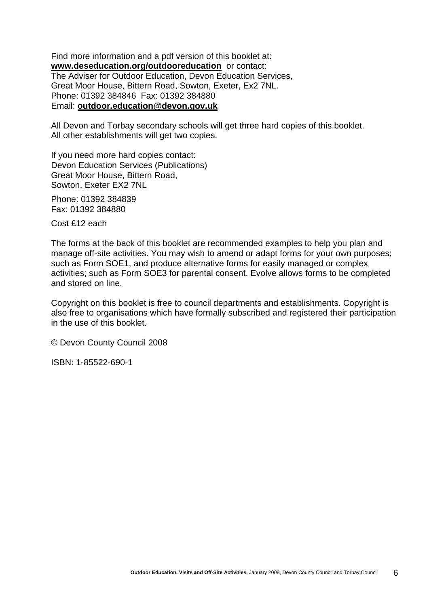Find more information and a pdf version of this booklet at: **[www.deseducation.org/outdooreducation](http://www.deseducation.org/outdooreducation)** or contact: The Adviser for Outdoor Education, Devon Education Services, Great Moor House, Bittern Road, Sowton, Exeter, Ex2 7NL. Phone: 01392 384846 Fax: 01392 384880 Email: **[outdoor.education@devon.gov.uk](mailto:bryan.smith@devon.gov.uk)**

All Devon and Torbay secondary schools will get three hard copies of this booklet. All other establishments will get two copies.

If you need more hard copies contact: Devon Education Services (Publications) Great Moor House, Bittern Road, Sowton, Exeter EX2 7NL

Phone: 01392 384839 Fax: 01392 384880

Cost £12 each

The forms at the back of this booklet are recommended examples to help you plan and manage off-site activities. You may wish to amend or adapt forms for your own purposes; such as Form SOE1, and produce alternative forms for easily managed or complex activities; such as Form SOE3 for parental consent. Evolve allows forms to be completed and stored on line.

Copyright on this booklet is free to council departments and establishments. Copyright is also free to organisations which have formally subscribed and registered their participation in the use of this booklet.

© Devon County Council 2008

ISBN: 1-85522-690-1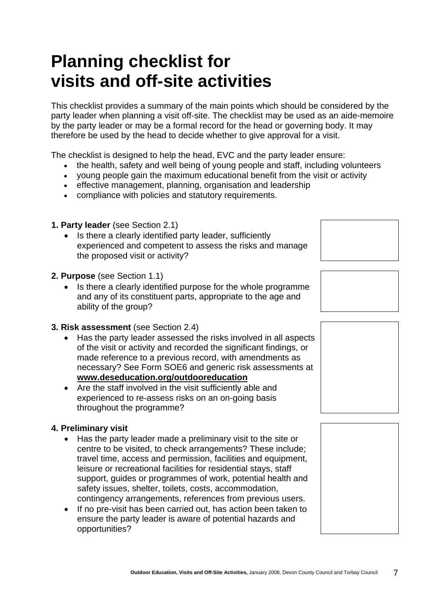## **Planning checklist for visits and off-site activities**

This checklist provides a summary of the main points which should be considered by the party leader when planning a visit off-site. The checklist may be used as an aide-memoire by the party leader or may be a formal record for the head or governing body. It may therefore be used by the head to decide whether to give approval for a visit.

The checklist is designed to help the head, EVC and the party leader ensure:

- the health, safety and well being of young people and staff, including volunteers
- young people gain the maximum educational benefit from the visit or activity
- effective management, planning, organisation and leadership
- compliance with policies and statutory requirements.
- **1. Party leader** (see Section 2.1)
	- Is there a clearly identified party leader, sufficiently experienced and competent to assess the risks and manage the proposed visit or activity?
- **2. Purpose** (see Section 1.1)
	- Is there a clearly identified purpose for the whole programme and any of its constituent parts, appropriate to the age and ability of the group?
- **3. Risk assessment** (see Section 2.4)
	- Has the party leader assessed the risks involved in all aspects of the visit or activity and recorded the significant findings, or made reference to a previous record, with amendments as necessary? See Form SOE6 and generic risk assessments at **[www.deseducation.org/outdooreducation](http://www.deseducation.org/outdooreducation)**
	- Are the staff involved in the visit sufficiently able and experienced to re-assess risks on an on-going basis throughout the programme?

### **4. Preliminary visit**

- Has the party leader made a preliminary visit to the site or centre to be visited, to check arrangements? These include; travel time, access and permission, facilities and equipment, leisure or recreational facilities for residential stays, staff support, guides or programmes of work, potential health and safety issues, shelter, toilets, costs, accommodation, contingency arrangements, references from previous users.
- If no pre-visit has been carried out, has action been taken to ensure the party leader is aware of potential hazards and opportunities?





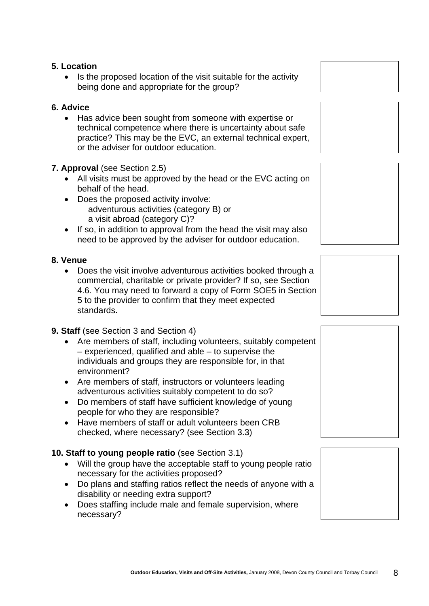#### **5. Location**

• Is the proposed location of the visit suitable for the activity being done and appropriate for the group?

#### **6. Advice**

• Has advice been sought from someone with expertise or technical competence where there is uncertainty about safe practice? This may be the EVC, an external technical expert, or the adviser for outdoor education.

#### **7. Approval** (see Section 2.5)

- All visits must be approved by the head or the EVC acting on behalf of the head.
- Does the proposed activity involve: adventurous activities (category B) or a visit abroad (category C)?
- If so, in addition to approval from the head the visit may also need to be approved by the adviser for outdoor education.

#### **8. Venue**

• Does the visit involve adventurous activities booked through a commercial, charitable or private provider? If so, see Section 4.6. You may need to forward a copy of Form SOE5 in Section 5 to the provider to confirm that they meet expected standards.

### **9. Staff** (see Section 3 and Section 4)

- Are members of staff, including volunteers, suitably competent – experienced, qualified and able – to supervise the individuals and groups they are responsible for, in that environment?
- Are members of staff, instructors or volunteers leading adventurous activities suitably competent to do so?
- Do members of staff have sufficient knowledge of young people for who they are responsible?
- Have members of staff or adult volunteers been CRB checked, where necessary? (see Section 3.3)

### **10. Staff to young people ratio** (see Section 3.1)

- Will the group have the acceptable staff to young people ratio necessary for the activities proposed?
- Do plans and staffing ratios reflect the needs of anyone with a disability or needing extra support?
- Does staffing include male and female supervision, where necessary?









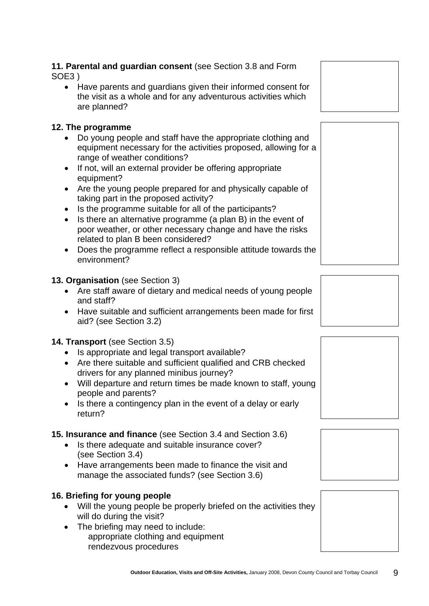#### **11. Parental and guardian consent** (see Section 3.8 and Form SOE3 )

• Have parents and guardians given their informed consent for the visit as a whole and for any adventurous activities which are planned?

### **12. The programme**

- Do young people and staff have the appropriate clothing and equipment necessary for the activities proposed, allowing for a range of weather conditions?
- If not, will an external provider be offering appropriate equipment?
- Are the young people prepared for and physically capable of taking part in the proposed activity?
- Is the programme suitable for all of the participants?
- Is there an alternative programme (a plan B) in the event of poor weather, or other necessary change and have the risks related to plan B been considered?
- Does the programme reflect a responsible attitude towards the environment?

### **13. Organisation** (see Section 3)

- Are staff aware of dietary and medical needs of young people and staff?
- Have suitable and sufficient arrangements been made for first aid? (see Section 3.2)

### **14. Transport** (see Section 3.5)

- Is appropriate and legal transport available?
- Are there suitable and sufficient qualified and CRB checked drivers for any planned minibus journey?
- Will departure and return times be made known to staff, young people and parents?
- Is there a contingency plan in the event of a delay or early return?

### **15. Insurance and finance** (see Section 3.4 and Section 3.6)

- Is there adequate and suitable insurance cover? (see Section 3.4)
- Have arrangements been made to finance the visit and manage the associated funds? (see Section 3.6)

### **16. Briefing for young people**

- Will the young people be properly briefed on the activities they will do during the visit?
- The briefing may need to include: appropriate clothing and equipment rendezvous procedures







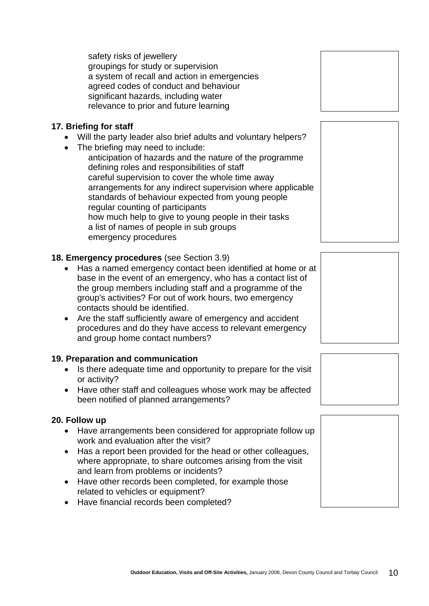safety risks of jewellery groupings for study or supervision a system of recall and action in emergencies agreed codes of conduct and behaviour significant hazards, including water relevance to prior and future learning

### **17. Briefing for staff**

- Will the party leader also brief adults and voluntary helpers?
- The briefing may need to include:

anticipation of hazards and the nature of the programme defining roles and responsibilities of staff careful supervision to cover the whole time away arrangements for any indirect supervision where applicable standards of behaviour expected from young people regular counting of participants how much help to give to young people in their tasks a list of names of people in sub groups emergency procedures

### **18. Emergency procedures** (see Section 3.9)

- Has a named emergency contact been identified at home or at base in the event of an emergency, who has a contact list of the group members including staff and a programme of the group's activities? For out of work hours, two emergency contacts should be identified.
- Are the staff sufficiently aware of emergency and accident procedures and do they have access to relevant emergency and group home contact numbers?

### **19. Preparation and communication**

- Is there adequate time and opportunity to prepare for the visit or activity?
- Have other staff and colleagues whose work may be affected been notified of planned arrangements?

### **20. Follow up**

- Have arrangements been considered for appropriate follow up work and evaluation after the visit?
- Has a report been provided for the head or other colleagues, where appropriate, to share outcomes arising from the visit and learn from problems or incidents?
- Have other records been completed, for example those related to vehicles or equipment?
- Have financial records been completed?









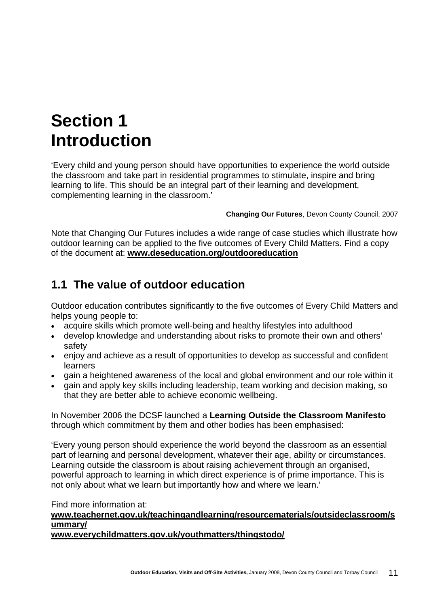## **Section 1 Introduction**

'Every child and young person should have opportunities to experience the world outside the classroom and take part in residential programmes to stimulate, inspire and bring learning to life. This should be an integral part of their learning and development, complementing learning in the classroom.'

**Changing Our Futures**, Devon County Council, 2007

Note that Changing Our Futures includes a wide range of case studies which illustrate how outdoor learning can be applied to the five outcomes of Every Child Matters. Find a copy of the document at: **[www.deseducation.org/outdooreducation](http://www.deseducation.org/outdooreducation)**

### **1.1 The value of outdoor education**

Outdoor education contributes significantly to the five outcomes of Every Child Matters and helps young people to:

- acquire skills which promote well-being and healthy lifestyles into adulthood
- develop knowledge and understanding about risks to promote their own and others' safety
- enjoy and achieve as a result of opportunities to develop as successful and confident learners
- gain a heightened awareness of the local and global environment and our role within it
- gain and apply key skills including leadership, team working and decision making, so that they are better able to achieve economic wellbeing.

In November 2006 the DCSF launched a **Learning Outside the Classroom Manifesto** through which commitment by them and other bodies has been emphasised:

'Every young person should experience the world beyond the classroom as an essential part of learning and personal development, whatever their age, ability or circumstances. Learning outside the classroom is about raising achievement through an organised, powerful approach to learning in which direct experience is of prime importance. This is not only about what we learn but importantly how and where we learn.'

Find more information at:

### **[www.teachernet.gov.uk/teachingandlearning/resourcematerials/outsideclassroom/s](http://www.teachernet.gov.uk/teachingandlearning/resourcematerials/outsideclassroom/summary/) [ummary/](http://www.teachernet.gov.uk/teachingandlearning/resourcematerials/outsideclassroom/summary/)**

**[www.everychildmatters.gov.uk/youthmatters/thingstodo/](http://www.everychildmatters.gov.uk/youthmatters/thingstodo/)**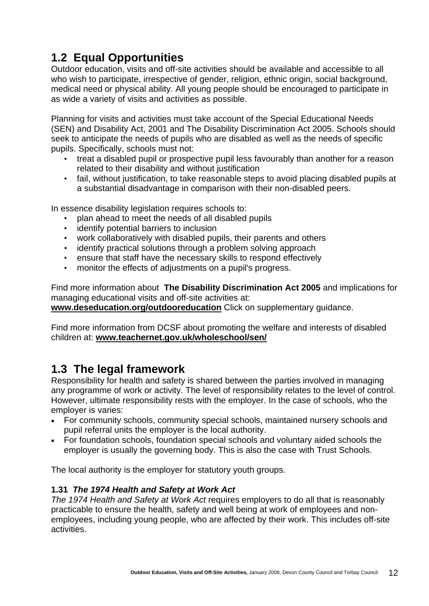## **1.2 Equal Opportunities**

Outdoor education, visits and off-site activities should be available and accessible to all who wish to participate, irrespective of gender, religion, ethnic origin, social background, medical need or physical ability. All young people should be encouraged to participate in as wide a variety of visits and activities as possible.

Planning for visits and activities must take account of the Special Educational Needs (SEN) and Disability Act, 2001 and The Disability Discrimination Act 2005. Schools should seek to anticipate the needs of pupils who are disabled as well as the needs of specific pupils. Specifically, schools must not:

- treat a disabled pupil or prospective pupil less favourably than another for a reason related to their disability and without justification
- fail, without justification, to take reasonable steps to avoid placing disabled pupils at a substantial disadvantage in comparison with their non-disabled peers.

In essence disability legislation requires schools to:

- plan ahead to meet the needs of all disabled pupils
- identify potential barriers to inclusion
- work collaboratively with disabled pupils, their parents and others
- identify practical solutions through a problem solving approach
- ensure that staff have the necessary skills to respond effectively
- monitor the effects of adjustments on a pupil's progress.

Find more information about **The Disability Discrimination Act 2005** and implications for managing educational visits and off-site activities at:

**[www.deseducation.org/outdooreducation](http://www.deseducation.org/outdooreducation)** Click on supplementary guidance.

Find more information from DCSF about promoting the welfare and interests of disabled children at: **[www.teachernet.gov.uk/wholeschool/sen/](http://www.teachernet.gov.uk/wholeschool/sen/)**

### **1.3 The legal framework**

Responsibility for health and safety is shared between the parties involved in managing any programme of work or activity. The level of responsibility relates to the level of control. However, ultimate responsibility rests with the employer. In the case of schools, who the employer is varies:

- For community schools, community special schools, maintained nursery schools and pupil referral units the employer is the local authority.
- For foundation schools, foundation special schools and voluntary aided schools the employer is usually the governing body. This is also the case with Trust Schools.

The local authority is the employer for statutory youth groups.

### **1.31** *The 1974 Health and Safety at Work Act*

*The 1974 Health and Safety at Work Act* requires employers to do all that is reasonably practicable to ensure the health, safety and well being at work of employees and nonemployees, including young people, who are affected by their work. This includes off-site activities.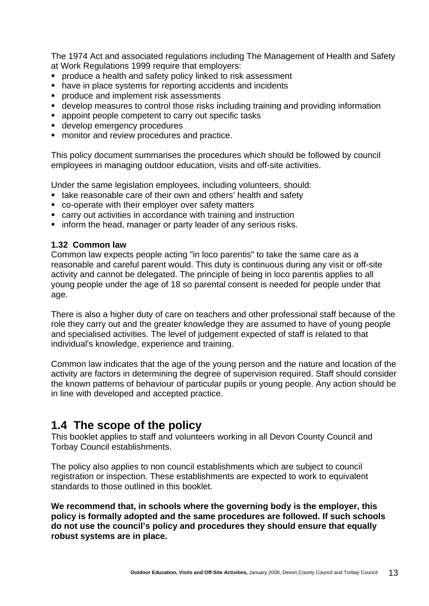The 1974 Act and associated regulations including The Management of Health and Safety at Work Regulations 1999 require that employers:

- **PEDROGOCIAL PRODUCE a health and safety policy linked to risk assessment**
- have in place systems for reporting accidents and incidents
- **PEDROGUCE And implement risk assessments**
- develop measures to control those risks including training and providing information
- appoint people competent to carry out specific tasks
- **develop emergency procedures**
- **number** monitor and review procedures and practice.

This policy document summarises the procedures which should be followed by council employees in managing outdoor education, visits and off-site activities.

Under the same legislation employees, including volunteers, should:

- take reasonable care of their own and others' health and safety
- co-operate with their employer over safety matters
- carry out activities in accordance with training and instruction
- **F** inform the head, manager or party leader of any serious risks.

#### **1.32 Common law**

Common law expects people acting "in loco parentis" to take the same care as a reasonable and careful parent would. This duty is continuous during any visit or off-site activity and cannot be delegated. The principle of being in loco parentis applies to all young people under the age of 18 so parental consent is needed for people under that age.

There is also a higher duty of care on teachers and other professional staff because of the role they carry out and the greater knowledge they are assumed to have of young people and specialised activities. The level of judgement expected of staff is related to that individual's knowledge, experience and training.

Common law indicates that the age of the young person and the nature and location of the activity are factors in determining the degree of supervision required. Staff should consider the known patterns of behaviour of particular pupils or young people. Any action should be in line with developed and accepted practice.

### **1.4 The scope of the policy**

This booklet applies to staff and volunteers working in all Devon County Council and Torbay Council establishments.

The policy also applies to non council establishments which are subject to council registration or inspection. These establishments are expected to work to equivalent standards to those outlined in this booklet.

**We recommend that, in schools where the governing body is the employer, this policy is formally adopted and the same procedures are followed. If such schools do not use the council's policy and procedures they should ensure that equally robust systems are in place.**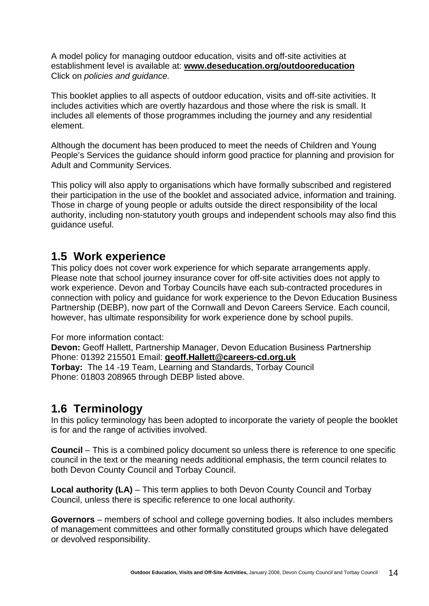A model policy for managing outdoor education, visits and off-site activities at establishment level is available at: **[www.deseducation.org/outdooreducation](http://www.deseducation.org/outdooreducation)** Click on *policies and guidance.*

This booklet applies to all aspects of outdoor education, visits and off-site activities. It includes activities which are overtly hazardous and those where the risk is small. It includes all elements of those programmes including the journey and any residential element.

Although the document has been produced to meet the needs of Children and Young People's Services the guidance should inform good practice for planning and provision for Adult and Community Services.

This policy will also apply to organisations which have formally subscribed and registered their participation in the use of the booklet and associated advice, information and training. Those in charge of young people or adults outside the direct responsibility of the local authority, including non-statutory youth groups and independent schools may also find this guidance useful.

### **1.5 Work experience**

This policy does not cover work experience for which separate arrangements apply. Please note that school journey insurance cover for off-site activities does not apply to work experience. Devon and Torbay Councils have each sub-contracted procedures in connection with policy and guidance for work experience to the Devon Education Business Partnership (DEBP), now part of the Cornwall and Devon Careers Service. Each council, however, has ultimate responsibility for work experience done by school pupils.

For more information contact:

**Devon:** Geoff Hallett, Partnership Manager, Devon Education Business Partnership Phone: 01392 215501 Email: **[geoff.Hallett@careers-cd.org.uk](mailto:geoff.Hallett@careers-cd.org.uk) Torbay:** The 14 -19 Team, Learning and Standards, Torbay Council Phone: 01803 208965 through DEBP listed above.

### **1.6 Terminology**

In this policy terminology has been adopted to incorporate the variety of people the booklet is for and the range of activities involved.

**Council** – This is a combined policy document so unless there is reference to one specific council in the text or the meaning needs additional emphasis, the term council relates to both Devon County Council and Torbay Council.

**Local authority (LA)** – This term applies to both Devon County Council and Torbay Council, unless there is specific reference to one local authority.

**Governors** – members of school and college governing bodies. It also includes members of management committees and other formally constituted groups which have delegated or devolved responsibility.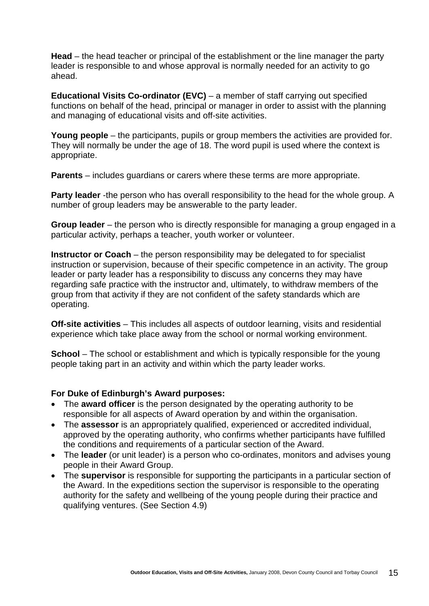**Head** – the head teacher or principal of the establishment or the line manager the party leader is responsible to and whose approval is normally needed for an activity to go ahead.

**Educational Visits Co-ordinator (EVC)** – a member of staff carrying out specified functions on behalf of the head, principal or manager in order to assist with the planning and managing of educational visits and off-site activities.

**Young people** – the participants, pupils or group members the activities are provided for. They will normally be under the age of 18. The word pupil is used where the context is appropriate.

**Parents** – includes guardians or carers where these terms are more appropriate.

**Party leader** -the person who has overall responsibility to the head for the whole group. A number of group leaders may be answerable to the party leader.

**Group leader** – the person who is directly responsible for managing a group engaged in a particular activity, perhaps a teacher, youth worker or volunteer.

**Instructor or Coach** – the person responsibility may be delegated to for specialist instruction or supervision, because of their specific competence in an activity. The group leader or party leader has a responsibility to discuss any concerns they may have regarding safe practice with the instructor and, ultimately, to withdraw members of the group from that activity if they are not confident of the safety standards which are operating.

**Off-site activities** – This includes all aspects of outdoor learning, visits and residential experience which take place away from the school or normal working environment.

**School** – The school or establishment and which is typically responsible for the young people taking part in an activity and within which the party leader works.

### **For Duke of Edinburgh's Award purposes:**

- The **award officer** is the person designated by the [operating authority](#page-0-0) to be responsible for all aspects of Award operation by and within the organisation.
- The **assessor** is an appropriately qualified, experienced or accredited individual, approved by the [operating authority,](#page-0-0) who confirms whether participants have fulfilled the conditions and requirements of a particular [section](#page-0-0) of the Award.
- The **leader** (or unit leader) is a person who co-ordinates, monitors and advises young people in their Award [Group](#page-0-0).
- The **supervisor** is responsible for supporting the participants in a particular [section](#page-0-0) of the Award. In the [expeditions](#page-0-0) section the supervisor is responsible to the operating authority for the safety and wellbeing of the young people during their practice and qualifying ventures. (See Section 4.9)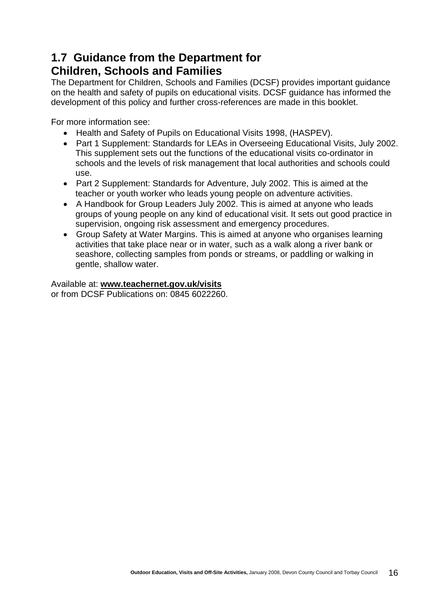### **1.7 Guidance from the Department for Children, Schools and Families**

The Department for Children, Schools and Families (DCSF) provides important guidance on the health and safety of pupils on educational visits. DCSF guidance has informed the development of this policy and further cross-references are made in this booklet.

For more information see:

- Health and Safety of Pupils on Educational Visits 1998, (HASPEV).
- Part 1 Supplement: Standards for LEAs in Overseeing Educational Visits, July 2002. This supplement sets out the functions of the educational visits co-ordinator in schools and the levels of risk management that local authorities and schools could use.
- Part 2 Supplement: Standards for Adventure, July 2002. This is aimed at the teacher or youth worker who leads young people on adventure activities.
- A Handbook for Group Leaders July 2002. This is aimed at anyone who leads groups of young people on any kind of educational visit. It sets out good practice in supervision, ongoing risk assessment and emergency procedures.
- Group Safety at Water Margins. This is aimed at anyone who organises learning activities that take place near or in water, such as a walk along a river bank or seashore, collecting samples from ponds or streams, or paddling or walking in gentle, shallow water.

Available at: **[www.teachernet.gov.uk/visits](http://www.teachernet.gov.uk/visits)** or from DCSF Publications on: 0845 6022260.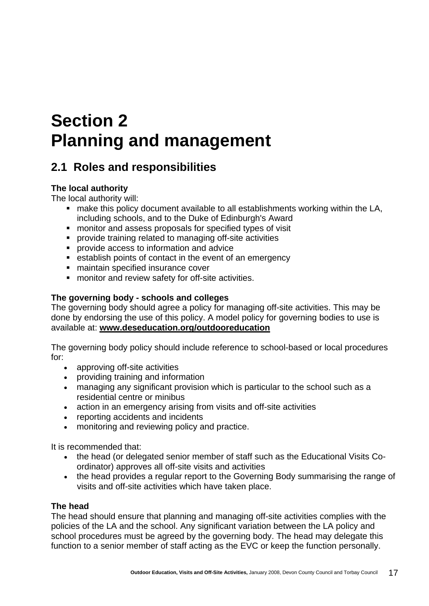# **Section 2 Planning and management**

### **2.1 Roles and responsibilities**

### **The local authority**

The local authority will:

- make this policy document available to all establishments working within the LA, including schools, and to the Duke of Edinburgh's Award
- monitor and assess proposals for specified types of visit
- provide training related to managing off-site activities
- **•** provide access to information and advice
- establish points of contact in the event of an emergency
- maintain specified insurance cover
- **EXECT** monitor and review safety for off-site activities.

### **The governing body - schools and colleges**

The governing body should agree a policy for managing off-site activities. This may be done by endorsing the use of this policy. A model policy for governing bodies to use is available at: **[www.deseducation.org/outdooreducation](http://www.deseducation.org/outdooreducation)**

The governing body policy should include reference to school-based or local procedures for:

- approving off-site activities
- providing training and information
- managing any significant provision which is particular to the school such as a residential centre or minibus
- action in an emergency arising from visits and off-site activities
- reporting accidents and incidents
- monitoring and reviewing policy and practice.

It is recommended that:

- the head (or delegated senior member of staff such as the Educational Visits Coordinator) approves all off-site visits and activities
- the head provides a regular report to the Governing Body summarising the range of visits and off-site activities which have taken place.

### **The head**

The head should ensure that planning and managing off-site activities complies with the policies of the LA and the school. Any significant variation between the LA policy and school procedures must be agreed by the governing body. The head may delegate this function to a senior member of staff acting as the EVC or keep the function personally.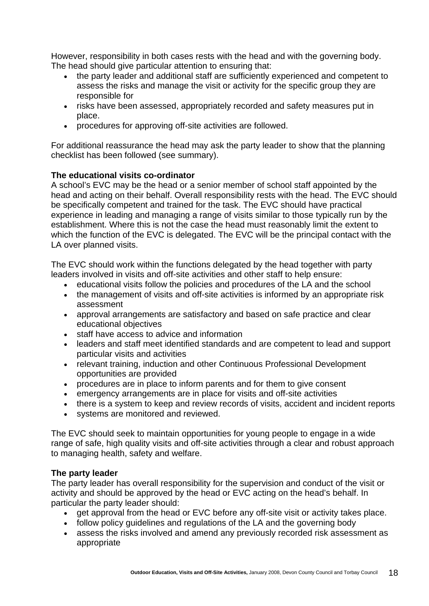However, responsibility in both cases rests with the head and with the governing body. The head should give particular attention to ensuring that:

- the party leader and additional staff are sufficiently experienced and competent to assess the risks and manage the visit or activity for the specific group they are responsible for
- risks have been assessed, appropriately recorded and safety measures put in place.
- procedures for approving off-site activities are followed.

For additional reassurance the head may ask the party leader to show that the planning checklist has been followed (see summary).

### **The educational visits co-ordinator**

A school's EVC may be the head or a senior member of school staff appointed by the head and acting on their behalf. Overall responsibility rests with the head. The EVC should be specifically competent and trained for the task. The EVC should have practical experience in leading and managing a range of visits similar to those typically run by the establishment. Where this is not the case the head must reasonably limit the extent to which the function of the EVC is delegated. The EVC will be the principal contact with the LA over planned visits.

The EVC should work within the functions delegated by the head together with party leaders involved in visits and off-site activities and other staff to help ensure:

- educational visits follow the policies and procedures of the LA and the school
- the management of visits and off-site activities is informed by an appropriate risk assessment
- approval arrangements are satisfactory and based on safe practice and clear educational objectives
- staff have access to advice and information
- leaders and staff meet identified standards and are competent to lead and support particular visits and activities
- relevant training, induction and other Continuous Professional Development opportunities are provided
- procedures are in place to inform parents and for them to give consent
- emergency arrangements are in place for visits and off-site activities
- there is a system to keep and review records of visits, accident and incident reports
- systems are monitored and reviewed.

The EVC should seek to maintain opportunities for young people to engage in a wide range of safe, high quality visits and off-site activities through a clear and robust approach to managing health, safety and welfare.

### **The party leader**

The party leader has overall responsibility for the supervision and conduct of the visit or activity and should be approved by the head or EVC acting on the head's behalf. In particular the party leader should:

- get approval from the head or EVC before any off-site visit or activity takes place.
- follow policy guidelines and regulations of the LA and the governing body
- assess the risks involved and amend any previously recorded risk assessment as appropriate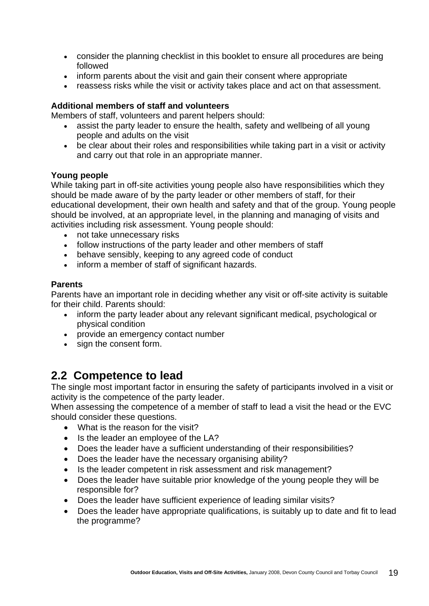- consider the planning checklist in this booklet to ensure all procedures are being followed
- inform parents about the visit and gain their consent where appropriate
- reassess risks while the visit or activity takes place and act on that assessment.

### **Additional members of staff and volunteers**

Members of staff, volunteers and parent helpers should:

- assist the party leader to ensure the health, safety and wellbeing of all young people and adults on the visit
- be clear about their roles and responsibilities while taking part in a visit or activity and carry out that role in an appropriate manner.

### **Young people**

While taking part in off-site activities young people also have responsibilities which they should be made aware of by the party leader or other members of staff, for their educational development, their own health and safety and that of the group. Young people should be involved, at an appropriate level, in the planning and managing of visits and activities including risk assessment. Young people should:

- not take unnecessary risks
- follow instructions of the party leader and other members of staff
- behave sensibly, keeping to any agreed code of conduct
- inform a member of staff of significant hazards.

### **Parents**

Parents have an important role in deciding whether any visit or off-site activity is suitable for their child. Parents should:

- inform the party leader about any relevant significant medical, psychological or physical condition
- provide an emergency contact number
- sign the consent form.

### **2.2 Competence to lead**

The single most important factor in ensuring the safety of participants involved in a visit or activity is the competence of the party leader.

When assessing the competence of a member of staff to lead a visit the head or the EVC should consider these questions.

- What is the reason for the visit?
- Is the leader an employee of the LA?
- Does the leader have a sufficient understanding of their responsibilities?
- Does the leader have the necessary organising ability?
- Is the leader competent in risk assessment and risk management?
- Does the leader have suitable prior knowledge of the young people they will be responsible for?
- Does the leader have sufficient experience of leading similar visits?
- Does the leader have appropriate qualifications, is suitably up to date and fit to lead the programme?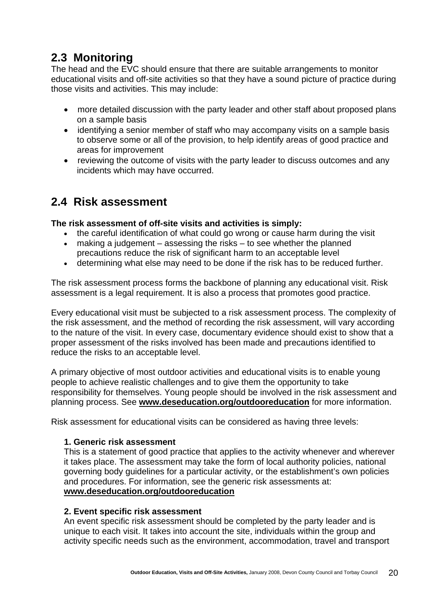### **2.3 Monitoring**

The head and the EVC should ensure that there are suitable arrangements to monitor educational visits and off-site activities so that they have a sound picture of practice during those visits and activities. This may include:

- more detailed discussion with the party leader and other staff about proposed plans on a sample basis
- identifying a senior member of staff who may accompany visits on a sample basis to observe some or all of the provision, to help identify areas of good practice and areas for improvement
- reviewing the outcome of visits with the party leader to discuss outcomes and any incidents which may have occurred.

### **2.4 Risk assessment**

### **The risk assessment of off-site visits and activities is simply:**

- the careful identification of what could go wrong or cause harm during the visit
- making a judgement assessing the risks to see whether the planned precautions reduce the risk of significant harm to an acceptable level
- determining what else may need to be done if the risk has to be reduced further.

The risk assessment process forms the backbone of planning any educational visit. Risk assessment is a legal requirement. It is also a process that promotes good practice.

Every educational visit must be subjected to a risk assessment process. The complexity of the risk assessment, and the method of recording the risk assessment, will vary according to the nature of the visit. In every case, documentary evidence should exist to show that a proper assessment of the risks involved has been made and precautions identified to reduce the risks to an acceptable level.

A primary objective of most outdoor activities and educational visits is to enable young people to achieve realistic challenges and to give them the opportunity to take responsibility for themselves. Young people should be involved in the risk assessment and planning process. See **[www.deseducation.org/outdooreducation](http://www.deseducation.org/outdooreducation)** for more information.

Risk assessment for educational visits can be considered as having three levels:

### **1. Generic risk assessment**

This is a statement of good practice that applies to the activity whenever and wherever it takes place. The assessment may take the form of local authority policies, national governing body guidelines for a particular activity, or the establishment's own policies and procedures. For information, see the generic risk assessments at: **[www.deseducation.org/outdooreducation](http://www.deseducation.org/outdooreducation)**

### **2. Event specific risk assessment**

An event specific risk assessment should be completed by the party leader and is unique to each visit. It takes into account the site, individuals within the group and activity specific needs such as the environment, accommodation, travel and transport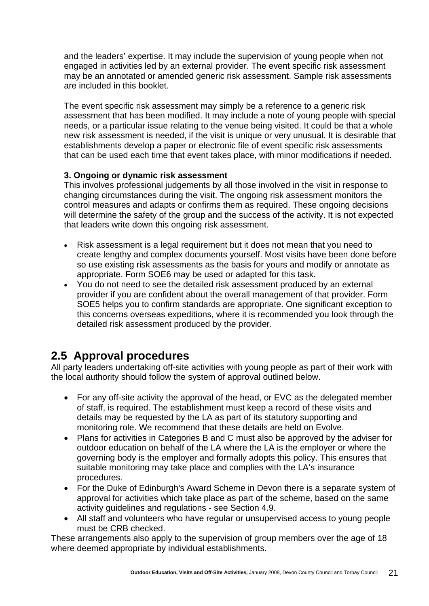and the leaders' expertise. It may include the supervision of young people when not engaged in activities led by an external provider. The event specific risk assessment may be an annotated or amended generic risk assessment. Sample risk assessments are included in this booklet.

The event specific risk assessment may simply be a reference to a generic risk assessment that has been modified. It may include a note of young people with special needs, or a particular issue relating to the venue being visited. It could be that a whole new risk assessment is needed, if the visit is unique or very unusual. It is desirable that establishments develop a paper or electronic file of event specific risk assessments that can be used each time that event takes place, with minor modifications if needed.

### **3. Ongoing or dynamic risk assessment**

This involves professional judgements by all those involved in the visit in response to changing circumstances during the visit. The ongoing risk assessment monitors the control measures and adapts or confirms them as required. These ongoing decisions will determine the safety of the group and the success of the activity. It is not expected that leaders write down this ongoing risk assessment.

- Risk assessment is a legal requirement but it does not mean that you need to create lengthy and complex documents yourself. Most visits have been done before so use existing risk assessments as the basis for yours and modify or annotate as appropriate. Form SOE6 may be used or adapted for this task.
- You do not need to see the detailed risk assessment produced by an external provider if you are confident about the overall management of that provider. Form SOE5 helps you to confirm standards are appropriate. One significant exception to this concerns overseas expeditions, where it is recommended you look through the detailed risk assessment produced by the provider.

### **2.5 Approval procedures**

All party leaders undertaking off-site activities with young people as part of their work with the local authority should follow the system of approval outlined below.

- For any off-site activity the approval of the head, or EVC as the delegated member of staff, is required. The establishment must keep a record of these visits and details may be requested by the LA as part of its statutory supporting and monitoring role. We recommend that these details are held on Evolve.
- Plans for activities in Categories B and C must also be approved by the adviser for outdoor education on behalf of the LA where the LA is the employer or where the governing body is the employer and formally adopts this policy. This ensures that suitable monitoring may take place and complies with the LA's insurance procedures.
- For the Duke of Edinburgh's Award Scheme in Devon there is a separate system of approval for activities which take place as part of the scheme, based on the same activity guidelines and regulations - see Section 4.9.
- All staff and volunteers who have regular or unsupervised access to young people must be CRB checked.

These arrangements also apply to the supervision of group members over the age of 18 where deemed appropriate by individual establishments.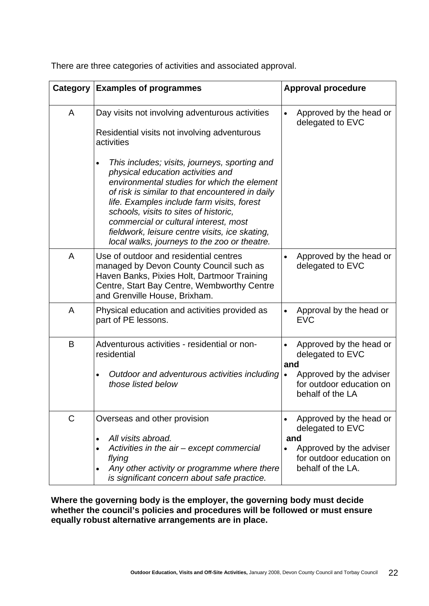| Category    | <b>Examples of programmes</b>                                                                                                                                                                                                                                                                                                                                                                                                       | <b>Approval procedure</b>                                                                  |
|-------------|-------------------------------------------------------------------------------------------------------------------------------------------------------------------------------------------------------------------------------------------------------------------------------------------------------------------------------------------------------------------------------------------------------------------------------------|--------------------------------------------------------------------------------------------|
|             |                                                                                                                                                                                                                                                                                                                                                                                                                                     |                                                                                            |
| A           | Day visits not involving adventurous activities<br>Residential visits not involving adventurous<br>activities                                                                                                                                                                                                                                                                                                                       | Approved by the head or<br>delegated to EVC                                                |
|             | This includes; visits, journeys, sporting and<br>$\bullet$<br>physical education activities and<br>environmental studies for which the element<br>of risk is similar to that encountered in daily<br>life. Examples include farm visits, forest<br>schools, visits to sites of historic,<br>commercial or cultural interest, most<br>fieldwork, leisure centre visits, ice skating,<br>local walks, journeys to the zoo or theatre. |                                                                                            |
| A           | Use of outdoor and residential centres<br>managed by Devon County Council such as<br>Haven Banks, Pixies Holt, Dartmoor Training<br>Centre, Start Bay Centre, Wembworthy Centre<br>and Grenville House, Brixham.                                                                                                                                                                                                                    | Approved by the head or<br>$\bullet$<br>delegated to EVC                                   |
| A           | Physical education and activities provided as<br>part of PE lessons.                                                                                                                                                                                                                                                                                                                                                                | Approval by the head or<br><b>EVC</b>                                                      |
| B           | Adventurous activities - residential or non-<br>residential<br>Outdoor and adventurous activities including                                                                                                                                                                                                                                                                                                                         | Approved by the head or<br>delegated to EVC<br>and<br>Approved by the adviser<br>$\bullet$ |
|             | those listed below                                                                                                                                                                                                                                                                                                                                                                                                                  | for outdoor education on<br>behalf of the LA                                               |
| $\mathsf C$ | Overseas and other provision<br>All visits abroad.<br>$\bullet$                                                                                                                                                                                                                                                                                                                                                                     | Approved by the head or<br>delegated to EVC<br>and                                         |
|             | Activities in the air – except commercial<br>flying<br>Any other activity or programme where there<br>$\bullet$<br>is significant concern about safe practice.                                                                                                                                                                                                                                                                      | Approved by the adviser<br>for outdoor education on<br>behalf of the LA.                   |

There are three categories of activities and associated approval.

**Where the governing body is the employer, the governing body must decide**  whether the council's policies and procedures will be followed or must ensure **equally robust alternative arrangements are in place.**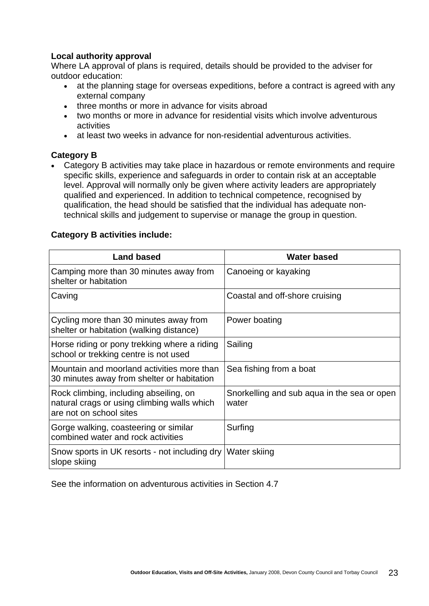### **Local authority approval**

Where LA approval of plans is required, details should be provided to the adviser for outdoor education:

- at the planning stage for overseas expeditions, before a contract is agreed with any external company
- three months or more in advance for visits abroad
- two months or more in advance for residential visits which involve adventurous activities
- at least two weeks in advance for non-residential adventurous activities.

### **Category B**

• Category B activities may take place in hazardous or remote environments and require specific skills, experience and safeguards in order to contain risk at an acceptable level. Approval will normally only be given where activity leaders are appropriately qualified and experienced. In addition to technical competence, recognised by qualification, the head should be satisfied that the individual has adequate nontechnical skills and judgement to supervise or manage the group in question.

### **Category B activities include:**

| <b>Land based</b>                                                                                                | <b>Water based</b>                                   |
|------------------------------------------------------------------------------------------------------------------|------------------------------------------------------|
| Camping more than 30 minutes away from<br>shelter or habitation                                                  | Canoeing or kayaking                                 |
| Caving                                                                                                           | Coastal and off-shore cruising                       |
| Cycling more than 30 minutes away from<br>shelter or habitation (walking distance)                               | Power boating                                        |
| Horse riding or pony trekking where a riding<br>school or trekking centre is not used                            | Sailing                                              |
| Mountain and moorland activities more than<br>30 minutes away from shelter or habitation                         | Sea fishing from a boat                              |
| Rock climbing, including abseiling, on<br>natural crags or using climbing walls which<br>are not on school sites | Snorkelling and sub aqua in the sea or open<br>water |
| Gorge walking, coasteering or similar<br>combined water and rock activities                                      | Surfing                                              |
| Snow sports in UK resorts - not including dry Water skiing<br>slope skiing                                       |                                                      |

See the information on adventurous activities in Section 4.7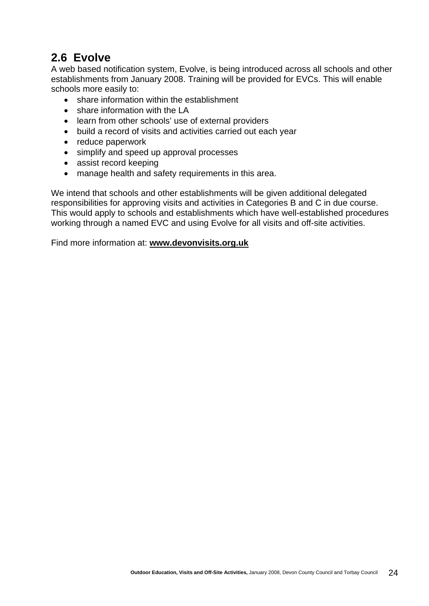### **2.6 Evolve**

A web based notification system, Evolve, is being introduced across all schools and other establishments from January 2008. Training will be provided for EVCs. This will enable schools more easily to:

- share information within the establishment
- share information with the LA
- learn from other schools' use of external providers
- build a record of visits and activities carried out each year
- reduce paperwork
- simplify and speed up approval processes
- assist record keeping
- manage health and safety requirements in this area.

We intend that schools and other establishments will be given additional delegated responsibilities for approving visits and activities in Categories B and C in due course. This would apply to schools and establishments which have well-established procedures working through a named EVC and using Evolve for all visits and off-site activities.

Find more information at: **[www.devonvisits.org.uk](http://www.devonvisits.org.uk/)**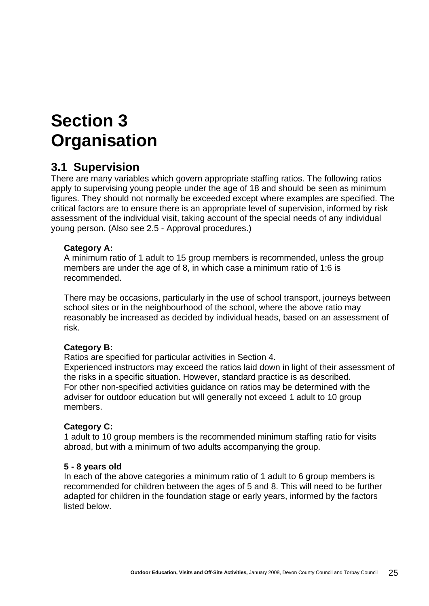## **Section 3 Organisation**

### **3.1 Supervision**

There are many variables which govern appropriate staffing ratios. The following ratios apply to supervising young people under the age of 18 and should be seen as minimum figures. They should not normally be exceeded except where examples are specified. The critical factors are to ensure there is an appropriate level of supervision, informed by risk assessment of the individual visit, taking account of the special needs of any individual young person. (Also see 2.5 - Approval procedures.)

### **Category A:**

A minimum ratio of 1 adult to 15 group members is recommended, unless the group members are under the age of 8, in which case a minimum ratio of 1:6 is recommended.

There may be occasions, particularly in the use of school transport, journeys between school sites or in the neighbourhood of the school, where the above ratio may reasonably be increased as decided by individual heads, based on an assessment of risk.

### **Category B:**

Ratios are specified for particular activities in Section 4.

Experienced instructors may exceed the ratios laid down in light of their assessment of the risks in a specific situation. However, standard practice is as described. For other non-specified activities guidance on ratios may be determined with the adviser for outdoor education but will generally not exceed 1 adult to 10 group members.

### **Category C:**

1 adult to 10 group members is the recommended minimum staffing ratio for visits abroad, but with a minimum of two adults accompanying the group.

### **5 - 8 years old**

In each of the above categories a minimum ratio of 1 adult to 6 group members is recommended for children between the ages of 5 and 8. This will need to be further adapted for children in the foundation stage or early years, informed by the factors listed below.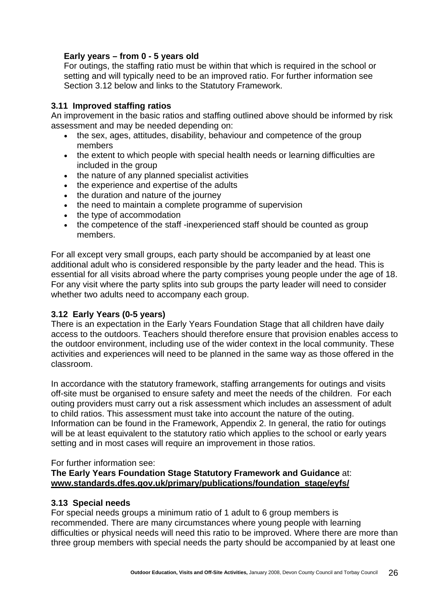### **Early years – from 0 - 5 years old**

For outings, the staffing ratio must be within that which is required in the school or setting and will typically need to be an improved ratio. For further information see Section 3.12 below and links to the Statutory Framework.

### **3.11 Improved staffing ratios**

An improvement in the basic ratios and staffing outlined above should be informed by risk assessment and may be needed depending on:

- the sex, ages, attitudes, disability, behaviour and competence of the group members
- the extent to which people with special health needs or learning difficulties are included in the group
- the nature of any planned specialist activities
- the experience and expertise of the adults
- the duration and nature of the journey
- the need to maintain a complete programme of supervision
- the type of accommodation
- the competence of the staff -inexperienced staff should be counted as group members.

For all except very small groups, each party should be accompanied by at least one additional adult who is considered responsible by the party leader and the head. This is essential for all visits abroad where the party comprises young people under the age of 18. For any visit where the party splits into sub groups the party leader will need to consider whether two adults need to accompany each group.

### **3.12 Early Years (0-5 years)**

There is an expectation in the Early Years Foundation Stage that all children have daily access to the outdoors. Teachers should therefore ensure that provision enables access to the outdoor environment, including use of the wider context in the local community. These activities and experiences will need to be planned in the same way as those offered in the classroom.

In accordance with the statutory framework, staffing arrangements for outings and visits off-site must be organised to ensure safety and meet the needs of the children. For each outing providers must carry out a risk assessment which includes an assessment of adult to child ratios. This assessment must take into account the nature of the outing. Information can be found in the Framework, Appendix 2. In general, the ratio for outings will be at least equivalent to the statutory ratio which applies to the school or early years setting and in most cases will require an improvement in those ratios.

### For further information see:

### **The Early Years Foundation Stage Statutory Framework and Guidance** at: **[www.standards.dfes.gov.uk/primary/publications/foundation\\_stage/eyfs/](http://www.standards.dfes.gov.uk/primary/publications/foundation_stage/eyfs/)**

### **3.13 Special needs**

For special needs groups a minimum ratio of 1 adult to 6 group members is recommended. There are many circumstances where young people with learning difficulties or physical needs will need this ratio to be improved. Where there are more than three group members with special needs the party should be accompanied by at least one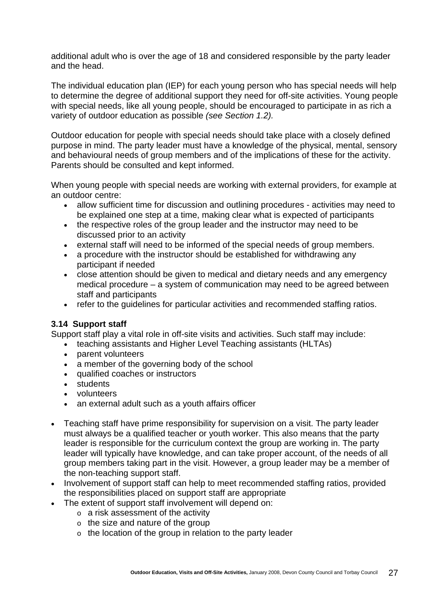additional adult who is over the age of 18 and considered responsible by the party leader and the head.

The individual education plan (IEP) for each young person who has special needs will help to determine the degree of additional support they need for off-site activities. Young people with special needs, like all young people, should be encouraged to participate in as rich a variety of outdoor education as possible *(see Section 1.2).*

Outdoor education for people with special needs should take place with a closely defined purpose in mind. The party leader must have a knowledge of the physical, mental, sensory and behavioural needs of group members and of the implications of these for the activity. Parents should be consulted and kept informed.

When young people with special needs are working with external providers, for example at an outdoor centre:

- allow sufficient time for discussion and outlining procedures activities may need to be explained one step at a time, making clear what is expected of participants
- the respective roles of the group leader and the instructor may need to be discussed prior to an activity
- external staff will need to be informed of the special needs of group members.
- a procedure with the instructor should be established for withdrawing any participant if needed
- close attention should be given to medical and dietary needs and any emergency medical procedure – a system of communication may need to be agreed between staff and participants
- refer to the guidelines for particular activities and recommended staffing ratios.

### **3.14 Support staff**

Support staff play a vital role in off-site visits and activities. Such staff may include:

- teaching assistants and Higher Level Teaching assistants (HLTAs)
- parent volunteers
- a member of the governing body of the school
- qualified coaches or instructors
- students
- volunteers
- an external adult such as a youth affairs officer
- Teaching staff have prime responsibility for supervision on a visit. The party leader must always be a qualified teacher or youth worker. This also means that the party leader is responsible for the curriculum context the group are working in. The party leader will typically have knowledge, and can take proper account, of the needs of all group members taking part in the visit. However, a group leader may be a member of the non-teaching support staff.
- Involvement of support staff can help to meet recommended staffing ratios, provided the responsibilities placed on support staff are appropriate
- The extent of support staff involvement will depend on:
	- $\circ$  a risk assessment of the activity
	- $\circ$  the size and nature of the group
	- o the location of the group in relation to the party leader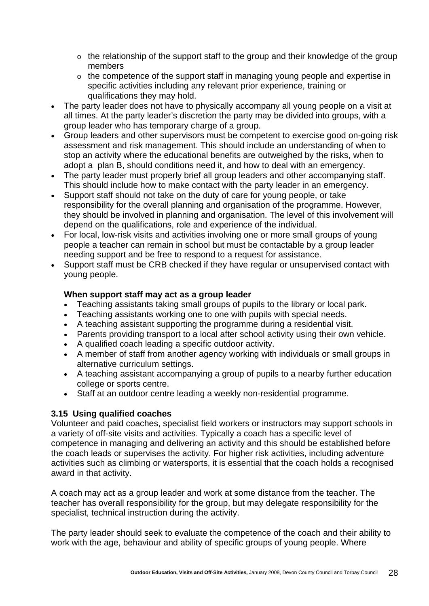- o the relationship of the support staff to the group and their knowledge of the group members
- o the competence of the support staff in managing young people and expertise in specific activities including any relevant prior experience, training or qualifications they may hold.
- The party leader does not have to physically accompany all young people on a visit at all times. At the party leader's discretion the party may be divided into groups, with a group leader who has temporary charge of a group.
- Group leaders and other supervisors must be competent to exercise good on-going risk assessment and risk management. This should include an understanding of when to stop an activity where the educational benefits are outweighed by the risks, when to adopt a plan B, should conditions need it, and how to deal with an emergency.
- The party leader must properly brief all group leaders and other accompanying staff. This should include how to make contact with the party leader in an emergency.
- Support staff should not take on the duty of care for young people, or take responsibility for the overall planning and organisation of the programme. However, they should be involved in planning and organisation. The level of this involvement will depend on the qualifications, role and experience of the individual.
- For local, low-risk visits and activities involving one or more small groups of young people a teacher can remain in school but must be contactable by a group leader needing support and be free to respond to a request for assistance.
- Support staff must be CRB checked if they have regular or unsupervised contact with young people.

### **When support staff may act as a group leader**

- Teaching assistants taking small groups of pupils to the library or local park.
- Teaching assistants working one to one with pupils with special needs.
- A teaching assistant supporting the programme during a residential visit.
- Parents providing transport to a local after school activity using their own vehicle.
- A qualified coach leading a specific outdoor activity.
- A member of staff from another agency working with individuals or small groups in alternative curriculum settings.
- A teaching assistant accompanying a group of pupils to a nearby further education college or sports centre.
- Staff at an outdoor centre leading a weekly non-residential programme.

### **3.15 Using qualified coaches**

Volunteer and paid coaches, specialist field workers or instructors may support schools in a variety of off-site visits and activities. Typically a coach has a specific level of competence in managing and delivering an activity and this should be established before the coach leads or supervises the activity. For higher risk activities, including adventure activities such as climbing or watersports, it is essential that the coach holds a recognised award in that activity.

A coach may act as a group leader and work at some distance from the teacher. The teacher has overall responsibility for the group, but may delegate responsibility for the specialist, technical instruction during the activity.

The party leader should seek to evaluate the competence of the coach and their ability to work with the age, behaviour and ability of specific groups of young people. Where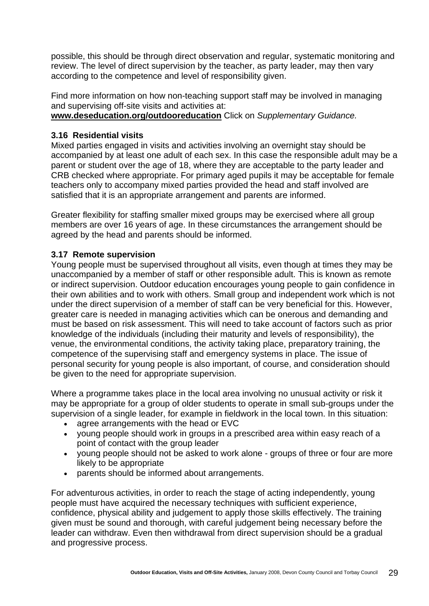possible, this should be through direct observation and regular, systematic monitoring and review. The level of direct supervision by the teacher, as party leader, may then vary according to the competence and level of responsibility given.

Find more information on how non-teaching support staff may be involved in managing and supervising off-site visits and activities at:

**[www.deseducation.org/outdooreducation](http://www.deseducation.org/outdooreducation)** Click on *Supplementary Guidance.*

### **3.16 Residential visits**

Mixed parties engaged in visits and activities involving an overnight stay should be accompanied by at least one adult of each sex. In this case the responsible adult may be a parent or student over the age of 18, where they are acceptable to the party leader and CRB checked where appropriate. For primary aged pupils it may be acceptable for female teachers only to accompany mixed parties provided the head and staff involved are satisfied that it is an appropriate arrangement and parents are informed.

Greater flexibility for staffing smaller mixed groups may be exercised where all group members are over 16 years of age. In these circumstances the arrangement should be agreed by the head and parents should be informed.

### **3.17 Remote supervision**

Young people must be supervised throughout all visits, even though at times they may be unaccompanied by a member of staff or other responsible adult. This is known as remote or indirect supervision. Outdoor education encourages young people to gain confidence in their own abilities and to work with others. Small group and independent work which is not under the direct supervision of a member of staff can be very beneficial for this. However, greater care is needed in managing activities which can be onerous and demanding and must be based on risk assessment. This will need to take account of factors such as prior knowledge of the individuals (including their maturity and levels of responsibility), the venue, the environmental conditions, the activity taking place, preparatory training, the competence of the supervising staff and emergency systems in place. The issue of personal security for young people is also important, of course, and consideration should be given to the need for appropriate supervision.

Where a programme takes place in the local area involving no unusual activity or risk it may be appropriate for a group of older students to operate in small sub-groups under the supervision of a single leader, for example in fieldwork in the local town. In this situation:

- agree arrangements with the head or EVC
- young people should work in groups in a prescribed area within easy reach of a point of contact with the group leader
- young people should not be asked to work alone groups of three or four are more likely to be appropriate
- parents should be informed about arrangements.

For adventurous activities, in order to reach the stage of acting independently, young people must have acquired the necessary techniques with sufficient experience, confidence, physical ability and judgement to apply those skills effectively. The training given must be sound and thorough, with careful judgement being necessary before the leader can withdraw. Even then withdrawal from direct supervision should be a gradual and progressive process.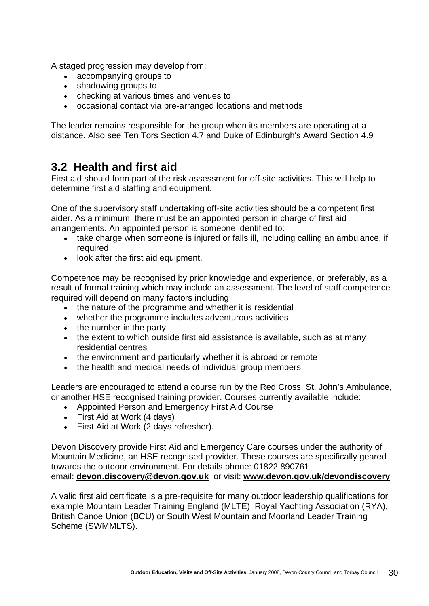A staged progression may develop from:

- accompanying groups to
- shadowing groups to
- checking at various times and venues to
- occasional contact via pre-arranged locations and methods

The leader remains responsible for the group when its members are operating at a distance. Also see Ten Tors Section 4.7 and Duke of Edinburgh's Award Section 4.9

### **3.2 Health and first aid**

First aid should form part of the risk assessment for off-site activities. This will help to determine first aid staffing and equipment.

One of the supervisory staff undertaking off-site activities should be a competent first aider. As a minimum, there must be an appointed person in charge of first aid arrangements. An appointed person is someone identified to:

- take charge when someone is injured or falls ill, including calling an ambulance, if required
- look after the first aid equipment.

Competence may be recognised by prior knowledge and experience, or preferably, as a result of formal training which may include an assessment. The level of staff competence required will depend on many factors including:

- the nature of the programme and whether it is residential
- whether the programme includes adventurous activities
- the number in the party
- the extent to which outside first aid assistance is available, such as at many residential centres
- the environment and particularly whether it is abroad or remote
- the health and medical needs of individual group members.

Leaders are encouraged to attend a course run by the Red Cross, St. John's Ambulance, or another HSE recognised training provider. Courses currently available include:

- Appointed Person and Emergency First Aid Course
- First Aid at Work (4 days)
- First Aid at Work (2 days refresher).

Devon Discovery provide First Aid and Emergency Care courses under the authority of Mountain Medicine, an HSE recognised provider. These courses are specifically geared towards the outdoor environment. For details phone: 01822 890761 email: **[devon.discovery@devon.gov.uk](mailto:devon.discovery@devon.gov.uk)** or visit: **[www.devon.gov.uk/devondiscovery](http://www.devon.gov.uk/devondiscovery)**

A valid first aid certificate is a pre-requisite for many outdoor leadership qualifications for example Mountain Leader Training England (MLTE), Royal Yachting Association (RYA), British Canoe Union (BCU) or South West Mountain and Moorland Leader Training Scheme (SWMMLTS).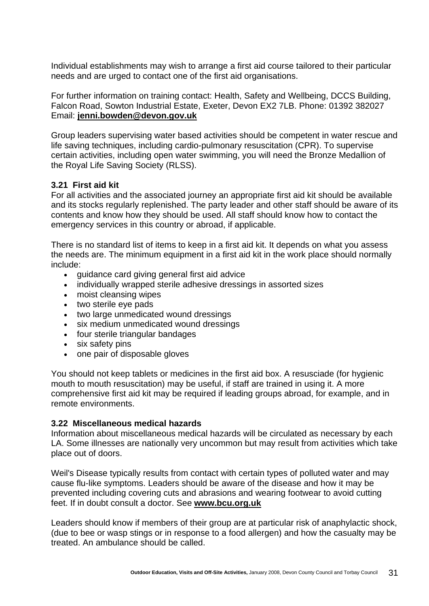Individual establishments may wish to arrange a first aid course tailored to their particular needs and are urged to contact one of the first aid organisations.

For further information on training contact: Health, Safety and Wellbeing, DCCS Building, Falcon Road, Sowton Industrial Estate, Exeter, Devon EX2 7LB. Phone: 01392 382027 Email: **[jenni.bowden@devon.gov.uk](mailto:jenni.bowden@devon.gov.uk)**

Group leaders supervising water based activities should be competent in water rescue and life saving techniques, including cardio-pulmonary resuscitation (CPR). To supervise certain activities, including open water swimming, you will need the Bronze Medallion of the Royal Life Saving Society (RLSS).

### **3.21 First aid kit**

For all activities and the associated journey an appropriate first aid kit should be available and its stocks regularly replenished. The party leader and other staff should be aware of its contents and know how they should be used. All staff should know how to contact the emergency services in this country or abroad, if applicable.

There is no standard list of items to keep in a first aid kit. It depends on what you assess the needs are. The minimum equipment in a first aid kit in the work place should normally include:

- guidance card giving general first aid advice
- individually wrapped sterile adhesive dressings in assorted sizes
- moist cleansing wipes
- two sterile eye pads
- two large unmedicated wound dressings
- six medium unmedicated wound dressings
- four sterile triangular bandages
- six safety pins
- one pair of disposable gloves

You should not keep tablets or medicines in the first aid box. A resusciade (for hygienic mouth to mouth resuscitation) may be useful, if staff are trained in using it. A more comprehensive first aid kit may be required if leading groups abroad, for example, and in remote environments.

### **3.22 Miscellaneous medical hazards**

Information about miscellaneous medical hazards will be circulated as necessary by each LA. Some illnesses are nationally very uncommon but may result from activities which take place out of doors.

Weil's Disease typically results from contact with certain types of polluted water and may cause flu-like symptoms. Leaders should be aware of the disease and how it may be prevented including covering cuts and abrasions and wearing footwear to avoid cutting feet. If in doubt consult a doctor. See **[www.bcu.org.uk](http://www.bcu.org.uk/)**

Leaders should know if members of their group are at particular risk of anaphylactic shock, (due to bee or wasp stings or in response to a food allergen) and how the casualty may be treated. An ambulance should be called.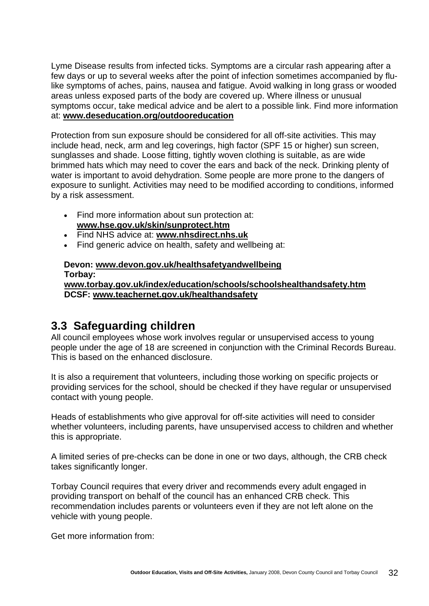Lyme Disease results from infected ticks. Symptoms are a circular rash appearing after a few days or up to several weeks after the point of infection sometimes accompanied by flulike symptoms of aches, pains, nausea and fatigue. Avoid walking in long grass or wooded areas unless exposed parts of the body are covered up. Where illness or unusual symptoms occur, take medical advice and be alert to a possible link. Find more information at: **[www.deseducation.org/outdooreducation](http://www.deseducation.org/outdooreducation)**

Protection from sun exposure should be considered for all off-site activities. This may include head, neck, arm and leg coverings, high factor (SPF 15 or higher) sun screen, sunglasses and shade. Loose fitting, tightly woven clothing is suitable, as are wide brimmed hats which may need to cover the ears and back of the neck. Drinking plenty of water is important to avoid dehydration. Some people are more prone to the dangers of exposure to sunlight. Activities may need to be modified according to conditions, informed by a risk assessment.

- Find more information about sun protection at: **[www.hse.gov.uk/skin/sunprotect.htm](http://www.hse.gov.uk/skin/sunprotect.htm)**
- Find NHS advice at: **[www.nhsdirect.nhs.uk](http://www.nhsdirect.nhs.uk/)**
- Find generic advice on health, safety and wellbeing at:

#### **Devon: [www.devon.gov.uk/healthsafetyandwellbeing](http://www.devon.gov.uk/healthsafetyandwellbeing) Torbay: [www.torbay.gov.uk/index/education/schools/schoolshealthandsafety.htm](http://www.torbay.gov.uk/index/education/schools/schoolshealthandsafety.htm) DCSF: [www.teachernet.gov.uk/healthandsafety](http://www.teachernet.gov.uk/healthandsafety)**

### **3.3 Safeguarding children**

All council employees whose work involves regular or unsupervised access to young people under the age of 18 are screened in conjunction with the Criminal Records Bureau. This is based on the enhanced disclosure.

It is also a requirement that volunteers, including those working on specific projects or providing services for the school, should be checked if they have regular or unsupervised contact with young people.

Heads of establishments who give approval for off-site activities will need to consider whether volunteers, including parents, have unsupervised access to children and whether this is appropriate.

A limited series of pre-checks can be done in one or two days, although, the CRB check takes significantly longer.

Torbay Council requires that every driver and recommends every adult engaged in providing transport on behalf of the council has an enhanced CRB check. This recommendation includes parents or volunteers even if they are not left alone on the vehicle with young people.

Get more information from: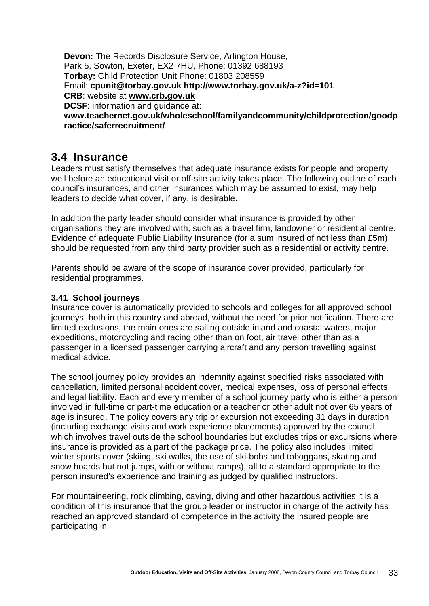**Devon:** The Records Disclosure Service, Arlington House, Park 5, Sowton, Exeter, EX2 7HU, Phone: 01392 688193 **Torbay:** Child Protection Unit Phone: 01803 208559 Email: **[cpunit@torbay.gov.uk](mailto:cpunit@torbay.gov.uk) <http://www.torbay.gov.uk/a-z?id=101> CRB**: website at **[www.crb.gov.uk](http://www.crb.gov.uk/) DCSF**: information and guidance at: **[www.teachernet.gov.uk/wholeschool/familyandcommunity/childprotection/goodp](http://www.teachernet.gov.uk/wholeschool/familyandcommunity/childprotection/goodpractice/saferrecruitment/) [ractice/saferrecruitment/](http://www.teachernet.gov.uk/wholeschool/familyandcommunity/childprotection/goodpractice/saferrecruitment/)**

### **3.4 Insurance**

Leaders must satisfy themselves that adequate insurance exists for people and property well before an educational visit or off-site activity takes place. The following outline of each council's insurances, and other insurances which may be assumed to exist, may help leaders to decide what cover, if any, is desirable.

In addition the party leader should consider what insurance is provided by other organisations they are involved with, such as a travel firm, landowner or residential centre. Evidence of adequate Public Liability Insurance (for a sum insured of not less than £5m) should be requested from any third party provider such as a residential or activity centre.

Parents should be aware of the scope of insurance cover provided, particularly for residential programmes.

### **3.41 School journeys**

Insurance cover is automatically provided to schools and colleges for all approved school journeys, both in this country and abroad, without the need for prior notification. There are limited exclusions, the main ones are sailing outside inland and coastal waters, major expeditions, motorcycling and racing other than on foot, air travel other than as a passenger in a licensed passenger carrying aircraft and any person travelling against medical advice.

The school journey policy provides an indemnity against specified risks associated with cancellation, limited personal accident cover, medical expenses, loss of personal effects and legal liability. Each and every member of a school journey party who is either a person involved in full-time or part-time education or a teacher or other adult not over 65 years of age is insured. The policy covers any trip or excursion not exceeding 31 days in duration (including exchange visits and work experience placements) approved by the council which involves travel outside the school boundaries but excludes trips or excursions where insurance is provided as a part of the package price. The policy also includes limited winter sports cover (skiing, ski walks, the use of ski-bobs and toboggans, skating and snow boards but not jumps, with or without ramps), all to a standard appropriate to the person insured's experience and training as judged by qualified instructors.

For mountaineering, rock climbing, caving, diving and other hazardous activities it is a condition of this insurance that the group leader or instructor in charge of the activity has reached an approved standard of competence in the activity the insured people are participating in.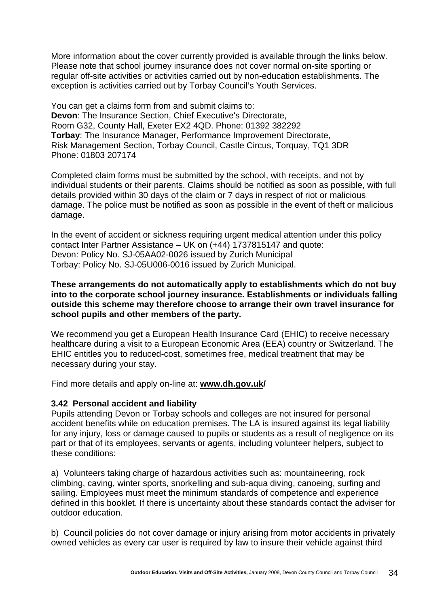More information about the cover currently provided is available through the links below. Please note that school journey insurance does not cover normal on-site sporting or regular off-site activities or activities carried out by non-education establishments. The exception is activities carried out by Torbay Council's Youth Services.

You can get a claims form from and submit claims to: **Devon**: The Insurance Section, Chief Executive's Directorate, Room G32, County Hall, Exeter EX2 4QD. Phone: 01392 382292 **Torbay**: The Insurance Manager, Performance Improvement Directorate, Risk Management Section, Torbay Council, Castle Circus, Torquay, TQ1 3DR Phone: 01803 207174

Completed claim forms must be submitted by the school, with receipts, and not by individual students or their parents. Claims should be notified as soon as possible, with full details provided within 30 days of the claim or 7 days in respect of riot or malicious damage. The police must be notified as soon as possible in the event of theft or malicious damage.

In the event of accident or sickness requiring urgent medical attention under this policy contact Inter Partner Assistance – UK on (+44) 1737815147 and quote: Devon: Policy No. SJ-05AA02-0026 issued by Zurich Municipal Torbay: Policy No. SJ-05U006-0016 issued by Zurich Municipal.

#### **These arrangements do not automatically apply to establishments which do not buy into to the corporate school journey insurance. Establishments or individuals falling outside this scheme may therefore choose to arrange their own travel insurance for school pupils and other members of the party.**

We recommend you get a European Health Insurance Card (EHIC) to receive necessary healthcare during a visit to a European Economic Area (EEA) country or Switzerland. The EHIC entitles you to reduced-cost, sometimes free, medical treatment that may be necessary during your stay.

Find more details and apply on-line at: **[www.dh.gov.uk/](http://www.dh.gov.uk/)**

### **3.42 Personal accident and liability**

Pupils attending Devon or Torbay schools and colleges are not insured for personal accident benefits while on education premises. The LA is insured against its legal liability for any injury, loss or damage caused to pupils or students as a result of negligence on its part or that of its employees, servants or agents, including volunteer helpers, subject to these conditions:

a) Volunteers taking charge of hazardous activities such as: mountaineering, rock climbing, caving, winter sports, snorkelling and sub-aqua diving, canoeing, surfing and sailing. Employees must meet the minimum standards of competence and experience defined in this booklet. If there is uncertainty about these standards contact the adviser for outdoor education.

b) Council policies do not cover damage or injury arising from motor accidents in privately owned vehicles as every car user is required by law to insure their vehicle against third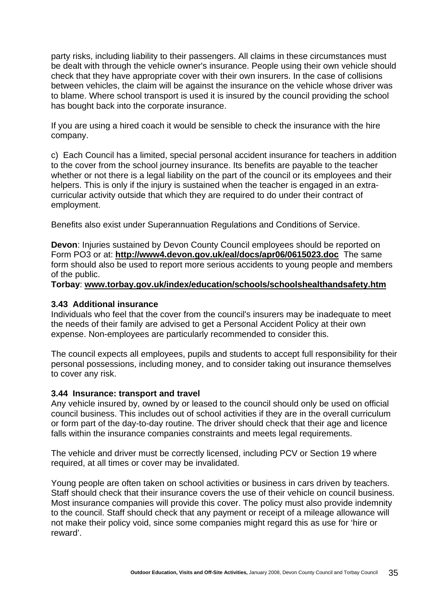party risks, including liability to their passengers. All claims in these circumstances must be dealt with through the vehicle owner's insurance. People using their own vehicle should check that they have appropriate cover with their own insurers. In the case of collisions between vehicles, the claim will be against the insurance on the vehicle whose driver was to blame. Where school transport is used it is insured by the council providing the school has bought back into the corporate insurance.

If you are using a hired coach it would be sensible to check the insurance with the hire company.

c) Each Council has a limited, special personal accident insurance for teachers in addition to the cover from the school journey insurance. Its benefits are payable to the teacher whether or not there is a legal liability on the part of the council or its employees and their helpers. This is only if the injury is sustained when the teacher is engaged in an extracurricular activity outside that which they are required to do under their contract of employment.

Benefits also exist under Superannuation Regulations and Conditions of Service.

**Devon**: Injuries sustained by Devon County Council employees should be reported on Form PO3 or at: **<http://www4.devon.gov.uk/eal/docs/apr06/0615023.doc>** The same form should also be used to report more serious accidents to young people and members of the public.

**Torbay**: **[www.torbay.gov.uk/index/education/schools/schoolshealthandsafety.htm](http://www.torbay.gov.uk/index/education/schools/schoolshealthandsafety.htm)**

#### **3.43 Additional insurance**

Individuals who feel that the cover from the council's insurers may be inadequate to meet the needs of their family are advised to get a Personal Accident Policy at their own expense. Non-employees are particularly recommended to consider this.

The council expects all employees, pupils and students to accept full responsibility for their personal possessions, including money, and to consider taking out insurance themselves to cover any risk.

#### **3.44 Insurance: transport and travel**

Any vehicle insured by, owned by or leased to the council should only be used on official council business. This includes out of school activities if they are in the overall curriculum or form part of the day-to-day routine. The driver should check that their age and licence falls within the insurance companies constraints and meets legal requirements.

The vehicle and driver must be correctly licensed, including PCV or Section 19 where required, at all times or cover may be invalidated.

Young people are often taken on school activities or business in cars driven by teachers. Staff should check that their insurance covers the use of their vehicle on council business. Most insurance companies will provide this cover. The policy must also provide indemnity to the council. Staff should check that any payment or receipt of a mileage allowance will not make their policy void, since some companies might regard this as use for 'hire or reward'.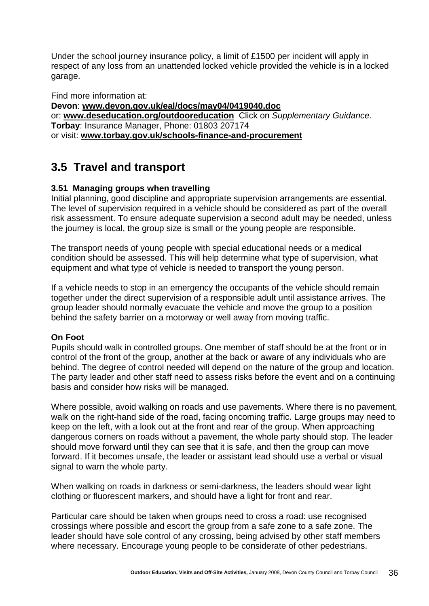Under the school journey insurance policy, a limit of £1500 per incident will apply in respect of any loss from an unattended locked vehicle provided the vehicle is in a locked garage.

Find more information at: **Devon**: **[www.devon.gov.uk/eal/docs/may04/0419040.doc](http://www.devon.gov.uk/eal/docs/may04/0419040.doc)** or: **[www.deseducation.org/outdooreducation](http://www.deseducation.org/outdooreducation)** Click on *Supplementary Guidance.* **Torbay**: Insurance Manager, Phone: 01803 207174 or visit: **[www.torbay.gov.uk/schools-finance-and-procurement](http://www.torbay.gov.uk/schools-finance-and-procurement)**

# **3.5 Travel and transport**

# **3.51 Managing groups when travelling**

Initial planning, good discipline and appropriate supervision arrangements are essential. The level of supervision required in a vehicle should be considered as part of the overall risk assessment. To ensure adequate supervision a second adult may be needed, unless the journey is local, the group size is small or the young people are responsible.

The transport needs of young people with special educational needs or a medical condition should be assessed. This will help determine what type of supervision, what equipment and what type of vehicle is needed to transport the young person.

If a vehicle needs to stop in an emergency the occupants of the vehicle should remain together under the direct supervision of a responsible adult until assistance arrives. The group leader should normally evacuate the vehicle and move the group to a position behind the safety barrier on a motorway or well away from moving traffic.

# **On Foot**

Pupils should walk in controlled groups. One member of staff should be at the front or in control of the front of the group, another at the back or aware of any individuals who are behind. The degree of control needed will depend on the nature of the group and location. The party leader and other staff need to assess risks before the event and on a continuing basis and consider how risks will be managed.

Where possible, avoid walking on roads and use pavements. Where there is no pavement, walk on the right-hand side of the road, facing oncoming traffic. Large groups may need to keep on the left, with a look out at the front and rear of the group. When approaching dangerous corners on roads without a pavement, the whole party should stop. The leader should move forward until they can see that it is safe, and then the group can move forward. If it becomes unsafe, the leader or assistant lead should use a verbal or visual signal to warn the whole party.

When walking on roads in darkness or semi-darkness, the leaders should wear light clothing or fluorescent markers, and should have a light for front and rear.

Particular care should be taken when groups need to cross a road: use recognised crossings where possible and escort the group from a safe zone to a safe zone. The leader should have sole control of any crossing, being advised by other staff members where necessary. Encourage young people to be considerate of other pedestrians.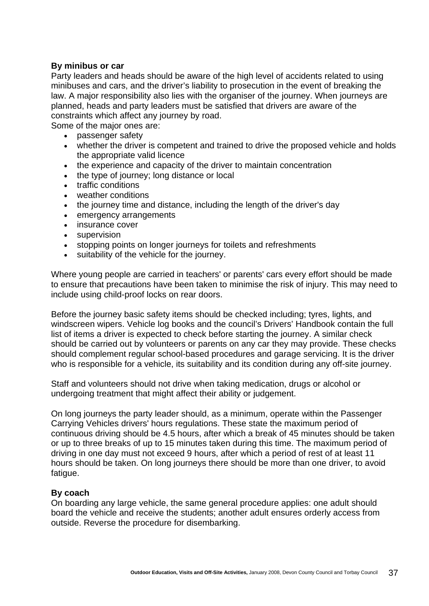#### **By minibus or car**

Party leaders and heads should be aware of the high level of accidents related to using minibuses and cars, and the driver's liability to prosecution in the event of breaking the law. A major responsibility also lies with the organiser of the journey. When journeys are planned, heads and party leaders must be satisfied that drivers are aware of the constraints which affect any journey by road.

Some of the major ones are:

- passenger safety
- whether the driver is competent and trained to drive the proposed vehicle and holds the appropriate valid licence
- the experience and capacity of the driver to maintain concentration
- the type of journey; long distance or local
- traffic conditions
- weather conditions
- the journey time and distance, including the length of the driver's day
- emergency arrangements
- insurance cover
- supervision
- stopping points on longer journeys for toilets and refreshments
- suitability of the vehicle for the journey.

Where young people are carried in teachers' or parents' cars every effort should be made to ensure that precautions have been taken to minimise the risk of injury. This may need to include using child-proof locks on rear doors.

Before the journey basic safety items should be checked including; tyres, lights, and windscreen wipers. Vehicle log books and the council's Drivers' Handbook contain the full list of items a driver is expected to check before starting the journey. A similar check should be carried out by volunteers or parents on any car they may provide. These checks should complement regular school-based procedures and garage servicing. It is the driver who is responsible for a vehicle, its suitability and its condition during any off-site journey.

Staff and volunteers should not drive when taking medication, drugs or alcohol or undergoing treatment that might affect their ability or judgement.

On long journeys the party leader should, as a minimum, operate within the Passenger Carrying Vehicles drivers' hours regulations. These state the maximum period of continuous driving should be 4.5 hours, after which a break of 45 minutes should be taken or up to three breaks of up to 15 minutes taken during this time. The maximum period of driving in one day must not exceed 9 hours, after which a period of rest of at least 11 hours should be taken. On long journeys there should be more than one driver, to avoid fatigue.

#### **By coach**

On boarding any large vehicle, the same general procedure applies: one adult should board the vehicle and receive the students; another adult ensures orderly access from outside. Reverse the procedure for disembarking.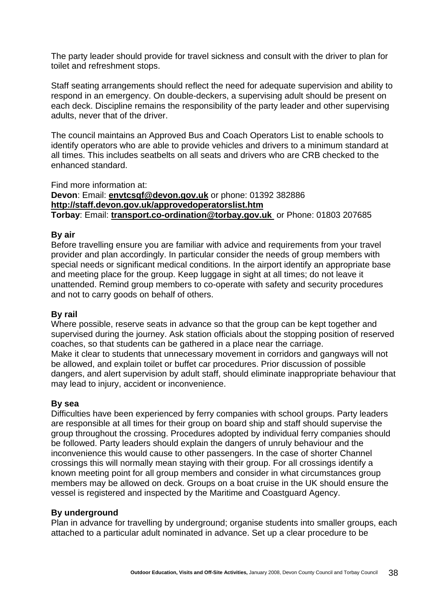The party leader should provide for travel sickness and consult with the driver to plan for toilet and refreshment stops.

Staff seating arrangements should reflect the need for adequate supervision and ability to respond in an emergency. On double-deckers, a supervising adult should be present on each deck. Discipline remains the responsibility of the party leader and other supervising adults, never that of the driver.

The council maintains an Approved Bus and Coach Operators List to enable schools to identify operators who are able to provide vehicles and drivers to a minimum standard at all times. This includes seatbelts on all seats and drivers who are CRB checked to the enhanced standard.

Find more information at: **Devon**: Email: **[envtcsqf@devon.gov.uk](mailto:envtcsqf@devon.gov.uk)** or phone: 01392 382886 **<http://staff.devon.gov.uk/approvedoperatorslist.htm> Torbay**: Email: **[transport.co-ordination@torbay.gov.uk](mailto:transport.co-ordination@torbay.gov.uk)** or Phone: 01803 207685

#### **By air**

Before travelling ensure you are familiar with advice and requirements from your travel provider and plan accordingly. In particular consider the needs of group members with special needs or significant medical conditions. In the airport identify an appropriate base and meeting place for the group. Keep luggage in sight at all times; do not leave it unattended. Remind group members to co-operate with safety and security procedures and not to carry goods on behalf of others.

#### **By rail**

Where possible, reserve seats in advance so that the group can be kept together and supervised during the journey. Ask station officials about the stopping position of reserved coaches, so that students can be gathered in a place near the carriage. Make it clear to students that unnecessary movement in corridors and gangways will not be allowed, and explain toilet or buffet car procedures. Prior discussion of possible dangers, and alert supervision by adult staff, should eliminate inappropriate behaviour that may lead to injury, accident or inconvenience.

#### **By sea**

Difficulties have been experienced by ferry companies with school groups. Party leaders are responsible at all times for their group on board ship and staff should supervise the group throughout the crossing. Procedures adopted by individual ferry companies should be followed. Party leaders should explain the dangers of unruly behaviour and the inconvenience this would cause to other passengers. In the case of shorter Channel crossings this will normally mean staying with their group. For all crossings identify a known meeting point for all group members and consider in what circumstances group members may be allowed on deck. Groups on a boat cruise in the UK should ensure the vessel is registered and inspected by the Maritime and Coastguard Agency.

#### **By underground**

Plan in advance for travelling by underground; organise students into smaller groups, each attached to a particular adult nominated in advance. Set up a clear procedure to be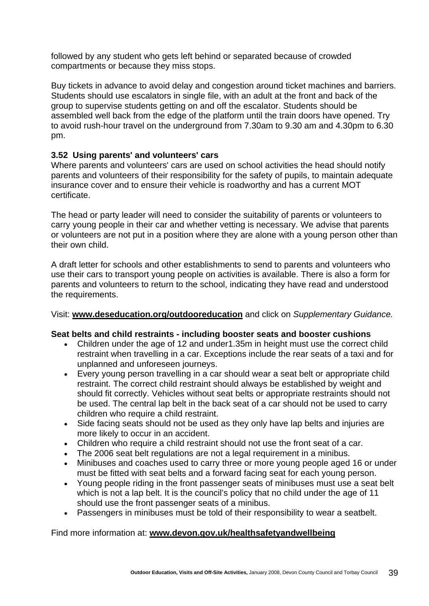followed by any student who gets left behind or separated because of crowded compartments or because they miss stops.

Buy tickets in advance to avoid delay and congestion around ticket machines and barriers. Students should use escalators in single file, with an adult at the front and back of the group to supervise students getting on and off the escalator. Students should be assembled well back from the edge of the platform until the train doors have opened. Try to avoid rush-hour travel on the underground from 7.30am to 9.30 am and 4.30pm to 6.30 pm.

# **3.52 Using parents' and volunteers' cars**

Where parents and volunteers' cars are used on school activities the head should notify parents and volunteers of their responsibility for the safety of pupils, to maintain adequate insurance cover and to ensure their vehicle is roadworthy and has a current MOT certificate.

The head or party leader will need to consider the suitability of parents or volunteers to carry young people in their car and whether vetting is necessary. We advise that parents or volunteers are not put in a position where they are alone with a young person other than their own child.

A draft letter for schools and other establishments to send to parents and volunteers who use their cars to transport young people on activities is available. There is also a form for parents and volunteers to return to the school, indicating they have read and understood the requirements.

Visit: **[www.deseducation.org/outdooreducation](http://www.deseducation.org/outdooreducation)** and click on *Supplementary Guidance.*

#### **Seat belts and child restraints - including booster seats and booster cushions**

- Children under the age of 12 and under1.35m in height must use the correct child restraint when travelling in a car. Exceptions include the rear seats of a taxi and for unplanned and unforeseen journeys.
- Every young person travelling in a car should wear a seat belt or appropriate child restraint. The correct child restraint should always be established by weight and should fit correctly. Vehicles without seat belts or appropriate restraints should not be used. The central lap belt in the back seat of a car should not be used to carry children who require a child restraint.
- Side facing seats should not be used as they only have lap belts and injuries are more likely to occur in an accident.
- Children who require a child restraint should not use the front seat of a car.
- The 2006 seat belt regulations are not a legal requirement in a minibus.
- Minibuses and coaches used to carry three or more young people aged 16 or under must be fitted with seat belts and a forward facing seat for each young person.
- Young people riding in the front passenger seats of minibuses must use a seat belt which is not a lap belt. It is the council's policy that no child under the age of 11 should use the front passenger seats of a minibus.
- Passengers in minibuses must be told of their responsibility to wear a seatbelt.

#### Find more information at: **[www.devon.gov.uk/healthsafetyandwellbeing](http://www.devon.gov.uk/healthsafetyandwellbeing)**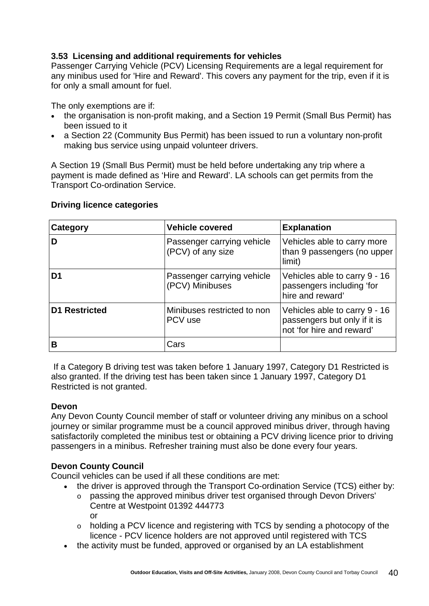# **3.53 Licensing and additional requirements for vehicles**

Passenger Carrying Vehicle (PCV) Licensing Requirements are a legal requirement for any minibus used for 'Hire and Reward'. This covers any payment for the trip, even if it is for only a small amount for fuel.

The only exemptions are if:

- the organisation is non-profit making, and a Section 19 Permit (Small Bus Permit) has been issued to it
- a Section 22 (Community Bus Permit) has been issued to run a voluntary non-profit making bus service using unpaid volunteer drivers.

A Section 19 (Small Bus Permit) must be held before undertaking any trip where a payment is made defined as 'Hire and Reward'. LA schools can get permits from the Transport Co-ordination Service.

| Category             | <b>Vehicle covered</b>                          | <b>Explanation</b>                                                                         |
|----------------------|-------------------------------------------------|--------------------------------------------------------------------------------------------|
| D                    | Passenger carrying vehicle<br>(PCV) of any size | Vehicles able to carry more<br>than 9 passengers (no upper<br>limit)                       |
| D <sub>1</sub>       | Passenger carrying vehicle<br>(PCV) Minibuses   | Vehicles able to carry 9 - 16<br>passengers including 'for<br>hire and reward'             |
| <b>D1 Restricted</b> | Minibuses restricted to non<br>PCV use          | Vehicles able to carry 9 - 16<br>passengers but only if it is<br>not 'for hire and reward' |
| В                    | Cars                                            |                                                                                            |

#### **Driving licence categories**

 If a Category B driving test was taken before 1 January 1997, Category D1 Restricted is also granted. If the driving test has been taken since 1 January 1997, Category D1 Restricted is not granted.

# **Devon**

Any Devon County Council member of staff or volunteer driving any minibus on a school journey or similar programme must be a council approved minibus driver, through having satisfactorily completed the minibus test or obtaining a PCV driving licence prior to driving passengers in a minibus. Refresher training must also be done every four years.

# **Devon County Council**

Council vehicles can be used if all these conditions are met:

- the driver is approved through the Transport Co-ordination Service (TCS) either by:
	- o passing the approved minibus driver test organised through Devon Drivers' Centre at Westpoint 01392 444773 or
	- o holding a PCV licence and registering with TCS by sending a photocopy of the licence - PCV licence holders are not approved until registered with TCS
- the activity must be funded, approved or organised by an LA establishment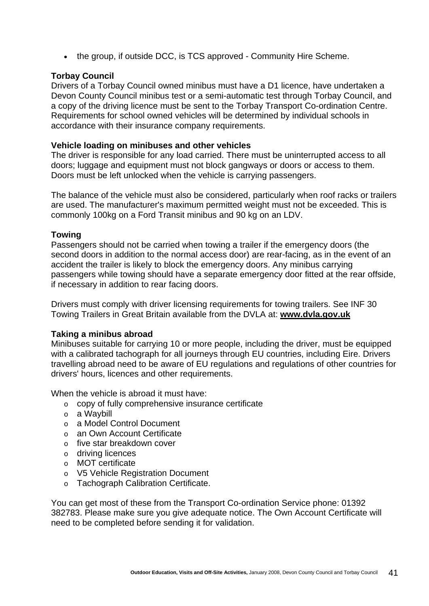• the group, if outside DCC, is TCS approved - Community Hire Scheme.

#### **Torbay Council**

Drivers of a Torbay Council owned minibus must have a D1 licence, have undertaken a Devon County Council minibus test or a semi-automatic test through Torbay Council, and a copy of the driving licence must be sent to the Torbay Transport Co-ordination Centre. Requirements for school owned vehicles will be determined by individual schools in accordance with their insurance company requirements.

#### **Vehicle loading on minibuses and other vehicles**

The driver is responsible for any load carried. There must be uninterrupted access to all doors; luggage and equipment must not block gangways or doors or access to them. Doors must be left unlocked when the vehicle is carrying passengers.

The balance of the vehicle must also be considered, particularly when roof racks or trailers are used. The manufacturer's maximum permitted weight must not be exceeded. This is commonly 100kg on a Ford Transit minibus and 90 kg on an LDV.

#### **Towing**

Passengers should not be carried when towing a trailer if the emergency doors (the second doors in addition to the normal access door) are rear-facing, as in the event of an accident the trailer is likely to block the emergency doors. Any minibus carrying passengers while towing should have a separate emergency door fitted at the rear offside, if necessary in addition to rear facing doors.

Drivers must comply with driver licensing requirements for towing trailers. See INF 30 Towing Trailers in Great Britain available from the DVLA at: **[www.dvla.gov.uk](http://www.dvla.gov.uk/)**

#### **Taking a minibus abroad**

Minibuses suitable for carrying 10 or more people, including the driver, must be equipped with a calibrated tachograph for all journeys through EU countries, including Eire. Drivers travelling abroad need to be aware of EU regulations and regulations of other countries for drivers' hours, licences and other requirements.

When the vehicle is abroad it must have:

- o copy of fully comprehensive insurance certificate
- o a Waybill
- o a Model Control Document
- o an Own Account Certificate
- o five star breakdown cover
- o driving licences
- o MOT certificate
- o V5 Vehicle Registration Document
- o Tachograph Calibration Certificate.

You can get most of these from the Transport Co-ordination Service phone: 01392 382783. Please make sure you give adequate notice. The Own Account Certificate will need to be completed before sending it for validation.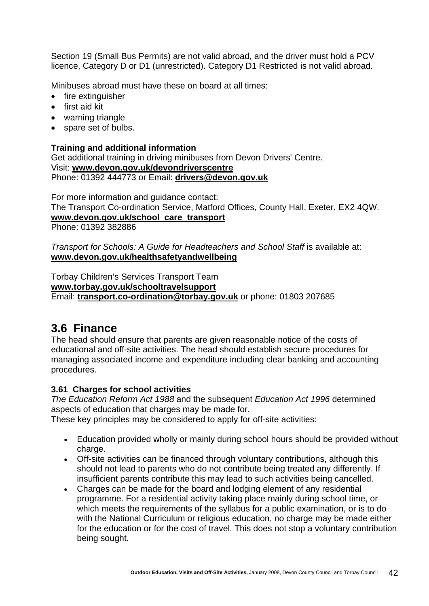Section 19 (Small Bus Permits) are not valid abroad, and the driver must hold a PCV licence, Category D or D1 (unrestricted). Category D1 Restricted is not valid abroad.

Minibuses abroad must have these on board at all times:

- fire extinguisher
- first aid kit
- warning triangle
- spare set of bulbs.

#### **Training and additional information**

Get additional training in driving minibuses from Devon Drivers' Centre. Visit: **[www.devon.gov.uk/devondriverscentre](http://www.devon.gov.uk/devondriverscentre)** Phone: 01392 444773 or Email: **[drivers@devon.gov.uk](mailto:drivers@devon.gov.uk)**

For more information and guidance contact: The Transport Co-ordination Service, Matford Offices, County Hall, Exeter, EX2 4QW. **[www.devon.gov.uk/school\\_care\\_transport](http://www.devon.gov.uk/school_care_transport)** Phone: 01392 382886

*Transport for Schools: A Guide for Headteachers and School Staff* is available at: **[www.devon.gov.uk/healthsafetyandwellbeing](http://www.devon.gov.uk/healthsafetyandwellbeing)**

Torbay Children's Services Transport Team **[www.torbay.gov.uk/schooltravelsupport](http://www.torbay.gov.uk/schooltravelsupport)** Email: **[transport.co-ordination@torbay.gov.uk](mailto:transport.co-ordination@torbay.gov.uk)** or phone: 01803 207685

# **3.6 Finance**

The head should ensure that parents are given reasonable notice of the costs of educational and off-site activities. The head should establish secure procedures for managing associated income and expenditure including clear banking and accounting procedures.

#### **3.61 Charges for school activities**

*The Education Reform Act 1988* and the subsequent *Education Act 1996* determined aspects of education that charges may be made for.

These key principles may be considered to apply for off-site activities:

- Education provided wholly or mainly during school hours should be provided without charge.
- Off-site activities can be financed through voluntary contributions, although this should not lead to parents who do not contribute being treated any differently. If insufficient parents contribute this may lead to such activities being cancelled.
- Charges can be made for the board and lodging element of any residential programme. For a residential activity taking place mainly during school time, or which meets the requirements of the syllabus for a public examination, or is to do with the National Curriculum or religious education, no charge may be made either for the education or for the cost of travel. This does not stop a voluntary contribution being sought.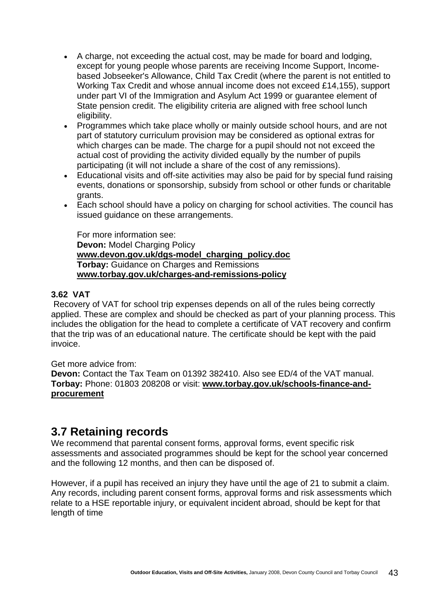- A charge, not exceeding the actual cost, may be made for board and lodging, except for young people whose parents are receiving Income Support, Incomebased Jobseeker's Allowance, Child Tax Credit (where the parent is not entitled to Working Tax Credit and whose annual income does not exceed £14,155), support under part VI of the Immigration and Asylum Act 1999 or guarantee element of State pension credit. The eligibility criteria are aligned with free school lunch eligibility.
- Programmes which take place wholly or mainly outside school hours, and are not part of statutory curriculum provision may be considered as optional extras for which charges can be made. The charge for a pupil should not not exceed the actual cost of providing the activity divided equally by the number of pupils participating (it will not include a share of the cost of any remissions).
- Educational visits and off-site activities may also be paid for by special fund raising events, donations or sponsorship, subsidy from school or other funds or charitable grants.
- Each school should have a policy on charging for school activities. The council has issued guidance on these arrangements.

For more information see: **Devon:** Model Charging Policy **[www.devon.gov.uk/dgs-model\\_charging\\_policy.doc](http://www.devon.gov.uk/dgs-model_charging_policy.doc) Torbay:** Guidance on Charges and Remissions **[www.torbay.gov.uk/charges-and-remissions-policy](http://www.torbay.gov.uk/charges-and-remissions-policy)**

### **3.62 VAT**

 Recovery of VAT for school trip expenses depends on all of the rules being correctly applied. These are complex and should be checked as part of your planning process. This includes the obligation for the head to complete a certificate of VAT recovery and confirm that the trip was of an educational nature. The certificate should be kept with the paid invoice.

Get more advice from:

**Devon:** Contact the Tax Team on 01392 382410. Also see ED/4 of the VAT manual. **Torbay:** Phone: 01803 208208 or visit: **[www.torbay.gov.uk/schools-finance-and](http://www.torbay.gov.uk/schools-finance-and-procurement)[procurement](http://www.torbay.gov.uk/schools-finance-and-procurement)**

# **3.7 Retaining records**

We recommend that parental consent forms, approval forms, event specific risk assessments and associated programmes should be kept for the school year concerned and the following 12 months, and then can be disposed of.

However, if a pupil has received an injury they have until the age of 21 to submit a claim. Any records, including parent consent forms, approval forms and risk assessments which relate to a HSE reportable injury, or equivalent incident abroad, should be kept for that length of time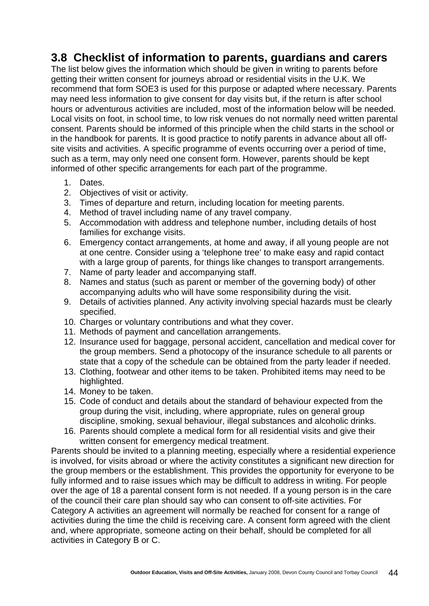# **3.8 Checklist of information to parents, guardians and carers**

The list below gives the information which should be given in writing to parents before getting their written consent for journeys abroad or residential visits in the U.K. We recommend that form SOE3 is used for this purpose or adapted where necessary. Parents may need less information to give consent for day visits but, if the return is after school hours or adventurous activities are included, most of the information below will be needed. Local visits on foot, in school time, to low risk venues do not normally need written parental consent. Parents should be informed of this principle when the child starts in the school or in the handbook for parents. It is good practice to notify parents in advance about all offsite visits and activities. A specific programme of events occurring over a period of time, such as a term, may only need one consent form. However, parents should be kept informed of other specific arrangements for each part of the programme.

- 1. Dates.
- 2. Objectives of visit or activity.
- 3. Times of departure and return, including location for meeting parents.
- 4. Method of travel including name of any travel company.
- 5. Accommodation with address and telephone number, including details of host families for exchange visits.
- 6. Emergency contact arrangements, at home and away, if all young people are not at one centre. Consider using a 'telephone tree' to make easy and rapid contact with a large group of parents, for things like changes to transport arrangements.
- 7. Name of party leader and accompanying staff.
- 8. Names and status (such as parent or member of the governing body) of other accompanying adults who will have some responsibility during the visit.
- 9. Details of activities planned. Any activity involving special hazards must be clearly specified.
- 10. Charges or voluntary contributions and what they cover.
- 11. Methods of payment and cancellation arrangements.
- 12. Insurance used for baggage, personal accident, cancellation and medical cover for the group members. Send a photocopy of the insurance schedule to all parents or state that a copy of the schedule can be obtained from the party leader if needed.
- 13. Clothing, footwear and other items to be taken. Prohibited items may need to be highlighted.
- 14. Money to be taken.
- 15. Code of conduct and details about the standard of behaviour expected from the group during the visit, including, where appropriate, rules on general group discipline, smoking, sexual behaviour, illegal substances and alcoholic drinks.
- 16. Parents should complete a medical form for all residential visits and give their written consent for emergency medical treatment.

Parents should be invited to a planning meeting, especially where a residential experience is involved, for visits abroad or where the activity constitutes a significant new direction for the group members or the establishment. This provides the opportunity for everyone to be fully informed and to raise issues which may be difficult to address in writing. For people over the age of 18 a parental consent form is not needed. If a young person is in the care of the council their care plan should say who can consent to off-site activities. For Category A activities an agreement will normally be reached for consent for a range of activities during the time the child is receiving care. A consent form agreed with the client and, where appropriate, someone acting on their behalf, should be completed for all activities in Category B or C.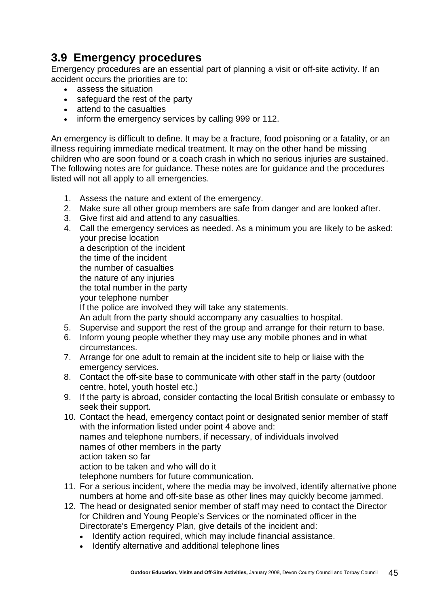# **3.9 Emergency procedures**

Emergency procedures are an essential part of planning a visit or off-site activity. If an accident occurs the priorities are to:

- assess the situation
- safeguard the rest of the party
- attend to the casualties
- inform the emergency services by calling 999 or 112.

An emergency is difficult to define. It may be a fracture, food poisoning or a fatality, or an illness requiring immediate medical treatment. It may on the other hand be missing children who are soon found or a coach crash in which no serious injuries are sustained. The following notes are for guidance. These notes are for guidance and the procedures listed will not all apply to all emergencies.

- 1. Assess the nature and extent of the emergency.
- 2. Make sure all other group members are safe from danger and are looked after.
- 3. Give first aid and attend to any casualties.
- 4. Call the emergency services as needed. As a minimum you are likely to be asked: your precise location a description of the incident the time of the incident the number of casualties the nature of any injuries the total number in the party your telephone number If the police are involved they will take any statements. An adult from the party should accompany any casualties to hospital. 5. Supervise and support the rest of the group and arrange for their return to base.
- 6. Inform young people whether they may use any mobile phones and in what circumstances.
- 7. Arrange for one adult to remain at the incident site to help or liaise with the emergency services.
- 8. Contact the off-site base to communicate with other staff in the party (outdoor centre, hotel, youth hostel etc.)
- 9. If the party is abroad, consider contacting the local British consulate or embassy to seek their support.
- 10. Contact the head, emergency contact point or designated senior member of staff with the information listed under point 4 above and: names and telephone numbers, if necessary, of individuals involved names of other members in the party action taken so far action to be taken and who will do it telephone numbers for future communication.
- 11. For a serious incident, where the media may be involved, identify alternative phone numbers at home and off-site base as other lines may quickly become jammed.
- 12. The head or designated senior member of staff may need to contact the Director for Children and Young People's Services or the nominated officer in the Directorate's Emergency Plan, give details of the incident and:
	- Identify action required, which may include financial assistance.
	- Identify alternative and additional telephone lines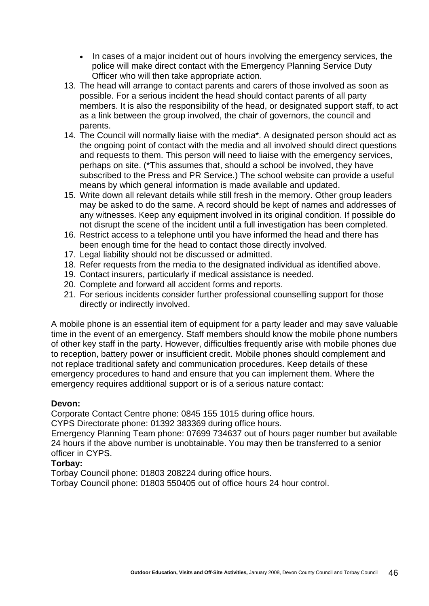- In cases of a major incident out of hours involving the emergency services, the police will make direct contact with the Emergency Planning Service Duty Officer who will then take appropriate action.
- 13. The head will arrange to contact parents and carers of those involved as soon as possible. For a serious incident the head should contact parents of all party members. It is also the responsibility of the head, or designated support staff, to act as a link between the group involved, the chair of governors, the council and parents.
- 14. The Council will normally liaise with the media\*. A designated person should act as the ongoing point of contact with the media and all involved should direct questions and requests to them. This person will need to liaise with the emergency services, perhaps on site. (\*This assumes that, should a school be involved, they have subscribed to the Press and PR Service.) The school website can provide a useful means by which general information is made available and updated.
- 15. Write down all relevant details while still fresh in the memory. Other group leaders may be asked to do the same. A record should be kept of names and addresses of any witnesses. Keep any equipment involved in its original condition. If possible do not disrupt the scene of the incident until a full investigation has been completed.
- 16. Restrict access to a telephone until you have informed the head and there has been enough time for the head to contact those directly involved.
- 17. Legal liability should not be discussed or admitted.
- 18. Refer requests from the media to the designated individual as identified above.
- 19. Contact insurers, particularly if medical assistance is needed.
- 20. Complete and forward all accident forms and reports.
- 21. For serious incidents consider further professional counselling support for those directly or indirectly involved.

A mobile phone is an essential item of equipment for a party leader and may save valuable time in the event of an emergency. Staff members should know the mobile phone numbers of other key staff in the party. However, difficulties frequently arise with mobile phones due to reception, battery power or insufficient credit. Mobile phones should complement and not replace traditional safety and communication procedures. Keep details of these emergency procedures to hand and ensure that you can implement them. Where the emergency requires additional support or is of a serious nature contact:

#### **Devon:**

Corporate Contact Centre phone: 0845 155 1015 during office hours.

CYPS Directorate phone: 01392 383369 during office hours.

Emergency Planning Team phone: 07699 734637 out of hours pager number but available 24 hours if the above number is unobtainable. You may then be transferred to a senior officer in CYPS.

#### **Torbay:**

Torbay Council phone: 01803 208224 during office hours.

Torbay Council phone: 01803 550405 out of office hours 24 hour control.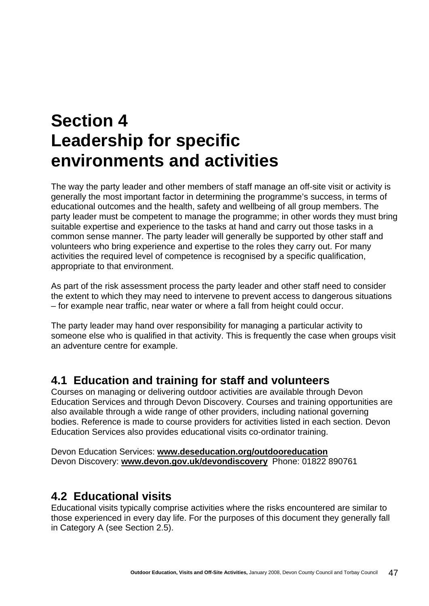# **Section 4 Leadership for specific environments and activities**

The way the party leader and other members of staff manage an off-site visit or activity is generally the most important factor in determining the programme's success, in terms of educational outcomes and the health, safety and wellbeing of all group members. The party leader must be competent to manage the programme; in other words they must bring suitable expertise and experience to the tasks at hand and carry out those tasks in a common sense manner. The party leader will generally be supported by other staff and volunteers who bring experience and expertise to the roles they carry out. For many activities the required level of competence is recognised by a specific qualification, appropriate to that environment.

As part of the risk assessment process the party leader and other staff need to consider the extent to which they may need to intervene to prevent access to dangerous situations – for example near traffic, near water or where a fall from height could occur.

The party leader may hand over responsibility for managing a particular activity to someone else who is qualified in that activity. This is frequently the case when groups visit an adventure centre for example.

# **4.1 Education and training for staff and volunteers**

Courses on managing or delivering outdoor activities are available through Devon Education Services and through Devon Discovery. Courses and training opportunities are also available through a wide range of other providers, including national governing bodies. Reference is made to course providers for activities listed in each section. Devon Education Services also provides educational visits co-ordinator training.

Devon Education Services: **[www.deseducation.org/outdooreducation](http://www.deseducation.org/outdooreducation)** Devon Discovery: **[www.devon.gov.uk/devondiscovery](http://www.devon.gov.uk/devondiscovery)** Phone: 01822 890761

# **4.2 Educational visits**

Educational visits typically comprise activities where the risks encountered are similar to those experienced in every day life. For the purposes of this document they generally fall in Category A (see Section 2.5).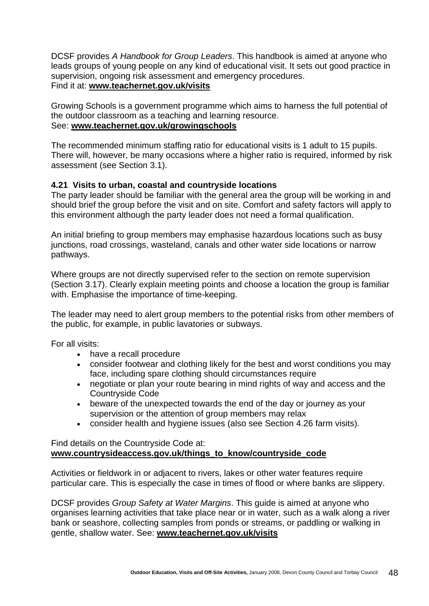DCSF provides *A Handbook for Group Leaders*. This handbook is aimed at anyone who leads groups of young people on any kind of educational visit. It sets out good practice in supervision, ongoing risk assessment and emergency procedures. Find it at: **[www.teachernet.gov.uk/visits](http://www.teachernet.gov.uk/visits)**

Growing Schools is a government programme which aims to harness the full potential of the outdoor classroom as a teaching and learning resource. See: **[www.teachernet.gov.uk/growingschools](http://www.teachernet.gov.uk/growingschools/)**

The recommended minimum staffing ratio for educational visits is 1 adult to 15 pupils. There will, however, be many occasions where a higher ratio is required, informed by risk assessment (see Section 3.1).

# **4.21 Visits to urban, coastal and countryside locations**

The party leader should be familiar with the general area the group will be working in and should brief the group before the visit and on site. Comfort and safety factors will apply to this environment although the party leader does not need a formal qualification.

An initial briefing to group members may emphasise hazardous locations such as busy junctions, road crossings, wasteland, canals and other water side locations or narrow pathways.

Where groups are not directly supervised refer to the section on remote supervision (Section 3.17). Clearly explain meeting points and choose a location the group is familiar with. Emphasise the importance of time-keeping.

The leader may need to alert group members to the potential risks from other members of the public, for example, in public lavatories or subways.

For all visits:

- have a recall procedure
- consider footwear and clothing likely for the best and worst conditions you may face, including spare clothing should circumstances require
- negotiate or plan your route bearing in mind rights of way and access and the Countryside Code
- beware of the unexpected towards the end of the day or journey as your supervision or the attention of group members may relax
- consider health and hygiene issues (also see Section 4.26 farm visits).

Find details on the Countryside Code at: **[www.countrysideaccess.gov.uk/things\\_to\\_know/countryside\\_code](http://www.countrysideaccess.gov.uk/things_to_know/countryside_code)**

Activities or fieldwork in or adjacent to rivers, lakes or other water features require particular care. This is especially the case in times of flood or where banks are slippery.

DCSF provides *Group Safety at Water Margins*. This guide is aimed at anyone who organises learning activities that take place near or in water, such as a walk along a river bank or seashore, collecting samples from ponds or streams, or paddling or walking in gentle, shallow water. See: **[www.teachernet.gov.uk/visits](http://www.teachernet.gov.uk/visits)**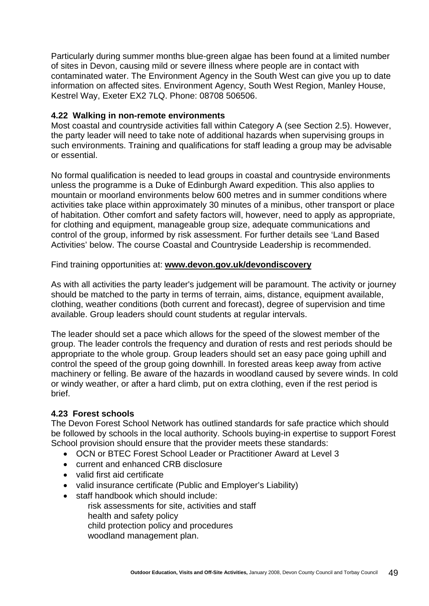Particularly during summer months blue-green algae has been found at a limited number of sites in Devon, causing mild or severe illness where people are in contact with contaminated water. The Environment Agency in the South West can give you up to date information on affected sites. Environment Agency, South West Region, Manley House, Kestrel Way, Exeter EX2 7LQ. Phone: 08708 506506.

#### **4.22 Walking in non-remote environments**

Most coastal and countryside activities fall within Category A (see Section 2.5). However, the party leader will need to take note of additional hazards when supervising groups in such environments. Training and qualifications for staff leading a group may be advisable or essential.

No formal qualification is needed to lead groups in coastal and countryside environments unless the programme is a Duke of Edinburgh Award expedition. This also applies to mountain or moorland environments below 600 metres and in summer conditions where activities take place within approximately 30 minutes of a minibus, other transport or place of habitation. Other comfort and safety factors will, however, need to apply as appropriate, for clothing and equipment, manageable group size, adequate communications and control of the group, informed by risk assessment. For further details see 'Land Based Activities' below. The course Coastal and Countryside Leadership is recommended.

Find training opportunities at: **[www.devon.gov.uk/devondiscovery](http://www.devon.gov.uk/devondiscovery)**

As with all activities the party leader's judgement will be paramount. The activity or journey should be matched to the party in terms of terrain, aims, distance, equipment available, clothing, weather conditions (both current and forecast), degree of supervision and time available. Group leaders should count students at regular intervals.

The leader should set a pace which allows for the speed of the slowest member of the group. The leader controls the frequency and duration of rests and rest periods should be appropriate to the whole group. Group leaders should set an easy pace going uphill and control the speed of the group going downhill. In forested areas keep away from active machinery or felling. Be aware of the hazards in woodland caused by severe winds. In cold or windy weather, or after a hard climb, put on extra clothing, even if the rest period is brief.

# **4.23 Forest schools**

The Devon Forest School Network has outlined standards for safe practice which should be followed by schools in the local authority. Schools buying-in expertise to support Forest School provision should ensure that the provider meets these standards:

- OCN or BTEC Forest School Leader or Practitioner Award at Level 3
- current and enhanced CRB disclosure
- valid first aid certificate
- valid insurance certificate (Public and Employer's Liability)
- staff handbook which should include:
	- risk assessments for site, activities and staff health and safety policy child protection policy and procedures
		- woodland management plan.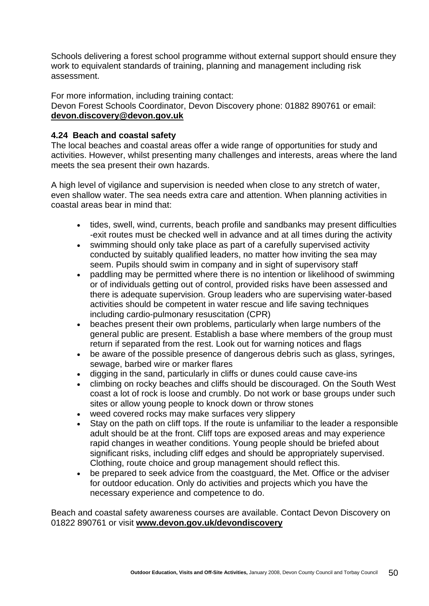Schools delivering a forest school programme without external support should ensure they work to equivalent standards of training, planning and management including risk assessment.

For more information, including training contact: Devon Forest Schools Coordinator, Devon Discovery phone: 01882 890761 or email: **[devon.discovery@devon.gov.uk](mailto:devon.discovery@devon.gov.uk)**

# **4.24 Beach and coastal safety**

The local beaches and coastal areas offer a wide range of opportunities for study and activities. However, whilst presenting many challenges and interests, areas where the land meets the sea present their own hazards.

A high level of vigilance and supervision is needed when close to any stretch of water, even shallow water. The sea needs extra care and attention. When planning activities in coastal areas bear in mind that:

- tides, swell, wind, currents, beach profile and sandbanks may present difficulties -exit routes must be checked well in advance and at all times during the activity
- swimming should only take place as part of a carefully supervised activity conducted by suitably qualified leaders, no matter how inviting the sea may seem. Pupils should swim in company and in sight of supervisory staff
- paddling may be permitted where there is no intention or likelihood of swimming or of individuals getting out of control, provided risks have been assessed and there is adequate supervision. Group leaders who are supervising water-based activities should be competent in water rescue and life saving techniques including cardio-pulmonary resuscitation (CPR)
- beaches present their own problems, particularly when large numbers of the general public are present. Establish a base where members of the group must return if separated from the rest. Look out for warning notices and flags
- be aware of the possible presence of dangerous debris such as glass, syringes, sewage, barbed wire or marker flares
- digging in the sand, particularly in cliffs or dunes could cause cave-ins
- climbing on rocky beaches and cliffs should be discouraged. On the South West coast a lot of rock is loose and crumbly. Do not work or base groups under such sites or allow young people to knock down or throw stones
- weed covered rocks may make surfaces very slippery
- Stay on the path on cliff tops. If the route is unfamiliar to the leader a responsible adult should be at the front. Cliff tops are exposed areas and may experience rapid changes in weather conditions. Young people should be briefed about significant risks, including cliff edges and should be appropriately supervised. Clothing, route choice and group management should reflect this.
- be prepared to seek advice from the coastguard, the Met. Office or the adviser for outdoor education. Only do activities and projects which you have the necessary experience and competence to do.

Beach and coastal safety awareness courses are available. Contact Devon Discovery on 01822 890761 or visit **[www.devon.gov.uk/devondiscovery](http://www.devon.gov.uk/devondiscovery)**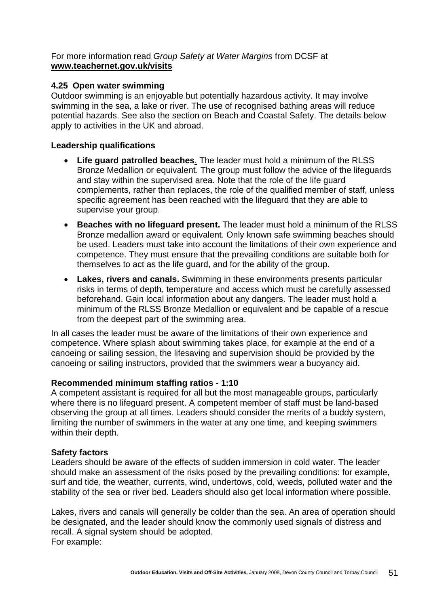For more information read *Group Safety at Water Margins* from DCSF at **[www.teachernet.gov.uk/visits](http://www.teachernet.gov.uk/visits)**

#### **4.25 Open water swimming**

Outdoor swimming is an enjoyable but potentially hazardous activity. It may involve swimming in the sea, a lake or river. The use of recognised bathing areas will reduce potential hazards. See also the section on Beach and Coastal Safety. The details below apply to activities in the UK and abroad.

### **Leadership qualifications**

- **Life guard patrolled beaches**. The leader must hold a minimum of the RLSS Bronze Medallion or equivalent. The group must follow the advice of the lifeguards and stay within the supervised area. Note that the role of the life guard complements, rather than replaces, the role of the qualified member of staff, unless specific agreement has been reached with the lifeguard that they are able to supervise your group.
- **Beaches with no lifeguard present.** The leader must hold a minimum of the RLSS Bronze medallion award or equivalent. Only known safe swimming beaches should be used. Leaders must take into account the limitations of their own experience and competence. They must ensure that the prevailing conditions are suitable both for themselves to act as the life guard, and for the ability of the group.
- **Lakes, rivers and canals.** Swimming in these environments presents particular risks in terms of depth, temperature and access which must be carefully assessed beforehand. Gain local information about any dangers. The leader must hold a minimum of the RLSS Bronze Medallion or equivalent and be capable of a rescue from the deepest part of the swimming area.

In all cases the leader must be aware of the limitations of their own experience and competence. Where splash about swimming takes place, for example at the end of a canoeing or sailing session, the lifesaving and supervision should be provided by the canoeing or sailing instructors, provided that the swimmers wear a buoyancy aid.

#### **Recommended minimum staffing ratios - 1:10**

A competent assistant is required for all but the most manageable groups, particularly where there is no lifeguard present. A competent member of staff must be land-based observing the group at all times. Leaders should consider the merits of a buddy system, limiting the number of swimmers in the water at any one time, and keeping swimmers within their depth.

#### **Safety factors**

Leaders should be aware of the effects of sudden immersion in cold water. The leader should make an assessment of the risks posed by the prevailing conditions: for example, surf and tide, the weather, currents, wind, undertows, cold, weeds, polluted water and the stability of the sea or river bed. Leaders should also get local information where possible.

Lakes, rivers and canals will generally be colder than the sea. An area of operation should be designated, and the leader should know the commonly used signals of distress and recall. A signal system should be adopted. For example: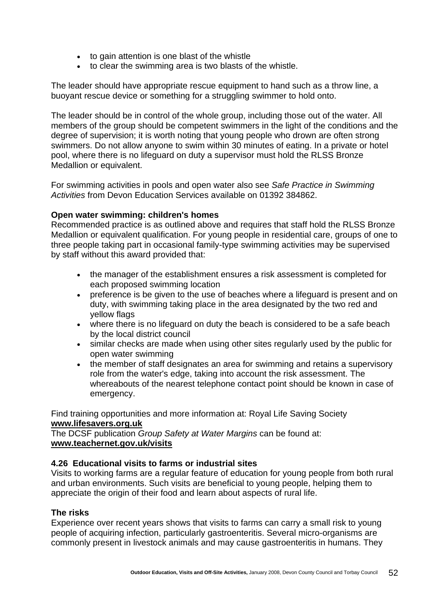- to gain attention is one blast of the whistle
- to clear the swimming area is two blasts of the whistle.

The leader should have appropriate rescue equipment to hand such as a throw line, a buoyant rescue device or something for a struggling swimmer to hold onto.

The leader should be in control of the whole group, including those out of the water. All members of the group should be competent swimmers in the light of the conditions and the degree of supervision; it is worth noting that young people who drown are often strong swimmers. Do not allow anyone to swim within 30 minutes of eating. In a private or hotel pool, where there is no lifeguard on duty a supervisor must hold the RLSS Bronze Medallion or equivalent.

For swimming activities in pools and open water also see *Safe Practice in Swimming Activities* from Devon Education Services available on 01392 384862.

#### **Open water swimming: children's homes**

Recommended practice is as outlined above and requires that staff hold the RLSS Bronze Medallion or equivalent qualification. For young people in residential care, groups of one to three people taking part in occasional family-type swimming activities may be supervised by staff without this award provided that:

- the manager of the establishment ensures a risk assessment is completed for each proposed swimming location
- preference is be given to the use of beaches where a lifeguard is present and on duty, with swimming taking place in the area designated by the two red and yellow flags
- where there is no lifeguard on duty the beach is considered to be a safe beach by the local district council
- similar checks are made when using other sites regularly used by the public for open water swimming
- the member of staff designates an area for swimming and retains a supervisory role from the water's edge, taking into account the risk assessment. The whereabouts of the nearest telephone contact point should be known in case of emergency.

Find training opportunities and more information at: Royal Life Saving Society **[www.lifesavers.org.uk](http://www.lifesavers.org.uk/)**

The DCSF publication *Group Safety at Water Margins* can be found at: **[www.teachernet.gov.uk/visits](http://www.teachernet.gov.uk/visits)**

#### **4.26 Educational visits to farms or industrial sites**

Visits to working farms are a regular feature of education for young people from both rural and urban environments. Such visits are beneficial to young people, helping them to appreciate the origin of their food and learn about aspects of rural life.

#### **The risks**

Experience over recent years shows that visits to farms can carry a small risk to young people of acquiring infection, particularly gastroenteritis. Several micro-organisms are commonly present in livestock animals and may cause gastroenteritis in humans. They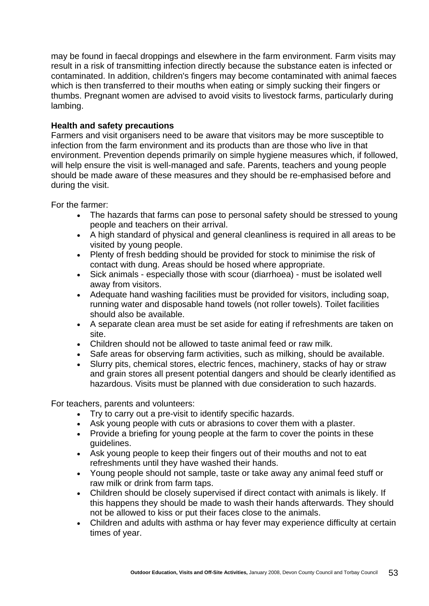may be found in faecal droppings and elsewhere in the farm environment. Farm visits may result in a risk of transmitting infection directly because the substance eaten is infected or contaminated. In addition, children's fingers may become contaminated with animal faeces which is then transferred to their mouths when eating or simply sucking their fingers or thumbs. Pregnant women are advised to avoid visits to livestock farms, particularly during lambing.

#### **Health and safety precautions**

Farmers and visit organisers need to be aware that visitors may be more susceptible to infection from the farm environment and its products than are those who live in that environment. Prevention depends primarily on simple hygiene measures which, if followed, will help ensure the visit is well-managed and safe. Parents, teachers and young people should be made aware of these measures and they should be re-emphasised before and during the visit.

For the farmer:

- The hazards that farms can pose to personal safety should be stressed to young people and teachers on their arrival.
- A high standard of physical and general cleanliness is required in all areas to be visited by young people.
- Plenty of fresh bedding should be provided for stock to minimise the risk of contact with dung. Areas should be hosed where appropriate.
- Sick animals especially those with scour (diarrhoea) must be isolated well away from visitors.
- Adequate hand washing facilities must be provided for visitors, including soap, running water and disposable hand towels (not roller towels). Toilet facilities should also be available.
- A separate clean area must be set aside for eating if refreshments are taken on site.
- Children should not be allowed to taste animal feed or raw milk.
- Safe areas for observing farm activities, such as milking, should be available.
- Slurry pits, chemical stores, electric fences, machinery, stacks of hay or straw and grain stores all present potential dangers and should be clearly identified as hazardous. Visits must be planned with due consideration to such hazards.

For teachers, parents and volunteers:

- Try to carry out a pre-visit to identify specific hazards.
- Ask young people with cuts or abrasions to cover them with a plaster.
- Provide a briefing for young people at the farm to cover the points in these guidelines.
- Ask young people to keep their fingers out of their mouths and not to eat refreshments until they have washed their hands.
- Young people should not sample, taste or take away any animal feed stuff or raw milk or drink from farm taps.
- Children should be closely supervised if direct contact with animals is likely. If this happens they should be made to wash their hands afterwards. They should not be allowed to kiss or put their faces close to the animals.
- Children and adults with asthma or hay fever may experience difficulty at certain times of year.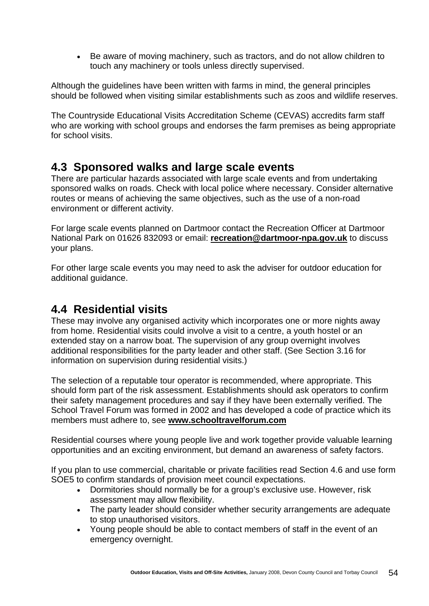• Be aware of moving machinery, such as tractors, and do not allow children to touch any machinery or tools unless directly supervised.

Although the guidelines have been written with farms in mind, the general principles should be followed when visiting similar establishments such as zoos and wildlife reserves.

The Countryside Educational Visits Accreditation Scheme (CEVAS) accredits farm staff who are working with school groups and endorses the farm premises as being appropriate for school visits.

# **4.3 Sponsored walks and large scale events**

There are particular hazards associated with large scale events and from undertaking sponsored walks on roads. Check with local police where necessary. Consider alternative routes or means of achieving the same objectives, such as the use of a non-road environment or different activity.

For large scale events planned on Dartmoor contact the Recreation Officer at Dartmoor National Park on 01626 832093 or email: **[recreation@dartmoor-npa.gov.uk](mailto:recreation@dartmoor-npa.gov.uk)** to discuss your plans.

For other large scale events you may need to ask the adviser for outdoor education for additional guidance.

# **4.4 Residential visits**

These may involve any organised activity which incorporates one or more nights away from home. Residential visits could involve a visit to a centre, a youth hostel or an extended stay on a narrow boat. The supervision of any group overnight involves additional responsibilities for the party leader and other staff. (See Section 3.16 for information on supervision during residential visits.)

The selection of a reputable tour operator is recommended, where appropriate. This should form part of the risk assessment. Establishments should ask operators to confirm their safety management procedures and say if they have been externally verified. The School Travel Forum was formed in 2002 and has developed a code of practice which its members must adhere to, see **[www.schooltravelforum.com](http://www.schooltravelforum.com/)**

Residential courses where young people live and work together provide valuable learning opportunities and an exciting environment, but demand an awareness of safety factors.

If you plan to use commercial, charitable or private facilities read Section 4.6 and use form SOE5 to confirm standards of provision meet council expectations.

- Dormitories should normally be for a group's exclusive use. However, risk assessment may allow flexibility.
- The party leader should consider whether security arrangements are adequate to stop unauthorised visitors.
- Young people should be able to contact members of staff in the event of an emergency overnight.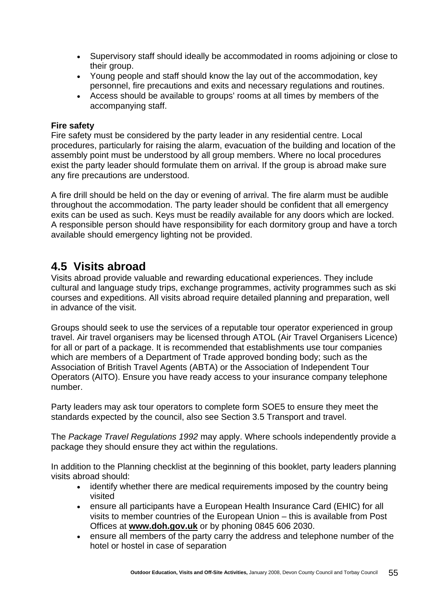- Supervisory staff should ideally be accommodated in rooms adjoining or close to their group.
- Young people and staff should know the lay out of the accommodation, key personnel, fire precautions and exits and necessary regulations and routines.
- Access should be available to groups' rooms at all times by members of the accompanying staff.

### **Fire safety**

Fire safety must be considered by the party leader in any residential centre. Local procedures, particularly for raising the alarm, evacuation of the building and location of the assembly point must be understood by all group members. Where no local procedures exist the party leader should formulate them on arrival. If the group is abroad make sure any fire precautions are understood.

A fire drill should be held on the day or evening of arrival. The fire alarm must be audible throughout the accommodation. The party leader should be confident that all emergency exits can be used as such. Keys must be readily available for any doors which are locked. A responsible person should have responsibility for each dormitory group and have a torch available should emergency lighting not be provided.

# **4.5 Visits abroad**

Visits abroad provide valuable and rewarding educational experiences. They include cultural and language study trips, exchange programmes, activity programmes such as ski courses and expeditions. All visits abroad require detailed planning and preparation, well in advance of the visit.

Groups should seek to use the services of a reputable tour operator experienced in group travel. Air travel organisers may be licensed through ATOL (Air Travel Organisers Licence) for all or part of a package. It is recommended that establishments use tour companies which are members of a Department of Trade approved bonding body; such as the Association of British Travel Agents (ABTA) or the Association of Independent Tour Operators (AITO). Ensure you have ready access to your insurance company telephone number.

Party leaders may ask tour operators to complete form SOE5 to ensure they meet the standards expected by the council, also see Section 3.5 Transport and travel.

The *Package Travel Regulations 1992* may apply. Where schools independently provide a package they should ensure they act within the regulations.

In addition to the Planning checklist at the beginning of this booklet, party leaders planning visits abroad should:

- identify whether there are medical requirements imposed by the country being visited
- ensure all participants have a European Health Insurance Card (EHIC) for all visits to member countries of the European Union – this is available from Post Offices at **[www.doh.gov.uk](http://www.doh.gov.uk/)** or by phoning 0845 606 2030.
- ensure all members of the party carry the address and telephone number of the hotel or hostel in case of separation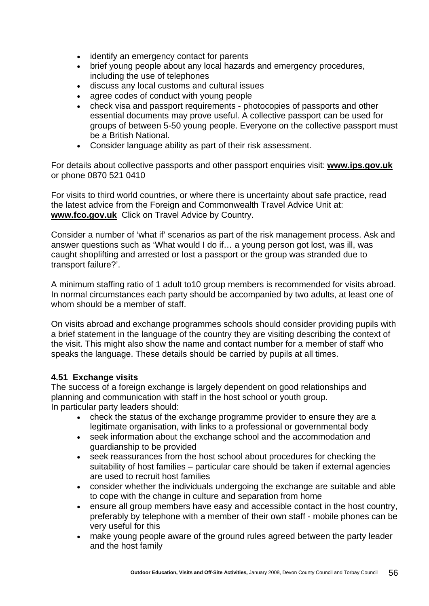- identify an emergency contact for parents
- brief young people about any local hazards and emergency procedures, including the use of telephones
- discuss any local customs and cultural issues
- agree codes of conduct with young people
- check visa and passport requirements photocopies of passports and other essential documents may prove useful. A collective passport can be used for groups of between 5-50 young people. Everyone on the collective passport must be a British National.
- Consider language ability as part of their risk assessment.

For details about collective passports and other passport enquiries visit: **[www.ips.gov.uk](http://www.ips.gov.uk/)** or phone 0870 521 0410

For visits to third world countries, or where there is uncertainty about safe practice, read the latest advice from the Foreign and Commonwealth Travel Advice Unit at: **[www.fco.gov.uk](http://www.fco.gov.uk/)** Click on Travel Advice by Country.

Consider a number of 'what if' scenarios as part of the risk management process. Ask and answer questions such as 'What would I do if… a young person got lost, was ill, was caught shoplifting and arrested or lost a passport or the group was stranded due to transport failure?'.

A minimum staffing ratio of 1 adult to10 group members is recommended for visits abroad. In normal circumstances each party should be accompanied by two adults, at least one of whom should be a member of staff.

On visits abroad and exchange programmes schools should consider providing pupils with a brief statement in the language of the country they are visiting describing the context of the visit. This might also show the name and contact number for a member of staff who speaks the language. These details should be carried by pupils at all times.

# **4.51 Exchange visits**

The success of a foreign exchange is largely dependent on good relationships and planning and communication with staff in the host school or youth group. In particular party leaders should:

- check the status of the exchange programme provider to ensure they are a legitimate organisation, with links to a professional or governmental body
- seek information about the exchange school and the accommodation and guardianship to be provided
- seek reassurances from the host school about procedures for checking the suitability of host families – particular care should be taken if external agencies are used to recruit host families
- consider whether the individuals undergoing the exchange are suitable and able to cope with the change in culture and separation from home
- ensure all group members have easy and accessible contact in the host country, preferably by telephone with a member of their own staff - mobile phones can be very useful for this
- make young people aware of the ground rules agreed between the party leader and the host family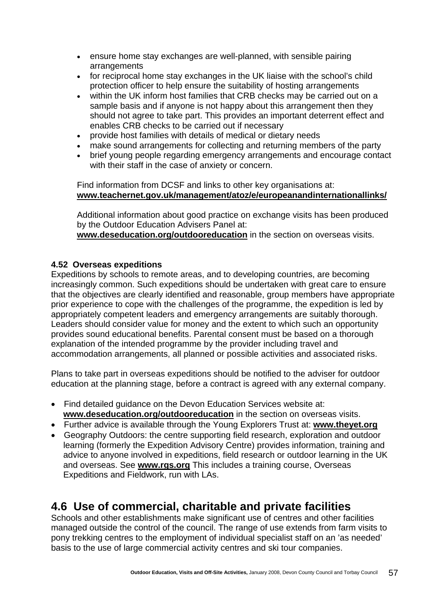- ensure home stay exchanges are well-planned, with sensible pairing arrangements
- for reciprocal home stay exchanges in the UK liaise with the school's child protection officer to help ensure the suitability of hosting arrangements
- within the UK inform host families that CRB checks may be carried out on a sample basis and if anyone is not happy about this arrangement then they should not agree to take part. This provides an important deterrent effect and enables CRB checks to be carried out if necessary
- provide host families with details of medical or dietary needs
- make sound arrangements for collecting and returning members of the party
- brief young people regarding emergency arrangements and encourage contact with their staff in the case of anxiety or concern.

Find information from DCSF and links to other key organisations at: **[www.teachernet.gov.uk/management/atoz/e/europeanandinternationallinks/](http://www.teachernet.gov.uk/management/atoz/e/europeanandinternationallinks/)**

Additional information about good practice on exchange visits has been produced by the Outdoor Education Advisers Panel at:

**[www.deseducation.org/outdooreducation](http://www.deseducation.org/outdooreducation)** in the section on overseas visits.

#### **4.52 Overseas expeditions**

Expeditions by schools to remote areas, and to developing countries, are becoming increasingly common. Such expeditions should be undertaken with great care to ensure that the objectives are clearly identified and reasonable, group members have appropriate prior experience to cope with the challenges of the programme, the expedition is led by appropriately competent leaders and emergency arrangements are suitably thorough. Leaders should consider value for money and the extent to which such an opportunity provides sound educational benefits. Parental consent must be based on a thorough explanation of the intended programme by the provider including travel and accommodation arrangements, all planned or possible activities and associated risks.

Plans to take part in overseas expeditions should be notified to the adviser for outdoor education at the planning stage, before a contract is agreed with any external company.

- Find detailed guidance on the Devon Education Services website at: **[www.deseducation.org/outdooreducation](http://www.deseducation.org/outdooreducation)** in the section on overseas visits.
- Further advice is available through the Young Explorers Trust at: **[www.theyet.org](http://www.theyet.org/)**
- Geography Outdoors: the centre supporting field research, exploration and outdoor learning (formerly the Expedition Advisory Centre) provides information, training and advice to anyone involved in expeditions, field research or outdoor learning in the UK and overseas. See **[www.rgs.org](http://www.rgs.org/)** This includes a training course, Overseas Expeditions and Fieldwork, run with LAs.

# **4.6 Use of commercial, charitable and private facilities**

Schools and other establishments make significant use of centres and other facilities managed outside the control of the council. The range of use extends from farm visits to pony trekking centres to the employment of individual specialist staff on an 'as needed' basis to the use of large commercial activity centres and ski tour companies.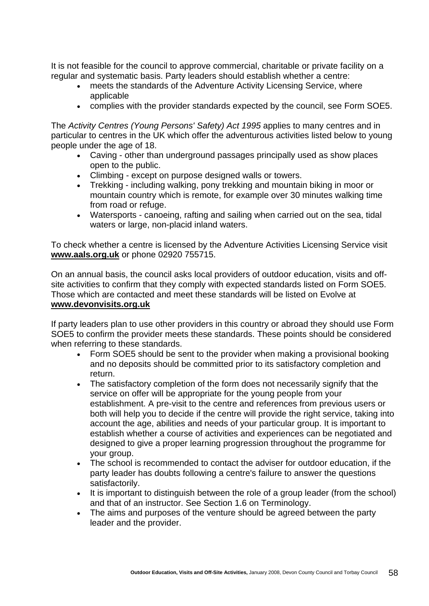It is not feasible for the council to approve commercial, charitable or private facility on a regular and systematic basis. Party leaders should establish whether a centre:

- meets the standards of the Adventure Activity Licensing Service, where applicable
- complies with the provider standards expected by the council, see Form SOE5.

The *Activity Centres (Young Persons' Safety) Act 1995* applies to many centres and in particular to centres in the UK which offer the adventurous activities listed below to young people under the age of 18.

- Caving other than underground passages principally used as show places open to the public.
- Climbing except on purpose designed walls or towers.
- Trekking including walking, pony trekking and mountain biking in moor or mountain country which is remote, for example over 30 minutes walking time from road or refuge.
- Watersports canoeing, rafting and sailing when carried out on the sea, tidal waters or large, non-placid inland waters.

To check whether a centre is licensed by the Adventure Activities Licensing Service visit **[www.aals.org](http://www.aala.org/).uk** or phone 02920 755715.

On an annual basis, the council asks local providers of outdoor education, visits and offsite activities to confirm that they comply with expected standards listed on Form SOE5. Those which are contacted and meet these standards will be listed on Evolve at **[www.devonvisits.org.](http://www.devonvisits.org/)uk**

If party leaders plan to use other providers in this country or abroad they should use Form SOE5 to confirm the provider meets these standards. These points should be considered when referring to these standards.

- Form SOE5 should be sent to the provider when making a provisional booking and no deposits should be committed prior to its satisfactory completion and return.
- The satisfactory completion of the form does not necessarily signify that the service on offer will be appropriate for the young people from your establishment. A pre-visit to the centre and references from previous users or both will help you to decide if the centre will provide the right service, taking into account the age, abilities and needs of your particular group. It is important to establish whether a course of activities and experiences can be negotiated and designed to give a proper learning progression throughout the programme for your group.
- The school is recommended to contact the adviser for outdoor education, if the party leader has doubts following a centre's failure to answer the questions satisfactorily.
- It is important to distinguish between the role of a group leader (from the school) and that of an instructor. See Section 1.6 on Terminology.
- The aims and purposes of the venture should be agreed between the party leader and the provider.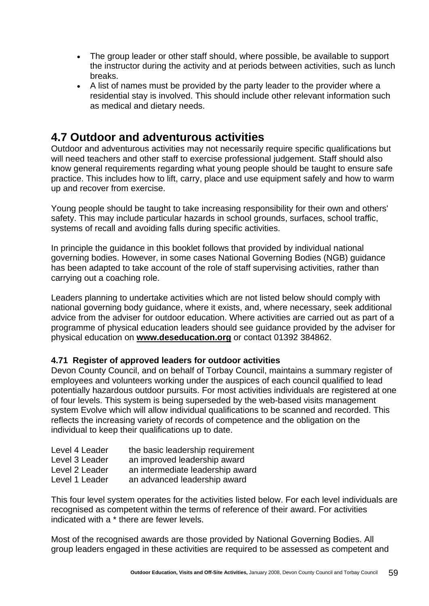- The group leader or other staff should, where possible, be available to support the instructor during the activity and at periods between activities, such as lunch breaks.
- A list of names must be provided by the party leader to the provider where a residential stay is involved. This should include other relevant information such as medical and dietary needs.

# **4.7 Outdoor and adventurous activities**

Outdoor and adventurous activities may not necessarily require specific qualifications but will need teachers and other staff to exercise professional judgement. Staff should also know general requirements regarding what young people should be taught to ensure safe practice. This includes how to lift, carry, place and use equipment safely and how to warm up and recover from exercise.

Young people should be taught to take increasing responsibility for their own and others' safety. This may include particular hazards in school grounds, surfaces, school traffic, systems of recall and avoiding falls during specific activities.

In principle the guidance in this booklet follows that provided by individual national governing bodies. However, in some cases National Governing Bodies (NGB) guidance has been adapted to take account of the role of staff supervising activities, rather than carrying out a coaching role.

Leaders planning to undertake activities which are not listed below should comply with national governing body guidance, where it exists, and, where necessary, seek additional advice from the adviser for outdoor education. Where activities are carried out as part of a programme of physical education leaders should see guidance provided by the adviser for physical education on **[www.deseducation.org](http://www.deseducation.org/)** or contact 01392 384862.

# **4.71 Register of approved leaders for outdoor activities**

Devon County Council, and on behalf of Torbay Council, maintains a summary register of employees and volunteers working under the auspices of each council qualified to lead potentially hazardous outdoor pursuits. For most activities individuals are registered at one of four levels. This system is being superseded by the web-based visits management system Evolve which will allow individual qualifications to be scanned and recorded. This reflects the increasing variety of records of competence and the obligation on the individual to keep their qualifications up to date.

| Level 4 Leader | the basic leadership requirement |
|----------------|----------------------------------|
| Level 3 Leader | an improved leadership award     |
| Level 2 Leader | an intermediate leadership award |
| Level 1 Leader | an advanced leadership award     |

This four level system operates for the activities listed below. For each level individuals are recognised as competent within the terms of reference of their award. For activities indicated with a \* there are fewer levels.

Most of the recognised awards are those provided by National Governing Bodies. All group leaders engaged in these activities are required to be assessed as competent and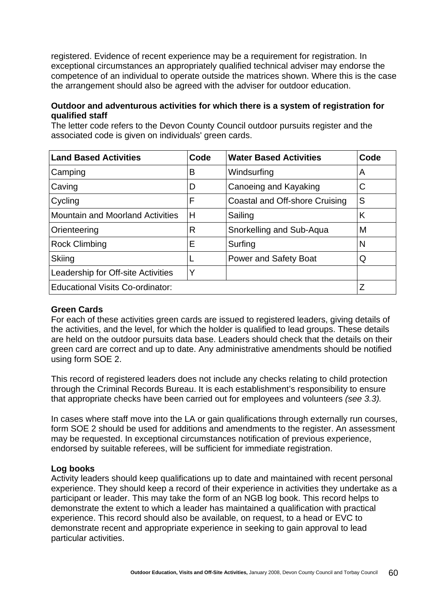registered. Evidence of recent experience may be a requirement for registration. In exceptional circumstances an appropriately qualified technical adviser may endorse the competence of an individual to operate outside the matrices shown. Where this is the case the arrangement should also be agreed with the adviser for outdoor education.

### **Outdoor and adventurous activities for which there is a system of registration for qualified staff**

**Land Based Activities Code Water Based Activities Code**  Camping Reserves The B Windsurfing A A Caving Caving Caving Caving Caving Caving C Cycling  $\begin{array}{ccc} \vert F \vert \vert \end{array}$  Coastal and Off-shore Cruising S Mountain and Moorland Activities  $|H \t|$  Sailing  $|K|$ Orienteering **R** Snorkelling and Sub-Aqua M Rock Climbing  $\vert E \vert$  Surfing  $\vert N \vert$ Skiing **L Power and Safety Boat** Q Leadership for Off-site Activities  $\vert$  Y Educational Visits Co-ordinator:  $|Z|$ 

The letter code refers to the Devon County Council outdoor pursuits register and the associated code is given on individuals' green cards.

#### **Green Cards**

For each of these activities green cards are issued to registered leaders, giving details of the activities, and the level, for which the holder is qualified to lead groups. These details are held on the outdoor pursuits data base. Leaders should check that the details on their green card are correct and up to date. Any administrative amendments should be notified using form SOE 2.

This record of registered leaders does not include any checks relating to child protection through the Criminal Records Bureau. It is each establishment's responsibility to ensure that appropriate checks have been carried out for employees and volunteers *(see 3.3).*

In cases where staff move into the LA or gain qualifications through externally run courses, form SOE 2 should be used for additions and amendments to the register. An assessment may be requested. In exceptional circumstances notification of previous experience, endorsed by suitable referees, will be sufficient for immediate registration.

#### **Log books**

Activity leaders should keep qualifications up to date and maintained with recent personal experience. They should keep a record of their experience in activities they undertake as a participant or leader. This may take the form of an NGB log book. This record helps to demonstrate the extent to which a leader has maintained a qualification with practical experience. This record should also be available, on request, to a head or EVC to demonstrate recent and appropriate experience in seeking to gain approval to lead particular activities.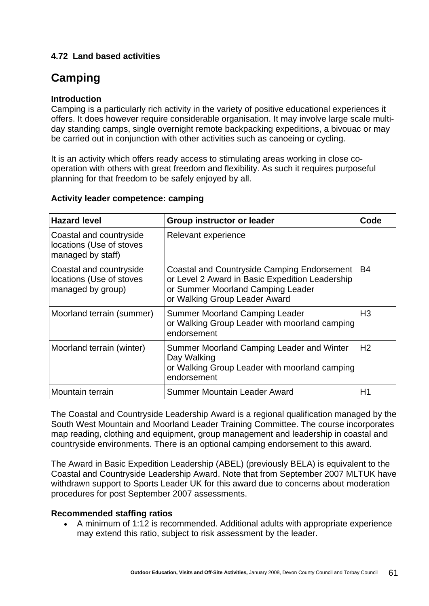# **4.72 Land based activities**

# **Camping**

### **Introduction**

Camping is a particularly rich activity in the variety of positive educational experiences it offers. It does however require considerable organisation. It may involve large scale multiday standing camps, single overnight remote backpacking expeditions, a bivouac or may be carried out in conjunction with other activities such as canoeing or cycling.

It is an activity which offers ready access to stimulating areas working in close cooperation with others with great freedom and flexibility. As such it requires purposeful planning for that freedom to be safely enjoyed by all.

| <b>Hazard level</b>                                                      | <b>Group instructor or leader</b>                                                                                                                                    | Code           |
|--------------------------------------------------------------------------|----------------------------------------------------------------------------------------------------------------------------------------------------------------------|----------------|
| Coastal and countryside<br>locations (Use of stoves<br>managed by staff) | Relevant experience                                                                                                                                                  |                |
| Coastal and countryside<br>locations (Use of stoves<br>managed by group) | Coastal and Countryside Camping Endorsement<br>or Level 2 Award in Basic Expedition Leadership<br>or Summer Moorland Camping Leader<br>or Walking Group Leader Award | B4             |
| Moorland terrain (summer)                                                | <b>Summer Moorland Camping Leader</b><br>or Walking Group Leader with moorland camping<br>endorsement                                                                | H <sub>3</sub> |
| Moorland terrain (winter)                                                | Summer Moorland Camping Leader and Winter<br>Day Walking<br>or Walking Group Leader with moorland camping<br>endorsement                                             | H <sub>2</sub> |
| Mountain terrain                                                         | <b>Summer Mountain Leader Award</b>                                                                                                                                  | H1             |

#### **Activity leader competence: camping**

The Coastal and Countryside Leadership Award is a regional qualification managed by the South West Mountain and Moorland Leader Training Committee. The course incorporates map reading, clothing and equipment, group management and leadership in coastal and countryside environments. There is an optional camping endorsement to this award.

The Award in Basic Expedition Leadership (ABEL) (previously BELA) is equivalent to the Coastal and Countryside Leadership Award. Note that from September 2007 MLTUK have withdrawn support to Sports Leader UK for this award due to concerns about moderation procedures for post September 2007 assessments.

# **Recommended staffing ratios**

• A minimum of 1:12 is recommended. Additional adults with appropriate experience may extend this ratio, subject to risk assessment by the leader.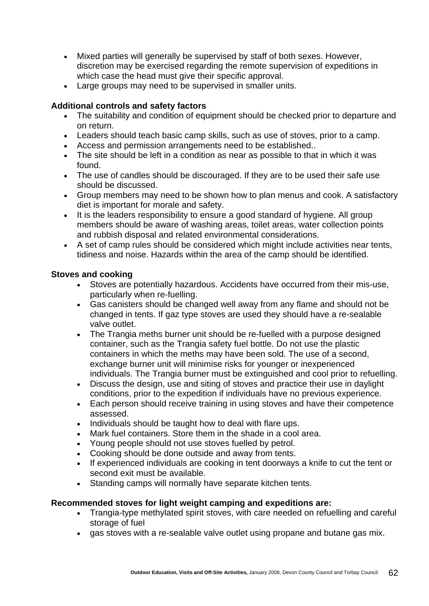- Mixed parties will generally be supervised by staff of both sexes. However, discretion may be exercised regarding the remote supervision of expeditions in which case the head must give their specific approval.
- Large groups may need to be supervised in smaller units.

### **Additional controls and safety factors**

- The suitability and condition of equipment should be checked prior to departure and on return.
- Leaders should teach basic camp skills, such as use of stoves, prior to a camp.
- Access and permission arrangements need to be established..
- The site should be left in a condition as near as possible to that in which it was found.
- The use of candles should be discouraged. If they are to be used their safe use should be discussed.
- Group members may need to be shown how to plan menus and cook. A satisfactory diet is important for morale and safety.
- It is the leaders responsibility to ensure a good standard of hygiene. All group members should be aware of washing areas, toilet areas, water collection points and rubbish disposal and related environmental considerations.
- A set of camp rules should be considered which might include activities near tents, tidiness and noise. Hazards within the area of the camp should be identified.

#### **Stoves and cooking**

- Stoves are potentially hazardous. Accidents have occurred from their mis-use, particularly when re-fuelling.
- Gas canisters should be changed well away from any flame and should not be changed in tents. If gaz type stoves are used they should have a re-sealable valve outlet.
- The Trangia meths burner unit should be re-fuelled with a purpose designed container, such as the Trangia safety fuel bottle. Do not use the plastic containers in which the meths may have been sold. The use of a second, exchange burner unit will minimise risks for younger or inexperienced individuals. The Trangia burner must be extinguished and cool prior to refuelling.
- Discuss the design, use and siting of stoves and practice their use in daylight conditions, prior to the expedition if individuals have no previous experience.
- Each person should receive training in using stoves and have their competence assessed.
- Individuals should be taught how to deal with flare ups.
- Mark fuel containers. Store them in the shade in a cool area.
- Young people should not use stoves fuelled by petrol.
- Cooking should be done outside and away from tents.
- If experienced individuals are cooking in tent doorways a knife to cut the tent or second exit must be available.
- Standing camps will normally have separate kitchen tents.

#### **Recommended stoves for light weight camping and expeditions are:**

- Trangia-type methylated spirit stoves, with care needed on refuelling and careful storage of fuel
- gas stoves with a re-sealable valve outlet using propane and butane gas mix.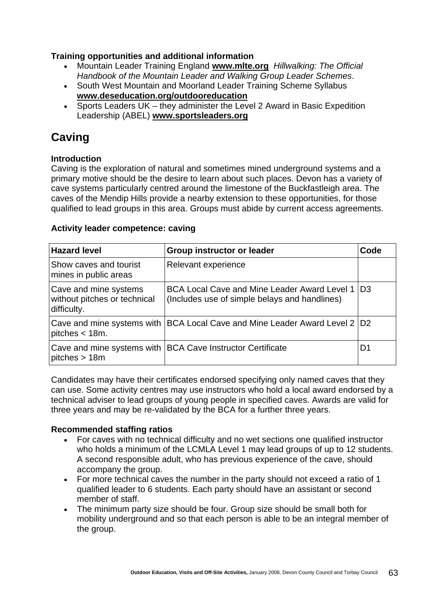### **Training opportunities and additional information**

- Mountain Leader Training England **[www.mlte.org](http://www.mltb.org/)** *Hillwalking: The Official Handbook of the Mountain Leader and Walking Group Leader Schemes*.
- South West Mountain and Moorland Leader Training Scheme Syllabus **[www.deseducation.org/outdooreducation](http://www.deseducation.org/outdooreducation)**
- Sports Leaders  $UK they$  administer the Level 2 Award in Basic Expedition Leadership (ABEL) **[www.sportsleaders.org](http://www.sportsleaders.org/)**

# **Caving**

#### **Introduction**

Caving is the exploration of natural and sometimes mined underground systems and a primary motive should be the desire to learn about such places. Devon has a variety of cave systems particularly centred around the limestone of the Buckfastleigh area. The caves of the Mendip Hills provide a nearby extension to these opportunities, for those qualified to lead groups in this area. Groups must abide by current access agreements.

#### **Activity leader competence: caving**

| <b>Hazard level</b>                                                  | <b>Group instructor or leader</b>                                                                    | Code           |
|----------------------------------------------------------------------|------------------------------------------------------------------------------------------------------|----------------|
| Show caves and tourist<br>mines in public areas                      | Relevant experience                                                                                  |                |
| Cave and mine systems<br>without pitches or technical<br>difficulty. | <b>BCA Local Cave and Mine Leader Award Level 1</b><br>(Includes use of simple belays and handlines) | D <sub>3</sub> |
| pitches $<$ 18m.                                                     | Cave and mine systems with   BCA Local Cave and Mine Leader Award Level 2   D2                       |                |
| pitches > 18m                                                        | Cave and mine systems with   BCA Cave Instructor Certificate                                         | D1             |

Candidates may have their certificates endorsed specifying only named caves that they can use. Some activity centres may use instructors who hold a local award endorsed by a technical adviser to lead groups of young people in specified caves. Awards are valid for three years and may be re-validated by the BCA for a further three years.

#### **Recommended staffing ratios**

- For caves with no technical difficulty and no wet sections one qualified instructor who holds a minimum of the LCMLA Level 1 may lead groups of up to 12 students. A second responsible adult, who has previous experience of the cave, should accompany the group.
- For more technical caves the number in the party should not exceed a ratio of 1 qualified leader to 6 students. Each party should have an assistant or second member of staff.
- The minimum party size should be four. Group size should be small both for mobility underground and so that each person is able to be an integral member of the group.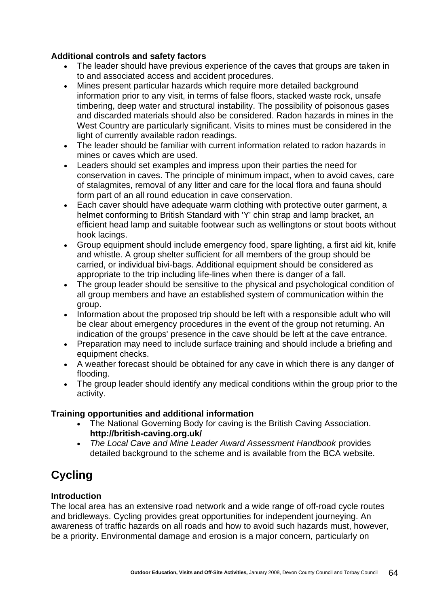### **Additional controls and safety factors**

- The leader should have previous experience of the caves that groups are taken in to and associated access and accident procedures.
- Mines present particular hazards which require more detailed background information prior to any visit, in terms of false floors, stacked waste rock, unsafe timbering, deep water and structural instability. The possibility of poisonous gases and discarded materials should also be considered. Radon hazards in mines in the West Country are particularly significant. Visits to mines must be considered in the light of currently available radon readings.
- The leader should be familiar with current information related to radon hazards in mines or caves which are used.
- Leaders should set examples and impress upon their parties the need for conservation in caves. The principle of minimum impact, when to avoid caves, care of stalagmites, removal of any litter and care for the local flora and fauna should form part of an all round education in cave conservation.
- Each caver should have adequate warm clothing with protective outer garment, a helmet conforming to British Standard with 'Y' chin strap and lamp bracket, an efficient head lamp and suitable footwear such as wellingtons or stout boots without hook lacings.
- Group equipment should include emergency food, spare lighting, a first aid kit, knife and whistle. A group shelter sufficient for all members of the group should be carried, or individual bivi-bags. Additional equipment should be considered as appropriate to the trip including life-lines when there is danger of a fall.
- The group leader should be sensitive to the physical and psychological condition of all group members and have an established system of communication within the group.
- Information about the proposed trip should be left with a responsible adult who will be clear about emergency procedures in the event of the group not returning. An indication of the groups' presence in the cave should be left at the cave entrance.
- Preparation may need to include surface training and should include a briefing and equipment checks.
- A weather forecast should be obtained for any cave in which there is any danger of flooding.
- The group leader should identify any medical conditions within the group prior to the activity.

# **Training opportunities and additional information**

- The National Governing Body for caving is the British Caving Association. **<http://british-caving.org.uk/>**
- *The Local Cave and Mine Leader Award Assessment Handbook* provides detailed background to the scheme and is available from the BCA website.

# **Cycling**

# **Introduction**

The local area has an extensive road network and a wide range of off-road cycle routes and bridleways. Cycling provides great opportunities for independent journeying. An awareness of traffic hazards on all roads and how to avoid such hazards must, however, be a priority. Environmental damage and erosion is a major concern, particularly on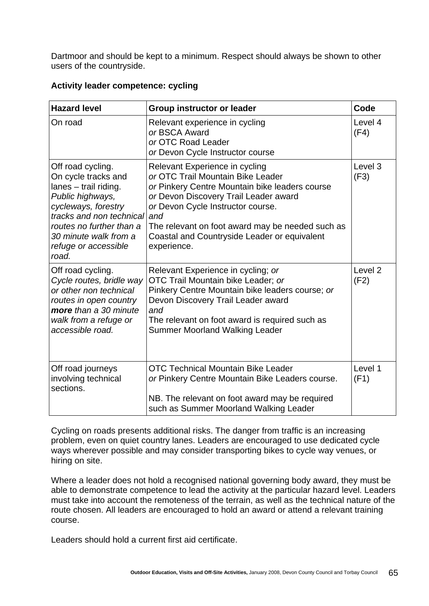Dartmoor and should be kept to a minimum. Respect should always be shown to other users of the countryside.

|  |  | Activity leader competence: cycling |  |
|--|--|-------------------------------------|--|
|--|--|-------------------------------------|--|

| <b>Hazard level</b>                                                                                                                                                                                                            | <b>Group instructor or leader</b>                                                                                                                                                                                                                                                                                             | Code                       |
|--------------------------------------------------------------------------------------------------------------------------------------------------------------------------------------------------------------------------------|-------------------------------------------------------------------------------------------------------------------------------------------------------------------------------------------------------------------------------------------------------------------------------------------------------------------------------|----------------------------|
| On road                                                                                                                                                                                                                        | Relevant experience in cycling<br>or BSCA Award<br>or OTC Road Leader<br>or Devon Cycle Instructor course                                                                                                                                                                                                                     | Level 4<br>(F4)            |
| Off road cycling.<br>On cycle tracks and<br>lanes - trail riding.<br>Public highways,<br>cycleways, forestry<br>tracks and non technical<br>routes no further than a<br>30 minute walk from a<br>refuge or accessible<br>road. | Relevant Experience in cycling<br>or OTC Trail Mountain Bike Leader<br>or Pinkery Centre Mountain bike leaders course<br>or Devon Discovery Trail Leader award<br>or Devon Cycle Instructor course.<br>and<br>The relevant on foot award may be needed such as<br>Coastal and Countryside Leader or equivalent<br>experience. | Level 3<br>(F3)            |
| Off road cycling.<br>Cycle routes, bridle way<br>or other non technical<br>routes in open country<br>more than a 30 minute<br>walk from a refuge or<br>accessible road.                                                        | Relevant Experience in cycling; or<br>OTC Trail Mountain bike Leader; or<br>Pinkery Centre Mountain bike leaders course; or<br>Devon Discovery Trail Leader award<br>and<br>The relevant on foot award is required such as<br><b>Summer Moorland Walking Leader</b>                                                           | Level <sub>2</sub><br>(F2) |
| Off road journeys<br>involving technical<br>sections.                                                                                                                                                                          | <b>OTC Technical Mountain Bike Leader</b><br>or Pinkery Centre Mountain Bike Leaders course.<br>NB. The relevant on foot award may be required<br>such as Summer Moorland Walking Leader                                                                                                                                      | Level 1<br>(F1)            |

Cycling on roads presents additional risks. The danger from traffic is an increasing problem, even on quiet country lanes. Leaders are encouraged to use dedicated cycle ways wherever possible and may consider transporting bikes to cycle way venues, or hiring on site.

Where a leader does not hold a recognised national governing body award, they must be able to demonstrate competence to lead the activity at the particular hazard level. Leaders must take into account the remoteness of the terrain, as well as the technical nature of the route chosen. All leaders are encouraged to hold an award or attend a relevant training course.

Leaders should hold a current first aid certificate.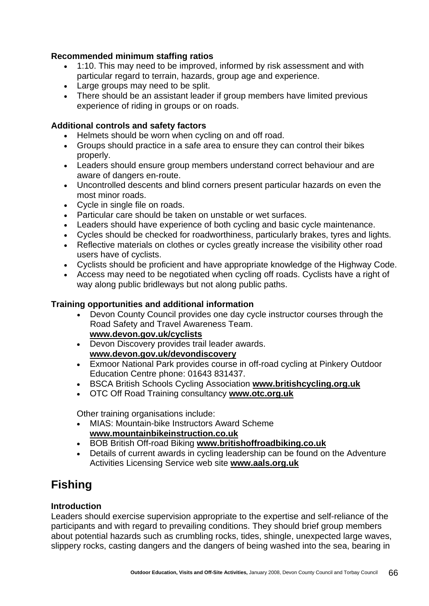### **Recommended minimum staffing ratios**

- 1:10. This may need to be improved, informed by risk assessment and with particular regard to terrain, hazards, group age and experience.
- Large groups may need to be split.
- There should be an assistant leader if group members have limited previous experience of riding in groups or on roads.

#### **Additional controls and safety factors**

- Helmets should be worn when cycling on and off road.
- Groups should practice in a safe area to ensure they can control their bikes properly.
- Leaders should ensure group members understand correct behaviour and are aware of dangers en-route.
- Uncontrolled descents and blind corners present particular hazards on even the most minor roads.
- Cycle in single file on roads.
- Particular care should be taken on unstable or wet surfaces.
- Leaders should have experience of both cycling and basic cycle maintenance.
- Cycles should be checked for roadworthiness, particularly brakes, tyres and lights.
- Reflective materials on clothes or cycles greatly increase the visibility other road users have of cyclists.
- Cyclists should be proficient and have appropriate knowledge of the Highway Code.
- Access may need to be negotiated when cycling off roads. Cyclists have a right of way along public bridleways but not along public paths.

#### **Training opportunities and additional information**

- Devon County Council provides one day cycle instructor courses through the Road Safety and Travel Awareness Team. **[www.devon.gov.uk/cyclists](http://www.devon.gov.uk/index/transport/traffic/road_safety/cyclists)**
- Devon Discovery provides trail leader awards. **[www.devon.gov.uk/devondiscovery](http://www.devon.gov.uk/devondiscovery)**
- Exmoor National Park provides course in off-road cycling at Pinkery Outdoor Education Centre phone: 01643 831437.
- BSCA British Schools Cycling Association **[www.britishcycling.org.uk](http://www.britishcycling.org.uk/)**
- OTC Off Road Training consultancy **[www.otc.org.uk](http://www.otc.org.uk/)**

Other training organisations include:

- MIAS: Mountain-bike Instructors Award Scheme **[www.mountainbikeinstruction.co.uk](http://www.mountainbikeinstruction.co.uk/)**
- BOB British Off-road Biking **[www.britishoffroadbiking.co.uk](http://www.britishoffroadbiking.co.uk/)**
- Details of current awards in cycling leadership can be found on the Adventure Activities Licensing Service web site **[www.aals.org.uk](http://www.aals.org.uk/)**

# **Fishing**

#### **Introduction**

Leaders should exercise supervision appropriate to the expertise and self-reliance of the participants and with regard to prevailing conditions. They should brief group members about potential hazards such as crumbling rocks, tides, shingle, unexpected large waves, slippery rocks, casting dangers and the dangers of being washed into the sea, bearing in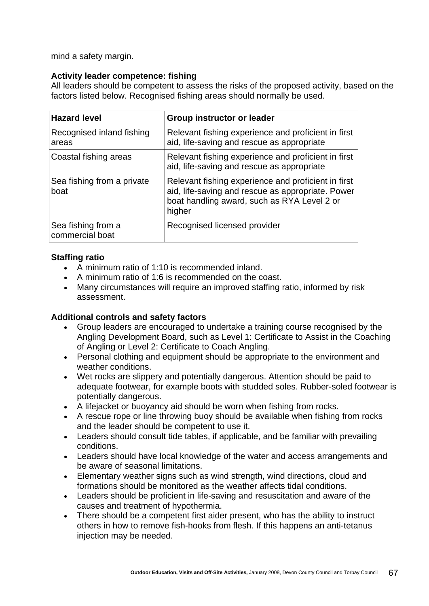mind a safety margin.

### **Activity leader competence: fishing**

All leaders should be competent to assess the risks of the proposed activity, based on the factors listed below. Recognised fishing areas should normally be used.

| <b>Hazard level</b>                   | <b>Group instructor or leader</b>                                                                                                                                 |
|---------------------------------------|-------------------------------------------------------------------------------------------------------------------------------------------------------------------|
| Recognised inland fishing<br>areas    | Relevant fishing experience and proficient in first<br>aid, life-saving and rescue as appropriate                                                                 |
| Coastal fishing areas                 | Relevant fishing experience and proficient in first<br>aid, life-saving and rescue as appropriate                                                                 |
| Sea fishing from a private<br>boat    | Relevant fishing experience and proficient in first<br>aid, life-saving and rescue as appropriate. Power<br>boat handling award, such as RYA Level 2 or<br>higher |
| Sea fishing from a<br>commercial boat | Recognised licensed provider                                                                                                                                      |

### **Staffing ratio**

- A minimum ratio of 1:10 is recommended inland.
- A minimum ratio of 1:6 is recommended on the coast.
- Many circumstances will require an improved staffing ratio, informed by risk assessment.

#### **Additional controls and safety factors**

- Group leaders are encouraged to undertake a training course recognised by the Angling Development Board, such as Level 1: Certificate to Assist in the Coaching of Angling or Level 2: Certificate to Coach Angling.
- Personal clothing and equipment should be appropriate to the environment and weather conditions.
- Wet rocks are slippery and potentially dangerous. Attention should be paid to adequate footwear, for example boots with studded soles. Rubber-soled footwear is potentially dangerous.
- A lifejacket or buoyancy aid should be worn when fishing from rocks.
- A rescue rope or line throwing buoy should be available when fishing from rocks and the leader should be competent to use it.
- Leaders should consult tide tables, if applicable, and be familiar with prevailing conditions.
- Leaders should have local knowledge of the water and access arrangements and be aware of seasonal limitations.
- Elementary weather signs such as wind strength, wind directions, cloud and formations should be monitored as the weather affects tidal conditions.
- Leaders should be proficient in life-saving and resuscitation and aware of the causes and treatment of hypothermia.
- There should be a competent first aider present, who has the ability to instruct others in how to remove fish-hooks from flesh. If this happens an anti-tetanus injection may be needed.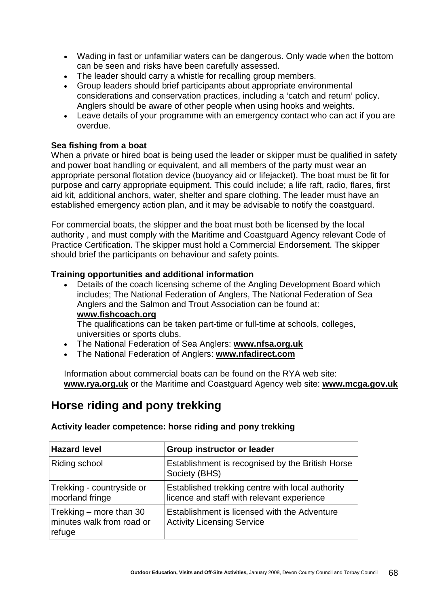- Wading in fast or unfamiliar waters can be dangerous. Only wade when the bottom can be seen and risks have been carefully assessed.
- The leader should carry a whistle for recalling group members.
- Group leaders should brief participants about appropriate environmental considerations and conservation practices, including a 'catch and return' policy. Anglers should be aware of other people when using hooks and weights.
- Leave details of your programme with an emergency contact who can act if you are overdue.

### **Sea fishing from a boat**

When a private or hired boat is being used the leader or skipper must be qualified in safety and power boat handling or equivalent, and all members of the party must wear an appropriate personal flotation device (buoyancy aid or lifejacket). The boat must be fit for purpose and carry appropriate equipment. This could include; a life raft, radio, flares, first aid kit, additional anchors, water, shelter and spare clothing. The leader must have an established emergency action plan, and it may be advisable to notify the coastguard.

For commercial boats, the skipper and the boat must both be licensed by the local authority , and must comply with the Maritime and Coastguard Agency relevant Code of Practice Certification. The skipper must hold a Commercial Endorsement. The skipper should brief the participants on behaviour and safety points.

#### **Training opportunities and additional information**

• Details of the coach licensing scheme of the Angling Development Board which includes; The National Federation of Anglers, The National Federation of Sea Anglers and the Salmon and Trout Association can be found at: **[www.fishcoach.org](http://www.fishcoach.org/)**

The qualifications can be taken part-time or full-time at schools, colleges, universities or sports clubs.

- The National Federation of Sea Anglers: **[www.nfsa.org.uk](http://www.nfsa.org.uk/)**
- The National Federation of Anglers: **[www.nfadirect.com](http://www.nfadirect.com/)**

Information about commercial boats can be found on the RYA web site: **[www.rya.org.uk](http://www.rya.org.uk/)** or the Maritime and Coastguard Agency web site: **[www.mcga.gov.uk](http://www.mcga.gov.uk/)**

# **Horse riding and pony trekking**

| <b>Hazard level</b>                                            | <b>Group instructor or leader</b>                                                              |
|----------------------------------------------------------------|------------------------------------------------------------------------------------------------|
| Riding school                                                  | Establishment is recognised by the British Horse<br>Society (BHS)                              |
| Trekking - countryside or<br>moorland fringe                   | Established trekking centre with local authority<br>licence and staff with relevant experience |
| Trekking – more than 30<br>minutes walk from road or<br>refuge | Establishment is licensed with the Adventure<br><b>Activity Licensing Service</b>              |

**Activity leader competence: horse riding and pony trekking**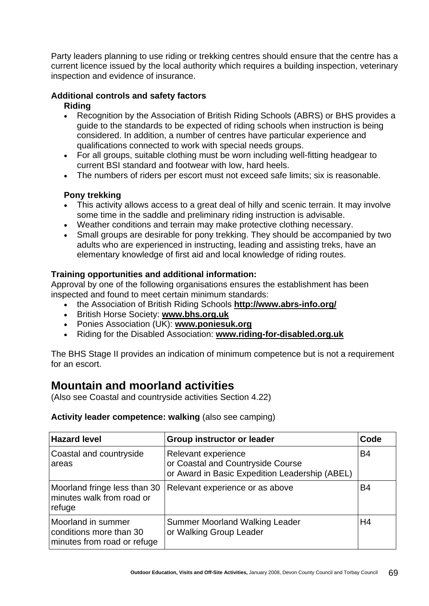Party leaders planning to use riding or trekking centres should ensure that the centre has a current licence issued by the local authority which requires a building inspection, veterinary inspection and evidence of insurance.

#### **Additional controls and safety factors Riding**

- Recognition by the Association of British Riding Schools (ABRS) or BHS provides a guide to the standards to be expected of riding schools when instruction is being considered. In addition, a number of centres have particular experience and qualifications connected to work with special needs groups.
- For all groups, suitable clothing must be worn including well-fitting headgear to current BSI standard and footwear with low, hard heels.
- The numbers of riders per escort must not exceed safe limits; six is reasonable.

# **Pony trekking**

- This activity allows access to a great deal of hilly and scenic terrain. It may involve some time in the saddle and preliminary riding instruction is advisable.
- Weather conditions and terrain may make protective clothing necessary.
- Small groups are desirable for pony trekking. They should be accompanied by two adults who are experienced in instructing, leading and assisting treks, have an elementary knowledge of first aid and local knowledge of riding routes.

# **Training opportunities and additional information:**

Approval by one of the following organisations ensures the establishment has been inspected and found to meet certain minimum standards:

- the Association of British Riding Schools **<http://www.abrs-info.org/>**
- British Horse Society: **[www.bhs.org.uk](http://www.bhs.org.uk/)**
- Ponies Association (UK): **[www.poniesuk.org](http://www.poniesuk.org/)**
- Riding for the Disabled Association: **[www.riding-for-disabled.org.uk](http://www.riding-for-disabled.org.uk/)**

The BHS Stage II provides an indication of minimum competence but is not a requirement for an escort.

# **Mountain and moorland activities**

(Also see Coastal and countryside activities Section 4.22)

#### **Activity leader competence: walking** (also see camping)

| <b>Hazard level</b>                                                          | <b>Group instructor or leader</b>                                                                          | Code      |
|------------------------------------------------------------------------------|------------------------------------------------------------------------------------------------------------|-----------|
| Coastal and countryside<br>areas                                             | Relevant experience<br>or Coastal and Countryside Course<br>or Award in Basic Expedition Leadership (ABEL) | <b>B4</b> |
| Moorland fringe less than 30<br>minutes walk from road or<br>refuge          | Relevant experience or as above                                                                            | <b>B4</b> |
| Moorland in summer<br>conditions more than 30<br>minutes from road or refuge | <b>Summer Moorland Walking Leader</b><br>or Walking Group Leader                                           | H4        |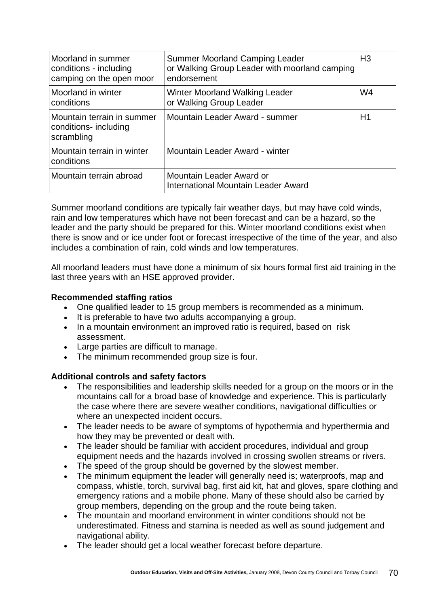| Moorland in summer<br>conditions - including<br>camping on the open moor | <b>Summer Moorland Camping Leader</b><br>or Walking Group Leader with moorland camping<br>endorsement | H <sub>3</sub> |
|--------------------------------------------------------------------------|-------------------------------------------------------------------------------------------------------|----------------|
| Moorland in winter<br>conditions                                         | Winter Moorland Walking Leader<br>or Walking Group Leader                                             | W4             |
| Mountain terrain in summer<br>conditions- including<br>scrambling        | Mountain Leader Award - summer                                                                        | H1             |
| Mountain terrain in winter<br>conditions                                 | Mountain Leader Award - winter                                                                        |                |
| Mountain terrain abroad                                                  | Mountain Leader Award or<br>International Mountain Leader Award                                       |                |

Summer moorland conditions are typically fair weather days, but may have cold winds, rain and low temperatures which have not been forecast and can be a hazard, so the leader and the party should be prepared for this. Winter moorland conditions exist when there is snow and or ice under foot or forecast irrespective of the time of the year, and also includes a combination of rain, cold winds and low temperatures.

All moorland leaders must have done a minimum of six hours formal first aid training in the last three years with an HSE approved provider.

#### **Recommended staffing ratios**

- One qualified leader to 15 group members is recommended as a minimum.
- It is preferable to have two adults accompanying a group.
- In a mountain environment an improved ratio is required, based on risk assessment.
- Large parties are difficult to manage.
- The minimum recommended group size is four.

# **Additional controls and safety factors**

- The responsibilities and leadership skills needed for a group on the moors or in the mountains call for a broad base of knowledge and experience. This is particularly the case where there are severe weather conditions, navigational difficulties or where an unexpected incident occurs.
- The leader needs to be aware of symptoms of hypothermia and hyperthermia and how they may be prevented or dealt with.
- The leader should be familiar with accident procedures, individual and group equipment needs and the hazards involved in crossing swollen streams or rivers.
- The speed of the group should be governed by the slowest member.
- The minimum equipment the leader will generally need is; waterproofs, map and compass, whistle, torch, survival bag, first aid kit, hat and gloves, spare clothing and emergency rations and a mobile phone. Many of these should also be carried by group members, depending on the group and the route being taken.
- The mountain and moorland environment in winter conditions should not be underestimated. Fitness and stamina is needed as well as sound judgement and navigational ability.
- The leader should get a local weather forecast before departure.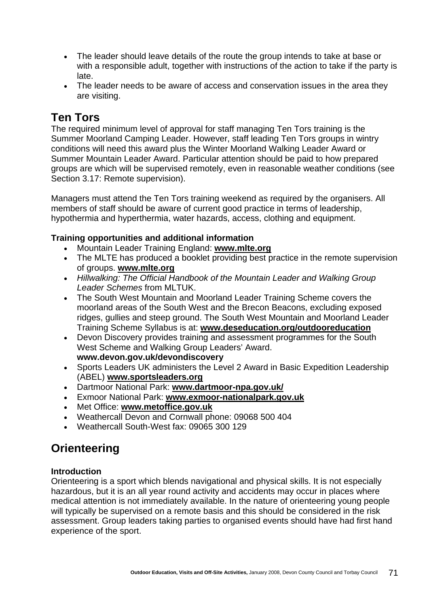- The leader should leave details of the route the group intends to take at base or with a responsible adult, together with instructions of the action to take if the party is late.
- The leader needs to be aware of access and conservation issues in the area they are visiting.

# **Ten Tors**

The required minimum level of approval for staff managing Ten Tors training is the Summer Moorland Camping Leader. However, staff leading Ten Tors groups in wintry conditions will need this award plus the Winter Moorland Walking Leader Award or Summer Mountain Leader Award. Particular attention should be paid to how prepared groups are which will be supervised remotely, even in reasonable weather conditions (see Section 3.17: Remote supervision).

Managers must attend the Ten Tors training weekend as required by the organisers. All members of staff should be aware of current good practice in terms of leadership, hypothermia and hyperthermia, water hazards, access, clothing and equipment.

#### **Training opportunities and additional information**

- Mountain Leader Training England: **[www.mlte.org](http://www.mltb.org/)**
- The MLTE has produced a booklet providing best practice in the remote supervision of groups. **[www.mlte.org](http://www.mlte.org/)**
- *Hillwalking: The Official Handbook of the Mountain Leader and Walking Group Leader Schemes* from MLTUK.
- The South West Mountain and Moorland Leader Training Scheme covers the moorland areas of the South West and the Brecon Beacons, excluding exposed ridges, gullies and steep ground. The South West Mountain and Moorland Leader Training Scheme Syllabus is at: **[www.deseducation.org/outdooreducation](http://www.deseducation.org/outdooreducation)**
- Devon Discovery provides training and assessment programmes for the South West Scheme and Walking Group Leaders' Award. **[www.devon.gov.uk/devondiscovery](http://www.devon.gov.uk/devondiscovery)**
- Sports Leaders UK administers the Level 2 Award in Basic Expedition Leadership (ABEL) **[www.sportsleaders.org](http://www.sportsleaders.org/)**
- Dartmoor National Park: **[www.dartmoor-npa.gov.uk/](http://http//www.dartmoor-npa.gov.uk/)**
- Exmoor National Park: **[www.exmoor-nationalpark.gov.uk](http://www.exmoor-nationalpark.gov.uk/)**
- Met Office: **[www.metoffice.gov.uk](http://www.metoffice.gov.uk/)**
- Weathercall Devon and Cornwall phone: 09068 500 404
- Weathercall South-West fax: 09065 300 129

# **Orienteering**

#### **Introduction**

Orienteering is a sport which blends navigational and physical skills. It is not especially hazardous, but it is an all year round activity and accidents may occur in places where medical attention is not immediately available. In the nature of orienteering young people will typically be supervised on a remote basis and this should be considered in the risk assessment. Group leaders taking parties to organised events should have had first hand experience of the sport.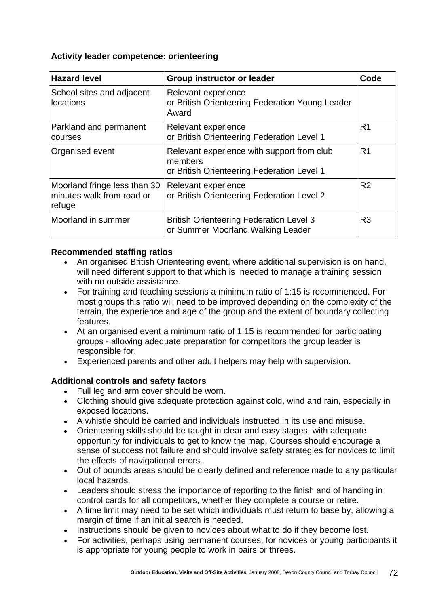#### **Activity leader competence: orienteering**

| <b>Hazard level</b>                                                 | <b>Group instructor or leader</b>                                                                   | Code           |
|---------------------------------------------------------------------|-----------------------------------------------------------------------------------------------------|----------------|
| School sites and adjacent<br>locations                              | Relevant experience<br>or British Orienteering Federation Young Leader<br>Award                     |                |
| Parkland and permanent<br>courses                                   | Relevant experience<br>or British Orienteering Federation Level 1                                   | R <sub>1</sub> |
| Organised event                                                     | Relevant experience with support from club<br>members<br>or British Orienteering Federation Level 1 | R <sub>1</sub> |
| Moorland fringe less than 30<br>minutes walk from road or<br>refuge | Relevant experience<br>or British Orienteering Federation Level 2                                   | R <sub>2</sub> |
| Moorland in summer                                                  | <b>British Orienteering Federation Level 3</b><br>or Summer Moorland Walking Leader                 | R <sub>3</sub> |

#### **Recommended staffing ratios**

- An organised British Orienteering event, where additional supervision is on hand, will need different support to that which is needed to manage a training session with no outside assistance.
- For training and teaching sessions a minimum ratio of 1:15 is recommended. For most groups this ratio will need to be improved depending on the complexity of the terrain, the experience and age of the group and the extent of boundary collecting features.
- At an organised event a minimum ratio of 1:15 is recommended for participating groups - allowing adequate preparation for competitors the group leader is responsible for.
- Experienced parents and other adult helpers may help with supervision.

#### **Additional controls and safety factors**

- Full leg and arm cover should be worn.
- Clothing should give adequate protection against cold, wind and rain, especially in exposed locations.
- A whistle should be carried and individuals instructed in its use and misuse.
- Orienteering skills should be taught in clear and easy stages, with adequate opportunity for individuals to get to know the map. Courses should encourage a sense of success not failure and should involve safety strategies for novices to limit the effects of navigational errors.
- Out of bounds areas should be clearly defined and reference made to any particular local hazards.
- Leaders should stress the importance of reporting to the finish and of handing in control cards for all competitors, whether they complete a course or retire.
- A time limit may need to be set which individuals must return to base by, allowing a margin of time if an initial search is needed.
- Instructions should be given to novices about what to do if they become lost.
- For activities, perhaps using permanent courses, for novices or young participants it is appropriate for young people to work in pairs or threes.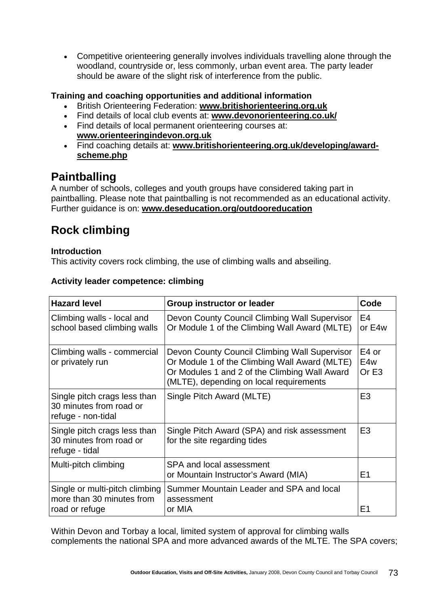• Competitive orienteering generally involves individuals travelling alone through the woodland, countryside or, less commonly, urban event area. The party leader should be aware of the slight risk of interference from the public.

#### **Training and coaching opportunities and additional information**

- British Orienteering Federation: **[www.britishorienteering.org.uk](http://www.britishorienteering.org.uk/)**
- Find details of local club events at: **[www.devonorienteering.co.uk/](http://http//www.devonorienteering.co.uk/)**
- Find details of local permanent orienteering courses at: **[www.orienteeringindevon.org.uk](http://www.orienteeringindevon.org.uk/)**
- Find coaching details at: **[www.britishorienteering.org.uk/developing/award](http://www.britishorienteering.org.uk/developing/award-scheme.php)[scheme.php](http://www.britishorienteering.org.uk/developing/award-scheme.php)**

### **Paintballing**

A number of schools, colleges and youth groups have considered taking part in paintballing. Please note that paintballing is not recommended as an educational activity. Further guidance is on: **[www.deseducation.org/outdooreducation](http://www.deseducation.org/outdooreducation)**

# **Rock climbing**

#### **Introduction**

This activity covers rock climbing, the use of climbing walls and abseiling.

| <b>Hazard level</b>                                                           | <b>Group instructor or leader</b>                                                                                                                                                          | Code                              |
|-------------------------------------------------------------------------------|--------------------------------------------------------------------------------------------------------------------------------------------------------------------------------------------|-----------------------------------|
| Climbing walls - local and<br>school based climbing walls                     | Devon County Council Climbing Wall Supervisor<br>Or Module 1 of the Climbing Wall Award (MLTE)                                                                                             | E4<br>or E4w                      |
| Climbing walls - commercial<br>or privately run                               | Devon County Council Climbing Wall Supervisor<br>Or Module 1 of the Climbing Wall Award (MLTE)<br>Or Modules 1 and 2 of the Climbing Wall Award<br>(MLTE), depending on local requirements | E4 or<br>E4w<br>Or E <sub>3</sub> |
| Single pitch crags less than<br>30 minutes from road or<br>refuge - non-tidal | Single Pitch Award (MLTE)                                                                                                                                                                  | E <sub>3</sub>                    |
| Single pitch crags less than<br>30 minutes from road or<br>refuge - tidal     | Single Pitch Award (SPA) and risk assessment<br>for the site regarding tides                                                                                                               | E <sub>3</sub>                    |
| Multi-pitch climbing                                                          | SPA and local assessment<br>or Mountain Instructor's Award (MIA)                                                                                                                           | E <sub>1</sub>                    |
| Single or multi-pitch climbing<br>more than 30 minutes from<br>road or refuge | Summer Mountain Leader and SPA and local<br>assessment<br>or MIA                                                                                                                           | E <sub>1</sub>                    |

#### **Activity leader competence: climbing**

Within Devon and Torbay a local, limited system of approval for climbing walls complements the national SPA and more advanced awards of the MLTE. The SPA covers;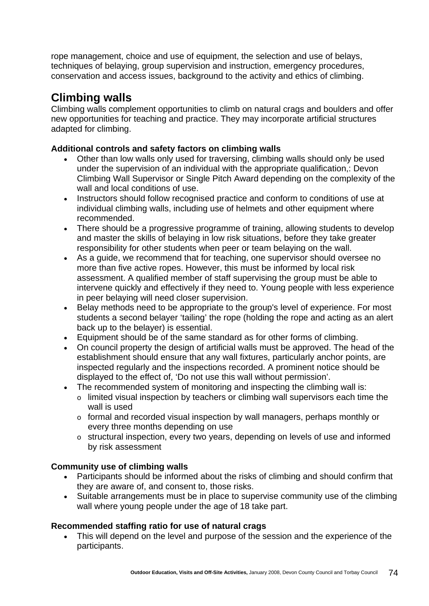rope management, choice and use of equipment, the selection and use of belays, techniques of belaying, group supervision and instruction, emergency procedures, conservation and access issues, background to the activity and ethics of climbing.

# **Climbing walls**

Climbing walls complement opportunities to climb on natural crags and boulders and offer new opportunities for teaching and practice. They may incorporate artificial structures adapted for climbing.

#### **Additional controls and safety factors on climbing walls**

- Other than low walls only used for traversing, climbing walls should only be used under the supervision of an individual with the appropriate qualification,: Devon Climbing Wall Supervisor or Single Pitch Award depending on the complexity of the wall and local conditions of use.
- Instructors should follow recognised practice and conform to conditions of use at individual climbing walls, including use of helmets and other equipment where recommended.
- There should be a progressive programme of training, allowing students to develop and master the skills of belaying in low risk situations, before they take greater responsibility for other students when peer or team belaying on the wall.
- As a guide, we recommend that for teaching, one supervisor should oversee no more than five active ropes. However, this must be informed by local risk assessment. A qualified member of staff supervising the group must be able to intervene quickly and effectively if they need to. Young people with less experience in peer belaying will need closer supervision.
- Belay methods need to be appropriate to the group's level of experience. For most students a second belayer 'tailing' the rope (holding the rope and acting as an alert back up to the belayer) is essential.
- Equipment should be of the same standard as for other forms of climbing.
- On council property the design of artificial walls must be approved. The head of the establishment should ensure that any wall fixtures, particularly anchor points, are inspected regularly and the inspections recorded. A prominent notice should be displayed to the effect of, 'Do not use this wall without permission'.
- The recommended system of monitoring and inspecting the climbing wall is:
	- o limited visual inspection by teachers or climbing wall supervisors each time the wall is used
	- o formal and recorded visual inspection by wall managers, perhaps monthly or every three months depending on use
	- o structural inspection, every two years, depending on levels of use and informed by risk assessment

#### **Community use of climbing walls**

- Participants should be informed about the risks of climbing and should confirm that they are aware of, and consent to, those risks.
- Suitable arrangements must be in place to supervise community use of the climbing wall where young people under the age of 18 take part.

### **Recommended staffing ratio for use of natural crags**

• This will depend on the level and purpose of the session and the experience of the participants.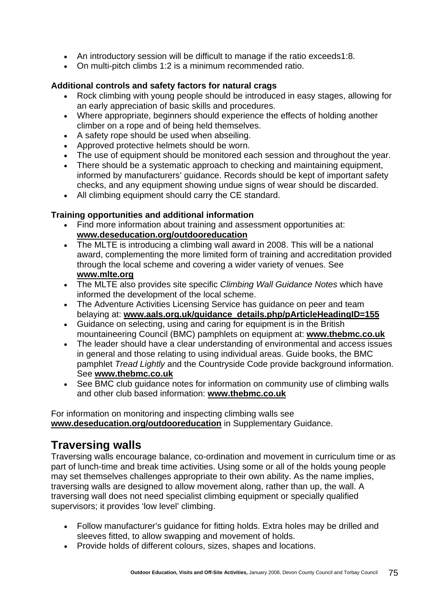- An introductory session will be difficult to manage if the ratio exceeds1:8.
- On multi-pitch climbs 1:2 is a minimum recommended ratio.

#### **Additional controls and safety factors for natural crags**

- Rock climbing with young people should be introduced in easy stages, allowing for an early appreciation of basic skills and procedures.
- Where appropriate, beginners should experience the effects of holding another climber on a rope and of being held themselves.
- A safety rope should be used when abseiling.
- Approved protective helmets should be worn.
- The use of equipment should be monitored each session and throughout the year.
- There should be a systematic approach to checking and maintaining equipment, informed by manufacturers' guidance. Records should be kept of important safety checks, and any equipment showing undue signs of wear should be discarded.
- All climbing equipment should carry the CE standard.

#### **Training opportunities and additional information**

- Find more information about training and assessment opportunities at: **[www.deseducation.org/outdooreducation](http://www.deseducation.org/outdooreducation)**
- The MLTE is introducing a climbing wall award in 2008. This will be a national award, complementing the more limited form of training and accreditation provided through the local scheme and covering a wider variety of venues. See **[www.mlte.org](http://www.mlte.org/)**
- The MLTE also provides site specific *Climbing Wall Guidance Notes* which have informed the development of the local scheme.
- The Adventure Activities Licensing Service has guidance on peer and team belaying at: **[www.aals.org.uk/guidance\\_details.php/pArticleHeadingID=155](http://www.aala.org/guidance_details.php/pArticleHeadingID=155)**
- Guidance on selecting, using and caring for equipment is in the British mountaineering Council (BMC) pamphlets on equipment at: **[www.thebmc.co.uk](http://www.thebmc.co.uk/)**
- The leader should have a clear understanding of environmental and access issues in general and those relating to using individual areas. Guide books, the BMC pamphlet *Tread Lightly* and the Countryside Code provide background information. See **[www.thebmc.co.uk](http://www.thebmc.co.uk/)**
- See BMC club guidance notes for information on community use of climbing walls and other club based information: **[www.thebmc.co.uk](http://www.thebmc.co.uk/)**

For information on monitoring and inspecting climbing walls see **[www.deseducation.org/outdooreducation](http://www.deseducation.org/outdooreducation)** in Supplementary Guidance.

### **Traversing walls**

Traversing walls encourage balance, co-ordination and movement in curriculum time or as part of lunch-time and break time activities. Using some or all of the holds young people may set themselves challenges appropriate to their own ability. As the name implies, traversing walls are designed to allow movement along, rather than up, the wall. A traversing wall does not need specialist climbing equipment or specially qualified supervisors; it provides 'low level' climbing.

- Follow manufacturer's guidance for fitting holds. Extra holes may be drilled and sleeves fitted, to allow swapping and movement of holds.
- Provide holds of different colours, sizes, shapes and locations.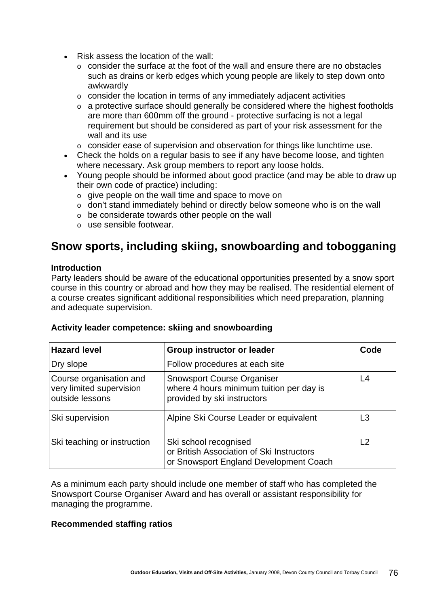- Risk assess the location of the wall:
	- o consider the surface at the foot of the wall and ensure there are no obstacles such as drains or kerb edges which young people are likely to step down onto awkwardly
	- o consider the location in terms of any immediately adjacent activities
	- o a protective surface should generally be considered where the highest footholds are more than 600mm off the ground - protective surfacing is not a legal requirement but should be considered as part of your risk assessment for the wall and its use
	- o consider ease of supervision and observation for things like lunchtime use.
- Check the holds on a regular basis to see if any have become loose, and tighten where necessary. Ask group members to report any loose holds.
- Young people should be informed about good practice (and may be able to draw up their own code of practice) including:
	- o give people on the wall time and space to move on
	- o don't stand immediately behind or directly below someone who is on the wall
	- o be considerate towards other people on the wall
	- o use sensible footwear.

# **Snow sports, including skiing, snowboarding and tobogganing**

#### **Introduction**

Party leaders should be aware of the educational opportunities presented by a snow sport course in this country or abroad and how they may be realised. The residential element of a course creates significant additional responsibilities which need preparation, planning and adequate supervision.

|  |  | Activity leader competence: skiing and snowboarding |
|--|--|-----------------------------------------------------|
|  |  |                                                     |

| <b>Hazard level</b>                                                    | <b>Group instructor or leader</b>                                                                            | Code |
|------------------------------------------------------------------------|--------------------------------------------------------------------------------------------------------------|------|
| Dry slope                                                              | Follow procedures at each site                                                                               |      |
| Course organisation and<br>very limited supervision<br>outside lessons | <b>Snowsport Course Organiser</b><br>where 4 hours minimum tuition per day is<br>provided by ski instructors | L4   |
| Ski supervision                                                        | Alpine Ski Course Leader or equivalent                                                                       | L3   |
| Ski teaching or instruction                                            | Ski school recognised<br>or British Association of Ski Instructors<br>or Snowsport England Development Coach | L2   |

As a minimum each party should include one member of staff who has completed the Snowsport Course Organiser Award and has overall or assistant responsibility for managing the programme.

#### **Recommended staffing ratios**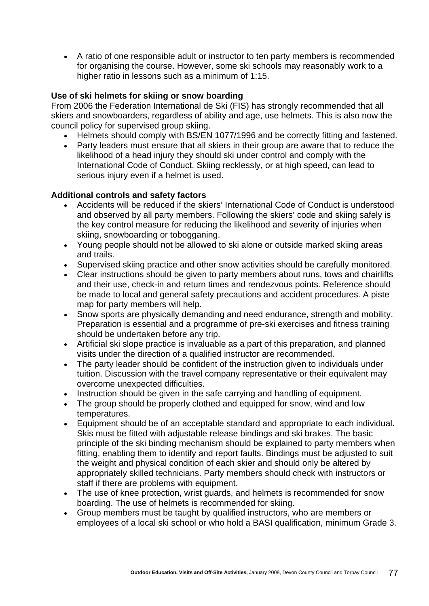• A ratio of one responsible adult or instructor to ten party members is recommended for organising the course. However, some ski schools may reasonably work to a higher ratio in lessons such as a minimum of 1:15.

#### **Use of ski helmets for skiing or snow boarding**

From 2006 the Federation International de Ski (FIS) has strongly recommended that all skiers and snowboarders, regardless of ability and age, use helmets. This is also now the council policy for supervised group skiing.

- Helmets should comply with BS/EN 1077/1996 and be correctly fitting and fastened.
- Party leaders must ensure that all skiers in their group are aware that to reduce the likelihood of a head injury they should ski under control and comply with the International Code of Conduct. Skiing recklessly, or at high speed, can lead to serious injury even if a helmet is used.

#### **Additional controls and safety factors**

- Accidents will be reduced if the skiers' International Code of Conduct is understood and observed by all party members. Following the skiers' code and skiing safely is the key control measure for reducing the likelihood and severity of injuries when skiing, snowboarding or tobogganing.
- Young people should not be allowed to ski alone or outside marked skiing areas and trails.
- Supervised skiing practice and other snow activities should be carefully monitored.
- Clear instructions should be given to party members about runs, tows and chairlifts and their use, check-in and return times and rendezvous points. Reference should be made to local and general safety precautions and accident procedures. A piste map for party members will help.
- Snow sports are physically demanding and need endurance, strength and mobility. Preparation is essential and a programme of pre-ski exercises and fitness training should be undertaken before any trip.
- Artificial ski slope practice is invaluable as a part of this preparation, and planned visits under the direction of a qualified instructor are recommended.
- The party leader should be confident of the instruction given to individuals under tuition. Discussion with the travel company representative or their equivalent may overcome unexpected difficulties.
- Instruction should be given in the safe carrying and handling of equipment.
- The group should be properly clothed and equipped for snow, wind and low temperatures.
- Equipment should be of an acceptable standard and appropriate to each individual. Skis must be fitted with adjustable release bindings and ski brakes. The basic principle of the ski binding mechanism should be explained to party members when fitting, enabling them to identify and report faults. Bindings must be adjusted to suit the weight and physical condition of each skier and should only be altered by appropriately skilled technicians. Party members should check with instructors or staff if there are problems with equipment.
- The use of knee protection, wrist guards, and helmets is recommended for snow boarding. The use of helmets is recommended for skiing.
- Group members must be taught by qualified instructors, who are members or employees of a local ski school or who hold a BASI qualification, minimum Grade 3.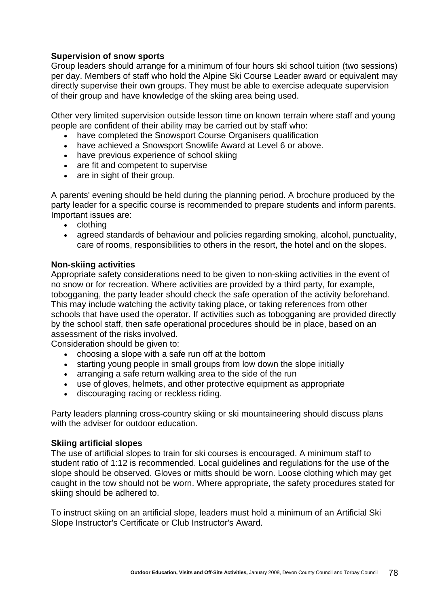#### **Supervision of snow sports**

Group leaders should arrange for a minimum of four hours ski school tuition (two sessions) per day. Members of staff who hold the Alpine Ski Course Leader award or equivalent may directly supervise their own groups. They must be able to exercise adequate supervision of their group and have knowledge of the skiing area being used.

Other very limited supervision outside lesson time on known terrain where staff and young people are confident of their ability may be carried out by staff who:

- have completed the Snowsport Course Organisers qualification
- have achieved a Snowsport Snowlife Award at Level 6 or above.
- have previous experience of school skiing
- are fit and competent to supervise
- are in sight of their group.

A parents' evening should be held during the planning period. A brochure produced by the party leader for a specific course is recommended to prepare students and inform parents. Important issues are:

- clothing
- agreed standards of behaviour and policies regarding smoking, alcohol, punctuality, care of rooms, responsibilities to others in the resort, the hotel and on the slopes.

#### **Non-skiing activities**

Appropriate safety considerations need to be given to non-skiing activities in the event of no snow or for recreation. Where activities are provided by a third party, for example, tobogganing, the party leader should check the safe operation of the activity beforehand. This may include watching the activity taking place, or taking references from other schools that have used the operator. If activities such as tobogganing are provided directly by the school staff, then safe operational procedures should be in place, based on an assessment of the risks involved.

Consideration should be given to:

- choosing a slope with a safe run off at the bottom
- starting young people in small groups from low down the slope initially
- arranging a safe return walking area to the side of the run
- use of gloves, helmets, and other protective equipment as appropriate
- discouraging racing or reckless riding.

Party leaders planning cross-country skiing or ski mountaineering should discuss plans with the adviser for outdoor education.

#### **Skiing artificial slopes**

The use of artificial slopes to train for ski courses is encouraged. A minimum staff to student ratio of 1:12 is recommended. Local guidelines and regulations for the use of the slope should be observed. Gloves or mitts should be worn. Loose clothing which may get caught in the tow should not be worn. Where appropriate, the safety procedures stated for skiing should be adhered to.

To instruct skiing on an artificial slope, leaders must hold a minimum of an Artificial Ski Slope Instructor's Certificate or Club Instructor's Award.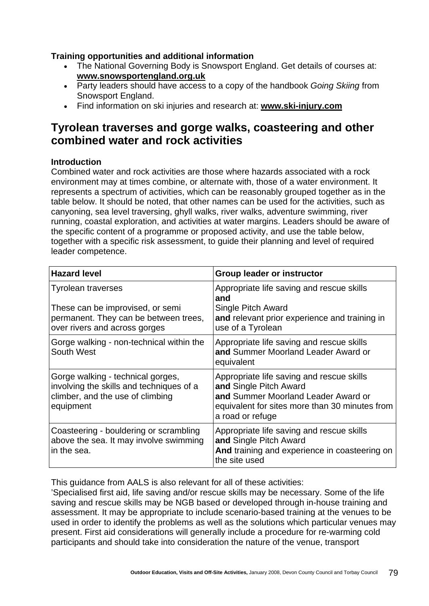#### **Training opportunities and additional information**

- The National Governing Body is Snowsport England. Get details of courses at: **[www.snowsportengland.org.uk](http://www.snowsportengland.org.uk/)**
- Party leaders should have access to a copy of the handbook *Going Skiing* from Snowsport England.
- Find information on ski injuries and research at: **[www.ski-injury.com](http://www.ski-injury.com/)**

### **Tyrolean traverses and gorge walks, coasteering and other combined water and rock activities**

#### **Introduction**

Combined water and rock activities are those where hazards associated with a rock environment may at times combine, or alternate with, those of a water environment. It represents a spectrum of activities, which can be reasonably grouped together as in the table below. It should be noted, that other names can be used for the activities, such as canyoning, sea level traversing, ghyll walks, river walks, adventure swimming, river running, coastal exploration, and activities at water margins. Leaders should be aware of the specific content of a programme or proposed activity, and use the table below, together with a specific risk assessment, to guide their planning and level of required leader competence.

| <b>Hazard level</b>                                                                                                                     | <b>Group leader or instructor</b>                                                                                                                                                |
|-----------------------------------------------------------------------------------------------------------------------------------------|----------------------------------------------------------------------------------------------------------------------------------------------------------------------------------|
| <b>Tyrolean traverses</b><br>These can be improvised, or semi<br>permanent. They can be between trees,<br>over rivers and across gorges | Appropriate life saving and rescue skills<br>and<br>Single Pitch Award<br>and relevant prior experience and training in<br>use of a Tyrolean                                     |
| Gorge walking - non-technical within the<br>South West                                                                                  | Appropriate life saving and rescue skills<br>and Summer Moorland Leader Award or<br>equivalent                                                                                   |
| Gorge walking - technical gorges,<br>involving the skills and techniques of a<br>climber, and the use of climbing<br>equipment          | Appropriate life saving and rescue skills<br>and Single Pitch Award<br>and Summer Moorland Leader Award or<br>equivalent for sites more than 30 minutes from<br>a road or refuge |
| Coasteering - bouldering or scrambling<br>above the sea. It may involve swimming<br>in the sea.                                         | Appropriate life saving and rescue skills<br>and Single Pitch Award<br>And training and experience in coasteering on<br>the site used                                            |

This guidance from AALS is also relevant for all of these activities:

'Specialised first aid, life saving and/or rescue skills may be necessary. Some of the life saving and rescue skills may be NGB based or developed through in-house training and assessment. It may be appropriate to include scenario-based training at the venues to be used in order to identify the problems as well as the solutions which particular venues may present. First aid considerations will generally include a procedure for re-warming cold participants and should take into consideration the nature of the venue, transport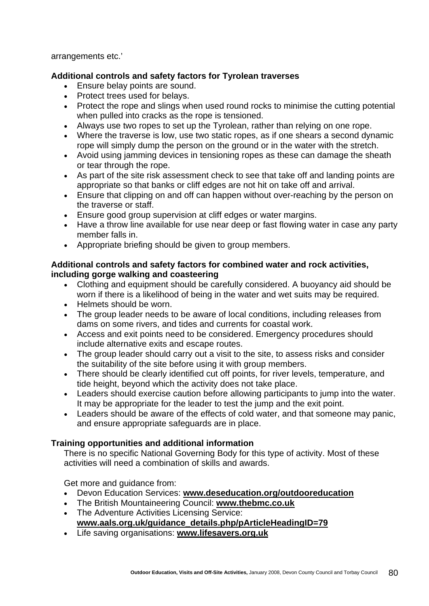arrangements etc.'

#### **Additional controls and safety factors for Tyrolean traverses**

- Ensure belay points are sound.
- Protect trees used for belays.
- Protect the rope and slings when used round rocks to minimise the cutting potential when pulled into cracks as the rope is tensioned.
- Always use two ropes to set up the Tyrolean, rather than relying on one rope.
- Where the traverse is low, use two static ropes, as if one shears a second dynamic rope will simply dump the person on the ground or in the water with the stretch.
- Avoid using jamming devices in tensioning ropes as these can damage the sheath or tear through the rope.
- As part of the site risk assessment check to see that take off and landing points are appropriate so that banks or cliff edges are not hit on take off and arrival.
- Ensure that clipping on and off can happen without over-reaching by the person on the traverse or staff.
- Ensure good group supervision at cliff edges or water margins.
- Have a throw line available for use near deep or fast flowing water in case any party member falls in.
- Appropriate briefing should be given to group members.

#### **Additional controls and safety factors for combined water and rock activities, including gorge walking and coasteering**

- Clothing and equipment should be carefully considered. A buoyancy aid should be worn if there is a likelihood of being in the water and wet suits may be required.
- Helmets should be worn.
- The group leader needs to be aware of local conditions, including releases from dams on some rivers, and tides and currents for coastal work.
- Access and exit points need to be considered. Emergency procedures should include alternative exits and escape routes.
- The group leader should carry out a visit to the site, to assess risks and consider the suitability of the site before using it with group members.
- There should be clearly identified cut off points, for river levels, temperature, and tide height, beyond which the activity does not take place.
- Leaders should exercise caution before allowing participants to jump into the water. It may be appropriate for the leader to test the jump and the exit point.
- Leaders should be aware of the effects of cold water, and that someone may panic, and ensure appropriate safeguards are in place.

#### **Training opportunities and additional information**

There is no specific National Governing Body for this type of activity. Most of these activities will need a combination of skills and awards.

Get more and guidance from:

- Devon Education Services: **[www.deseducation.org/outdooreducation](http://www.deseducation.org/outdooreducation)**
- The British Mountaineering Council: **[www.thebmc.co.uk](http://www.thebmc.co.uk/)**
- The Adventure Activities Licensing Service: **[www.aals.org.uk/guidance\\_details.php/pArticleHeadingID=79](http://www.aals.org.uk/guidance_details.php/pArticleHeadingID=79)**
- Life saving organisations: **[www.lifesavers.org.uk](http://www.lifesavers.org.uk/)**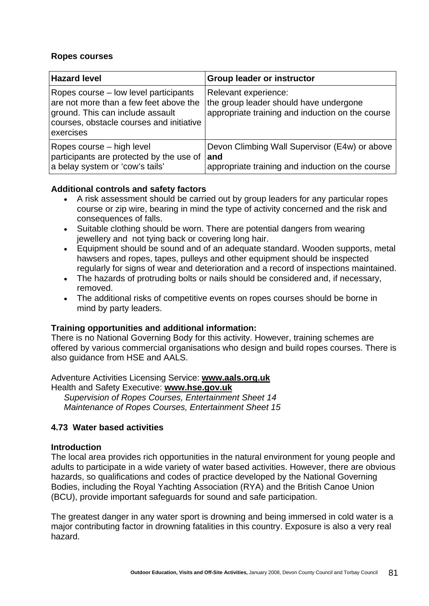#### **Ropes courses**

| <b>Hazard level</b>                                                                                                                                                          | <b>Group leader or instructor</b>                                                                                  |
|------------------------------------------------------------------------------------------------------------------------------------------------------------------------------|--------------------------------------------------------------------------------------------------------------------|
| Ropes course – low level participants<br>are not more than a few feet above the<br>ground. This can include assault<br>courses, obstacle courses and initiative<br>exercises | Relevant experience:<br>the group leader should have undergone<br>appropriate training and induction on the course |
| Ropes course – high level<br>participants are protected by the use of<br>a belay system or 'cow's tails'                                                                     | Devon Climbing Wall Supervisor (E4w) or above<br>and<br>appropriate training and induction on the course           |

#### **Additional controls and safety factors**

- A risk assessment should be carried out by group leaders for any particular ropes course or zip wire, bearing in mind the type of activity concerned and the risk and consequences of falls.
- Suitable clothing should be worn. There are potential dangers from wearing jewellery and not tying back or covering long hair.
- Equipment should be sound and of an adequate standard. Wooden supports, metal hawsers and ropes, tapes, pulleys and other equipment should be inspected regularly for signs of wear and deterioration and a record of inspections maintained.
- The hazards of protruding bolts or nails should be considered and, if necessary, removed.
- The additional risks of competitive events on ropes courses should be borne in mind by party leaders.

#### **Training opportunities and additional information:**

There is no National Governing Body for this activity. However, training schemes are offered by various commercial organisations who design and build ropes courses. There is also guidance from HSE and AALS.

Adventure Activities Licensing Service: **[www.aals.org.uk](http://www.aala.org/)** Health and Safety Executive: **[www.hse.gov.uk](http://www.hse.gov.uk/)**

*Supervision of Ropes Courses, Entertainment Sheet 14 Maintenance of Ropes Courses, Entertainment Sheet 15* 

#### **4.73 Water based activities**

#### **Introduction**

The local area provides rich opportunities in the natural environment for young people and adults to participate in a wide variety of water based activities. However, there are obvious hazards, so qualifications and codes of practice developed by the National Governing Bodies, including the Royal Yachting Association (RYA) and the British Canoe Union (BCU), provide important safeguards for sound and safe participation.

The greatest danger in any water sport is drowning and being immersed in cold water is a major contributing factor in drowning fatalities in this country. Exposure is also a very real hazard.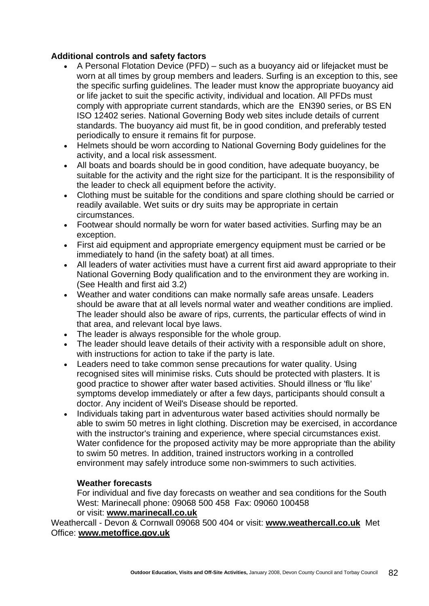#### **Additional controls and safety factors**

- A Personal Flotation Device (PFD) such as a buoyancy aid or lifejacket must be worn at all times by group members and leaders. Surfing is an exception to this, see the specific surfing guidelines. The leader must know the appropriate buoyancy aid or life jacket to suit the specific activity, individual and location. All PFDs must comply with appropriate current standards, which are the EN390 series, or BS EN ISO 12402 series. National Governing Body web sites include details of current standards. The buoyancy aid must fit, be in good condition, and preferably tested periodically to ensure it remains fit for purpose.
- Helmets should be worn according to National Governing Body guidelines for the activity, and a local risk assessment.
- All boats and boards should be in good condition, have adequate buoyancy, be suitable for the activity and the right size for the participant. It is the responsibility of the leader to check all equipment before the activity.
- Clothing must be suitable for the conditions and spare clothing should be carried or readily available. Wet suits or dry suits may be appropriate in certain circumstances.
- Footwear should normally be worn for water based activities. Surfing may be an exception.
- First aid equipment and appropriate emergency equipment must be carried or be immediately to hand (in the safety boat) at all times.
- All leaders of water activities must have a current first aid award appropriate to their National Governing Body qualification and to the environment they are working in. (See Health and first aid 3.2)
- Weather and water conditions can make normally safe areas unsafe. Leaders should be aware that at all levels normal water and weather conditions are implied. The leader should also be aware of rips, currents, the particular effects of wind in that area, and relevant local bye laws.
- The leader is always responsible for the whole group.
- The leader should leave details of their activity with a responsible adult on shore, with instructions for action to take if the party is late.
- Leaders need to take common sense precautions for water quality. Using recognised sites will minimise risks. Cuts should be protected with plasters. It is good practice to shower after water based activities. Should illness or 'flu like' symptoms develop immediately or after a few days, participants should consult a doctor. Any incident of Weil's Disease should be reported.
- Individuals taking part in adventurous water based activities should normally be able to swim 50 metres in light clothing. Discretion may be exercised, in accordance with the instructor's training and experience, where special circumstances exist. Water confidence for the proposed activity may be more appropriate than the ability to swim 50 metres. In addition, trained instructors working in a controlled environment may safely introduce some non-swimmers to such activities.

#### **Weather forecasts**

For individual and five day forecasts on weather and sea conditions for the South West: Marinecall phone: 09068 500 458 Fax: 09060 100458 or visit: **[www.marinecall.co.uk](http://www.marinecall.co.uk/)**

Weathercall - Devon & Cornwall 09068 500 404 or visit: **[www.weathercall.co.uk](http://www.weathercall.co.uk/)** Met Office: **[www.metoffice.gov.uk](http://www.metoffice.gov.uk/)**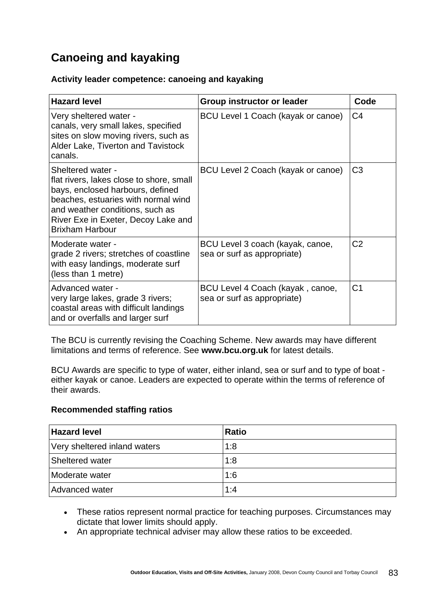# **Canoeing and kayaking**

#### **Activity leader competence: canoeing and kayaking**

| <b>Hazard level</b>                                                                                                                                                                                                                          | Group instructor or leader                                      | Code           |
|----------------------------------------------------------------------------------------------------------------------------------------------------------------------------------------------------------------------------------------------|-----------------------------------------------------------------|----------------|
| Very sheltered water -<br>canals, very small lakes, specified<br>sites on slow moving rivers, such as<br>Alder Lake, Tiverton and Tavistock<br>canals.                                                                                       | BCU Level 1 Coach (kayak or canoe)                              | C <sub>4</sub> |
| Sheltered water -<br>flat rivers, lakes close to shore, small<br>bays, enclosed harbours, defined<br>beaches, estuaries with normal wind<br>and weather conditions, such as<br>River Exe in Exeter, Decoy Lake and<br><b>Brixham Harbour</b> | BCU Level 2 Coach (kayak or canoe)                              | C <sub>3</sub> |
| Moderate water -<br>grade 2 rivers; stretches of coastline<br>with easy landings, moderate surf<br>(less than 1 metre)                                                                                                                       | BCU Level 3 coach (kayak, canoe,<br>sea or surf as appropriate) | C <sub>2</sub> |
| Advanced water -<br>very large lakes, grade 3 rivers;<br>coastal areas with difficult landings<br>and or overfalls and larger surf                                                                                                           | BCU Level 4 Coach (kayak, canoe,<br>sea or surf as appropriate) | C <sub>1</sub> |

The BCU is currently revising the Coaching Scheme. New awards may have different limitations and terms of reference. See **[www.bcu.org.uk](http://www.bcu.org.uk/)** for latest details.

BCU Awards are specific to type of water, either inland, sea or surf and to type of boat either kayak or canoe. Leaders are expected to operate within the terms of reference of their awards.

#### **Recommended staffing ratios**

| <b>Hazard level</b>          | <b>Ratio</b> |
|------------------------------|--------------|
| Very sheltered inland waters | 1:8          |
| Sheltered water              | 1:8          |
| Moderate water               | 1:6          |
| Advanced water               | 1:4          |

- These ratios represent normal practice for teaching purposes. Circumstances may dictate that lower limits should apply.
- An appropriate technical adviser may allow these ratios to be exceeded.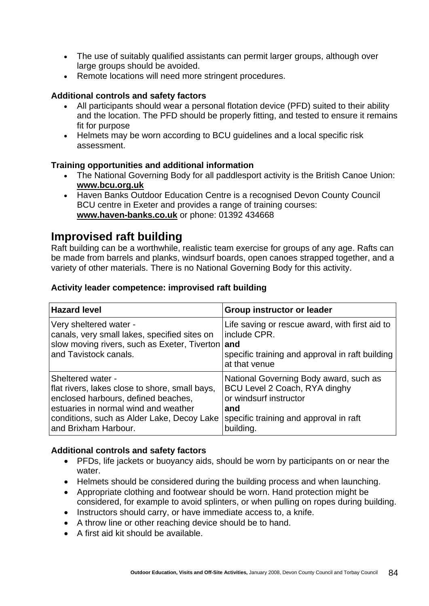- The use of suitably qualified assistants can permit larger groups, although over large groups should be avoided.
- Remote locations will need more stringent procedures.

#### **Additional controls and safety factors**

- All participants should wear a personal flotation device (PFD) suited to their ability and the location. The PFD should be properly fitting, and tested to ensure it remains fit for purpose
- Helmets may be worn according to BCU guidelines and a local specific risk assessment.

#### **Training opportunities and additional information**

- The National Governing Body for all paddlesport activity is the British Canoe Union: **[www.bcu.org.uk](http://www.bcu.org.uk/)**
- Haven Banks Outdoor Education Centre is a recognised Devon County Council BCU centre in Exeter and provides a range of training courses: **[www.haven-banks.co.uk](http://www.haven-banks.co.uk/)** or phone: 01392 434668

### **Improvised raft building**

Raft building can be a worthwhile, realistic team exercise for groups of any age. Rafts can be made from barrels and planks, windsurf boards, open canoes strapped together, and a variety of other materials. There is no National Governing Body for this activity.

#### **Activity leader competence: improvised raft building**

| <b>Hazard level</b>                              | Group instructor or leader                      |
|--------------------------------------------------|-------------------------------------------------|
| Very sheltered water -                           | Life saving or rescue award, with first aid to  |
| canals, very small lakes, specified sites on     | include CPR.                                    |
| slow moving rivers, such as Exeter, Tiverton and | specific training and approval in raft building |
| and Tavistock canals.                            | at that venue                                   |
| <b>Sheltered water -</b>                         | National Governing Body award, such as          |
| flat rivers, lakes close to shore, small bays,   | BCU Level 2 Coach, RYA dinghy                   |
| enclosed harbours, defined beaches,              | or windsurf instructor                          |
| estuaries in normal wind and weather             | and                                             |
| conditions, such as Alder Lake, Decoy Lake       | specific training and approval in raft          |
| and Brixham Harbour.                             | building.                                       |

#### **Additional controls and safety factors**

- PFDs, life jackets or buoyancy aids, should be worn by participants on or near the water.
- Helmets should be considered during the building process and when launching.
- Appropriate clothing and footwear should be worn. Hand protection might be considered, for example to avoid splinters, or when pulling on ropes during building.
- Instructors should carry, or have immediate access to, a knife.
- A throw line or other reaching device should be to hand.
- A first aid kit should be available.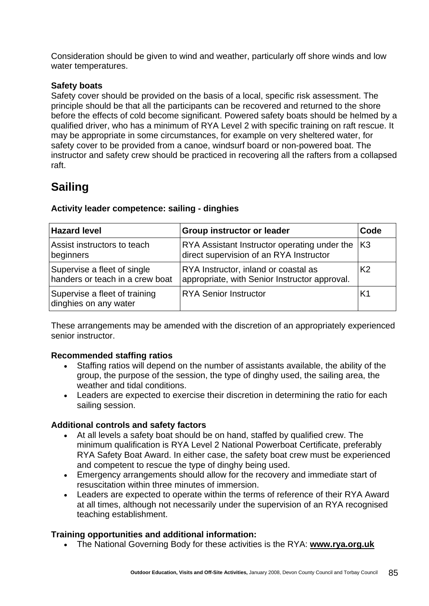Consideration should be given to wind and weather, particularly off shore winds and low water temperatures.

#### **Safety boats**

Safety cover should be provided on the basis of a local, specific risk assessment. The principle should be that all the participants can be recovered and returned to the shore before the effects of cold become significant. Powered safety boats should be helmed by a qualified driver, who has a minimum of RYA Level 2 with specific training on raft rescue. It may be appropriate in some circumstances, for example on very sheltered water, for safety cover to be provided from a canoe, windsurf board or non-powered boat. The instructor and safety crew should be practiced in recovering all the rafters from a collapsed raft.

# **Sailing**

| <b>Hazard level</b>                                            | <b>Group instructor or leader</b>                                                       | Code           |
|----------------------------------------------------------------|-----------------------------------------------------------------------------------------|----------------|
| Assist instructors to teach<br>beginners                       | RYA Assistant Instructor operating under the<br>direct supervision of an RYA Instructor | K3             |
| Supervise a fleet of single<br>handers or teach in a crew boat | RYA Instructor, inland or coastal as<br>appropriate, with Senior Instructor approval.   | K <sub>2</sub> |
| Supervise a fleet of training<br>dinghies on any water         | <b>RYA Senior Instructor</b>                                                            | K1             |

#### **Activity leader competence: sailing - dinghies**

These arrangements may be amended with the discretion of an appropriately experienced senior instructor.

#### **Recommended staffing ratios**

- Staffing ratios will depend on the number of assistants available, the ability of the group, the purpose of the session, the type of dinghy used, the sailing area, the weather and tidal conditions.
- Leaders are expected to exercise their discretion in determining the ratio for each sailing session.

#### **Additional controls and safety factors**

- At all levels a safety boat should be on hand, staffed by qualified crew. The minimum qualification is RYA Level 2 National Powerboat Certificate, preferably RYA Safety Boat Award. In either case, the safety boat crew must be experienced and competent to rescue the type of dinghy being used.
- Emergency arrangements should allow for the recovery and immediate start of resuscitation within three minutes of immersion.
- Leaders are expected to operate within the terms of reference of their RYA Award at all times, although not necessarily under the supervision of an RYA recognised teaching establishment.

#### **Training opportunities and additional information:**

• The National Governing Body for these activities is the RYA: **[www.rya.org.uk](http://www.rya.org.uk/)**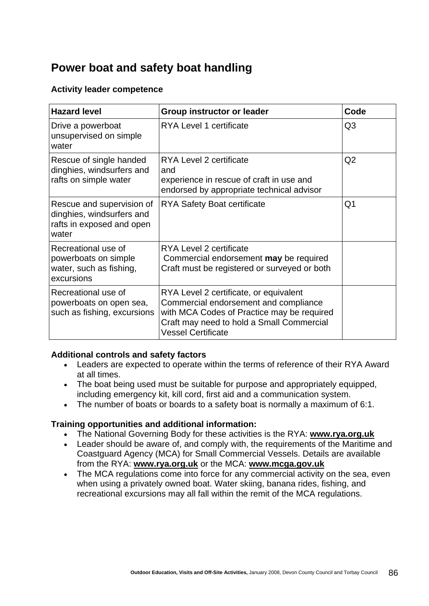# **Power boat and safety boat handling**

#### **Activity leader competence**

| <b>Hazard level</b>                                                                          | <b>Group instructor or leader</b>                                                                                                                                                                       | Code           |
|----------------------------------------------------------------------------------------------|---------------------------------------------------------------------------------------------------------------------------------------------------------------------------------------------------------|----------------|
| Drive a powerboat<br>unsupervised on simple<br>water                                         | RYA Level 1 certificate                                                                                                                                                                                 | Q <sub>3</sub> |
| Rescue of single handed<br>dinghies, windsurfers and<br>rafts on simple water                | RYA Level 2 certificate<br>and<br>experience in rescue of craft in use and<br>endorsed by appropriate technical advisor                                                                                 | Q2             |
| Rescue and supervision of<br>dinghies, windsurfers and<br>rafts in exposed and open<br>water | <b>RYA Safety Boat certificate</b>                                                                                                                                                                      | Q1             |
| Recreational use of<br>powerboats on simple<br>water, such as fishing,<br>excursions         | RYA Level 2 certificate<br>Commercial endorsement may be required<br>Craft must be registered or surveyed or both                                                                                       |                |
| Recreational use of<br>powerboats on open sea,<br>such as fishing, excursions                | RYA Level 2 certificate, or equivalent<br>Commercial endorsement and compliance<br>with MCA Codes of Practice may be required<br>Craft may need to hold a Small Commercial<br><b>Vessel Certificate</b> |                |

#### **Additional controls and safety factors**

- Leaders are expected to operate within the terms of reference of their RYA Award at all times.
- The boat being used must be suitable for purpose and appropriately equipped, including emergency kit, kill cord, first aid and a communication system.
- The number of boats or boards to a safety boat is normally a maximum of 6:1.

#### **Training opportunities and additional information:**

- The National Governing Body for these activities is the RYA: **[www.rya.org.uk](http://www.rya.org.uk/)**
- Leader should be aware of, and comply with, the requirements of the Maritime and Coastguard Agency (MCA) for Small Commercial Vessels. Details are available from the RYA: **[www.rya.org.uk](http://www.rya.org.uk/)** or the MCA: **[www.mcga.gov.uk](http://www.mcga.gov.uk/)**
- The MCA regulations come into force for any commercial activity on the sea, even when using a privately owned boat. Water skiing, banana rides, fishing, and recreational excursions may all fall within the remit of the MCA regulations.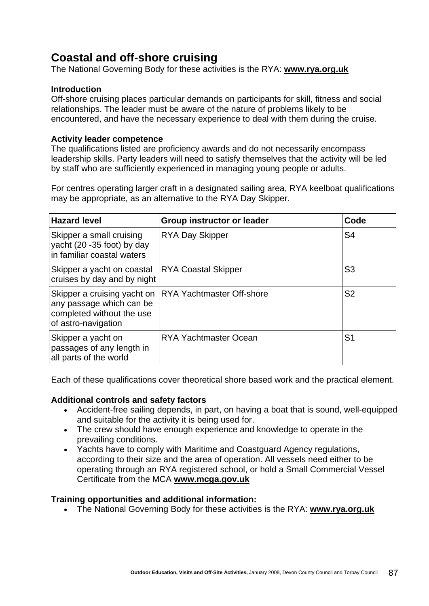# **Coastal and off-shore cruising**

The National Governing Body for these activities is the RYA: **[www.rya.org.uk](http://www.rya.org.uk/)**

#### **Introduction**

Off-shore cruising places particular demands on participants for skill, fitness and social relationships. The leader must be aware of the nature of problems likely to be encountered, and have the necessary experience to deal with them during the cruise.

#### **Activity leader competence**

The qualifications listed are proficiency awards and do not necessarily encompass leadership skills. Party leaders will need to satisfy themselves that the activity will be led by staff who are sufficiently experienced in managing young people or adults.

For centres operating larger craft in a designated sailing area, RYA keelboat qualifications may be appropriate, as an alternative to the RYA Day Skipper.

| <b>Hazard level</b>                                                                  | <b>Group instructor or leader</b>                       | Code           |
|--------------------------------------------------------------------------------------|---------------------------------------------------------|----------------|
| Skipper a small cruising<br>yacht (20 -35 foot) by day<br>in familiar coastal waters | <b>RYA Day Skipper</b>                                  | S <sub>4</sub> |
| Skipper a yacht on coastal<br>cruises by day and by night                            | <b>RYA Coastal Skipper</b>                              | S <sub>3</sub> |
| any passage which can be<br>completed without the use<br>of astro-navigation         | Skipper a cruising yacht on   RYA Yachtmaster Off-shore | S <sub>2</sub> |
| Skipper a yacht on<br>passages of any length in<br>all parts of the world            | <b>RYA Yachtmaster Ocean</b>                            | S <sub>1</sub> |

Each of these qualifications cover theoretical shore based work and the practical element.

#### **Additional controls and safety factors**

- Accident-free sailing depends, in part, on having a boat that is sound, well-equipped and suitable for the activity it is being used for.
- The crew should have enough experience and knowledge to operate in the prevailing conditions.
- Yachts have to comply with Maritime and Coastguard Agency regulations, according to their size and the area of operation. All vessels need either to be operating through an RYA registered school, or hold a Small Commercial Vessel Certificate from the MCA **[www.mcga.gov.uk](http://www.mqcga.gov.uk/)**

#### **Training opportunities and additional information:**

• The National Governing Body for these activities is the RYA: **[www.rya.org.uk](http://www.rya.org.uk/)**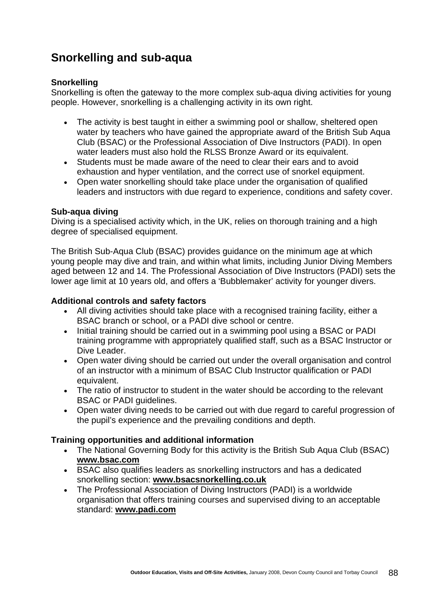# **Snorkelling and sub-aqua**

#### **Snorkelling**

Snorkelling is often the gateway to the more complex sub-aqua diving activities for young people. However, snorkelling is a challenging activity in its own right.

- The activity is best taught in either a swimming pool or shallow, sheltered open water by teachers who have gained the appropriate award of the British Sub Aqua Club (BSAC) or the Professional Association of Dive Instructors (PADI). In open water leaders must also hold the RLSS Bronze Award or its equivalent.
- Students must be made aware of the need to clear their ears and to avoid exhaustion and hyper ventilation, and the correct use of snorkel equipment.
- Open water snorkelling should take place under the organisation of qualified leaders and instructors with due regard to experience, conditions and safety cover.

#### **Sub-aqua diving**

Diving is a specialised activity which, in the UK, relies on thorough training and a high degree of specialised equipment.

The British Sub-Aqua Club (BSAC) provides guidance on the minimum age at which young people may dive and train, and within what limits, including Junior Diving Members aged between 12 and 14. The Professional Association of Dive Instructors (PADI) sets the lower age limit at 10 years old, and offers a 'Bubblemaker' activity for younger divers.

#### **Additional controls and safety factors**

- All diving activities should take place with a recognised training facility, either a BSAC branch or school, or a PADI dive school or centre.
- Initial training should be carried out in a swimming pool using a BSAC or PADI training programme with appropriately qualified staff, such as a BSAC Instructor or Dive Leader.
- Open water diving should be carried out under the overall organisation and control of an instructor with a minimum of BSAC Club Instructor qualification or PADI equivalent.
- The ratio of instructor to student in the water should be according to the relevant BSAC or PADI guidelines.
- Open water diving needs to be carried out with due regard to careful progression of the pupil's experience and the prevailing conditions and depth.

#### **Training opportunities and additional information**

- The National Governing Body for this activity is the British Sub Aqua Club (BSAC) **[www.bsac.com](http://www.bsac.com/)**
- BSAC also qualifies leaders as snorkelling instructors and has a dedicated snorkelling section: **[www.bsacsnorkelling.co.uk](http://www.bsacsnorkelling.co.uk/)**
- The Professional Association of Diving Instructors (PADI) is a worldwide organisation that offers training courses and supervised diving to an acceptable standard: **[www.padi.com](http://www.padi.com/)**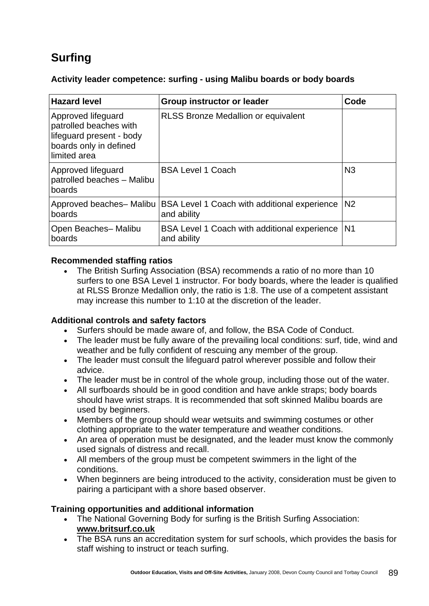# **Surfing**

#### **Activity leader competence: surfing - using Malibu boards or body boards**

| <b>Hazard level</b>                                                                                                 | <b>Group instructor or leader</b>                                  | Code           |
|---------------------------------------------------------------------------------------------------------------------|--------------------------------------------------------------------|----------------|
| Approved lifeguard<br>patrolled beaches with<br>lifeguard present - body<br>boards only in defined<br>llimited area | <b>RLSS Bronze Medallion or equivalent</b>                         |                |
| Approved lifeguard<br>patrolled beaches - Malibu<br>boards                                                          | <b>BSA Level 1 Coach</b>                                           | N <sub>3</sub> |
| Approved beaches- Malibu<br>boards                                                                                  | BSA Level 1 Coach with additional experience<br>and ability        | N <sub>2</sub> |
| Open Beaches- Malibu<br>boards                                                                                      | <b>BSA Level 1 Coach with additional experience</b><br>and ability | N <sub>1</sub> |

#### **Recommended staffing ratios**

• The British Surfing Association (BSA) recommends a ratio of no more than 10 surfers to one BSA Level 1 instructor. For body boards, where the leader is qualified at RLSS Bronze Medallion only, the ratio is 1:8. The use of a competent assistant may increase this number to 1:10 at the discretion of the leader.

#### **Additional controls and safety factors**

- Surfers should be made aware of, and follow, the BSA Code of Conduct.
- The leader must be fully aware of the prevailing local conditions: surf, tide, wind and weather and be fully confident of rescuing any member of the group.
- The leader must consult the lifeguard patrol wherever possible and follow their advice.
- The leader must be in control of the whole group, including those out of the water.
- All surfboards should be in good condition and have ankle straps; body boards should have wrist straps. It is recommended that soft skinned Malibu boards are used by beginners.
- Members of the group should wear wetsuits and swimming costumes or other clothing appropriate to the water temperature and weather conditions.
- An area of operation must be designated, and the leader must know the commonly used signals of distress and recall.
- All members of the group must be competent swimmers in the light of the conditions.
- When beginners are being introduced to the activity, consideration must be given to pairing a participant with a shore based observer.

#### **Training opportunities and additional information**

- The National Governing Body for surfing is the British Surfing Association: **[www.britsurf.co.uk](http://www.britsurf.co.uk/)**
- The BSA runs an accreditation system for surf schools, which provides the basis for staff wishing to instruct or teach surfing.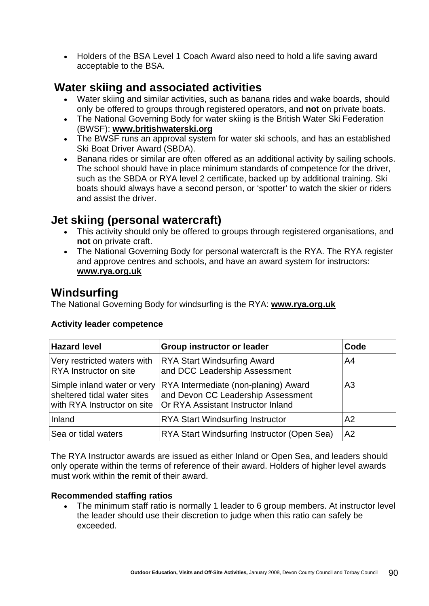• Holders of the BSA Level 1 Coach Award also need to hold a life saving award acceptable to the BSA.

# **Water skiing and associated activities**

- Water skiing and similar activities, such as banana rides and wake boards, should only be offered to groups through registered operators, and **not** on private boats.
- The National Governing Body for water skiing is the British Water Ski Federation (BWSF): **[www.britishwaterski.org](http://www.britishwaterski.org/)**
- The BWSF runs an approval system for water ski schools, and has an established Ski Boat Driver Award (SBDA).
- Banana rides or similar are often offered as an additional activity by sailing schools. The school should have in place minimum standards of competence for the driver, such as the SBDA or RYA level 2 certificate, backed up by additional training. Ski boats should always have a second person, or 'spotter' to watch the skier or riders and assist the driver.

# **Jet skiing (personal watercraft)**

- This activity should only be offered to groups through registered organisations, and **not** on private craft.
- The National Governing Body for personal watercraft is the RYA. The RYA register and approve centres and schools, and have an award system for instructors: **[www.rya.org.uk](http://www.rya.org.uk/)**

# **Windsurfing**

The National Governing Body for windsurfing is the RYA: **[www.rya.org.uk](http://www.rya.org.uk/)**

| <b>Hazard level</b>                                                                       | <b>Group instructor or leader</b>                                                                                | Code           |
|-------------------------------------------------------------------------------------------|------------------------------------------------------------------------------------------------------------------|----------------|
| Very restricted waters with<br><b>RYA</b> Instructor on site                              | <b>RYA Start Windsurfing Award</b><br>and DCC Leadership Assessment                                              | A4             |
| Simple inland water or very<br>sheltered tidal water sites<br>with RYA Instructor on site | RYA Intermediate (non-planing) Award<br>and Devon CC Leadership Assessment<br>Or RYA Assistant Instructor Inland | A <sub>3</sub> |
| Inland                                                                                    | <b>RYA Start Windsurfing Instructor</b>                                                                          | A <sub>2</sub> |
| Sea or tidal waters                                                                       | RYA Start Windsurfing Instructor (Open Sea)                                                                      | A2             |

### **Activity leader competence**

The RYA Instructor awards are issued as either Inland or Open Sea, and leaders should only operate within the terms of reference of their award. Holders of higher level awards must work within the remit of their award.

#### **Recommended staffing ratios**

• The minimum staff ratio is normally 1 leader to 6 group members. At instructor level the leader should use their discretion to judge when this ratio can safely be exceeded.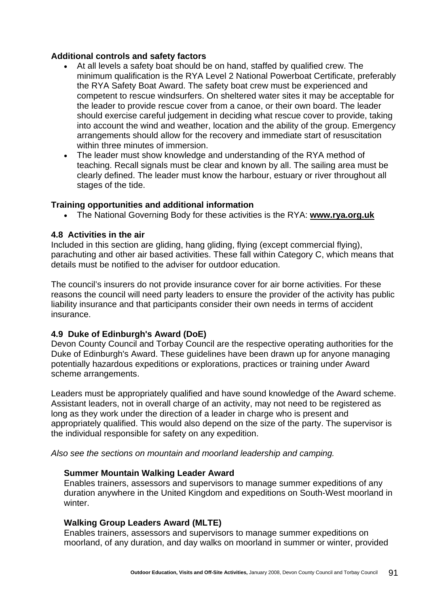#### **Additional controls and safety factors**

- At all levels a safety boat should be on hand, staffed by qualified crew. The minimum qualification is the RYA Level 2 National Powerboat Certificate, preferably the RYA Safety Boat Award. The safety boat crew must be experienced and competent to rescue windsurfers. On sheltered water sites it may be acceptable for the leader to provide rescue cover from a canoe, or their own board. The leader should exercise careful judgement in deciding what rescue cover to provide, taking into account the wind and weather, location and the ability of the group. Emergency arrangements should allow for the recovery and immediate start of resuscitation within three minutes of immersion.
- The leader must show knowledge and understanding of the RYA method of teaching. Recall signals must be clear and known by all. The sailing area must be clearly defined. The leader must know the harbour, estuary or river throughout all stages of the tide.

#### **Training opportunities and additional information**

• The National Governing Body for these activities is the RYA: **[www.rya.org.uk](http://www.rya.org.uk/)**

#### **4.8 Activities in the air**

Included in this section are gliding, hang gliding, flying (except commercial flying), parachuting and other air based activities. These fall within Category C, which means that details must be notified to the adviser for outdoor education.

The council's insurers do not provide insurance cover for air borne activities. For these reasons the council will need party leaders to ensure the provider of the activity has public liability insurance and that participants consider their own needs in terms of accident insurance.

#### **4.9 Duke of Edinburgh's Award (DoE)**

Devon County Council and Torbay Council are the respective operating authorities for the Duke of Edinburgh's Award. These guidelines have been drawn up for anyone managing potentially hazardous expeditions or explorations, practices or training under Award scheme arrangements.

Leaders must be appropriately qualified and have sound knowledge of the Award scheme. Assistant leaders, not in overall charge of an activity, may not need to be registered as long as they work under the direction of a leader in charge who is present and appropriately qualified. This would also depend on the size of the party. The supervisor is the individual responsible for safety on any expedition.

*Also see the sections on mountain and moorland leadership and camping.*

#### **Summer Mountain Walking Leader Award**

Enables trainers, assessors and supervisors to manage summer expeditions of any duration anywhere in the United Kingdom and expeditions on South-West moorland in winter.

#### **Walking Group Leaders Award (MLTE)**

Enables trainers, assessors and supervisors to manage summer expeditions on moorland, of any duration, and day walks on moorland in summer or winter, provided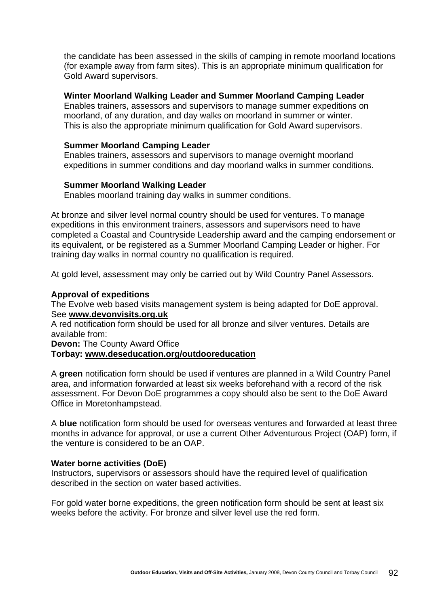the candidate has been assessed in the skills of camping in remote moorland locations (for example away from farm sites). This is an appropriate minimum qualification for Gold Award supervisors.

#### **Winter Moorland Walking Leader and Summer Moorland Camping Leader**

Enables trainers, assessors and supervisors to manage summer expeditions on moorland, of any duration, and day walks on moorland in summer or winter. This is also the appropriate minimum qualification for Gold Award supervisors.

#### **Summer Moorland Camping Leader**

Enables trainers, assessors and supervisors to manage overnight moorland expeditions in summer conditions and day moorland walks in summer conditions.

#### **Summer Moorland Walking Leader**

Enables moorland training day walks in summer conditions.

At bronze and silver level normal country should be used for ventures. To manage expeditions in this environment trainers, assessors and supervisors need to have completed a Coastal and Countryside Leadership award and the camping endorsement or its equivalent, or be registered as a Summer Moorland Camping Leader or higher. For training day walks in normal country no qualification is required.

At gold level, assessment may only be carried out by Wild Country Panel Assessors.

#### **Approval of expeditions**

The Evolve web based visits management system is being adapted for DoE approval. See **[www.devonvisits.org.uk](http://www.devonvisits.org.uk/)**

A red notification form should be used for all bronze and silver ventures. Details are available from:

**Devon: The County Award Office** 

#### **Torbay: [www.deseducation.org/outdooreducation](http://www.deseducation.org/outdooreducation)**

A **green** notification form should be used if ventures are planned in a Wild Country Panel area, and information forwarded at least six weeks beforehand with a record of the risk assessment. For Devon DoE programmes a copy should also be sent to the DoE Award Office in Moretonhampstead.

A **blue** notification form should be used for overseas ventures and forwarded at least three months in advance for approval, or use a current Other Adventurous Project (OAP) form, if the venture is considered to be an OAP.

#### **Water borne activities (DoE)**

Instructors, supervisors or assessors should have the required level of qualification described in the section on water based activities.

For gold water borne expeditions, the green notification form should be sent at least six weeks before the activity. For bronze and silver level use the red form.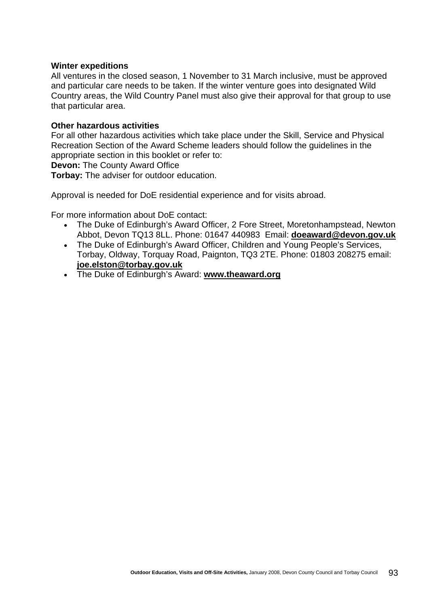#### **Winter expeditions**

All ventures in the closed season, 1 November to 31 March inclusive, must be approved and particular care needs to be taken. If the winter venture goes into designated Wild Country areas, the Wild Country Panel must also give their approval for that group to use that particular area.

#### **Other hazardous activities**

For all other hazardous activities which take place under the Skill, Service and Physical Recreation Section of the Award Scheme leaders should follow the guidelines in the appropriate section in this booklet or refer to:

**Devon: The County Award Office** 

**Torbay:** The adviser for outdoor education.

Approval is needed for DoE residential experience and for visits abroad.

For more information about DoE contact:

- The Duke of Edinburgh's Award Officer, 2 Fore Street, Moretonhampstead, Newton Abbot, Devon TQ13 8LL. Phone: 01647 440983 Email: **[doeaward@devon.gov.uk](mailto:doeaward@devon.gov.uk)**
- The Duke of Edinburgh's Award Officer, Children and Young People's Services, Torbay, Oldway, Torquay Road, Paignton, TQ3 2TE. Phone: 01803 208275 email: **[joe.elston@torbay.gov.uk](mailto:joe.elston@torbay.gov.uk)**
- The Duke of Edinburgh's Award: **[www.theaward.org](http://www.theaward.org/)**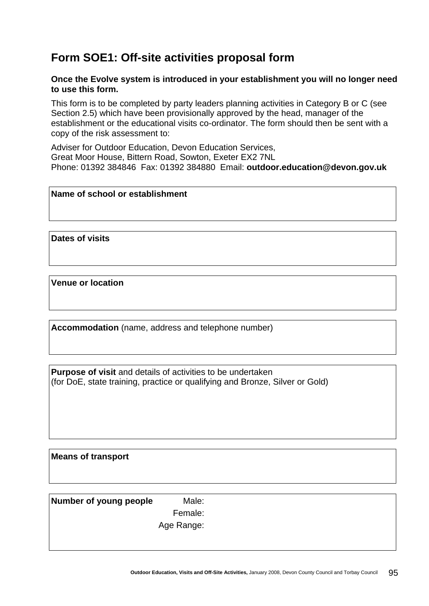# **Form SOE1: Off-site activities proposal form**

#### **Once the Evolve system is introduced in your establishment you will no longer need to use this form.**

This form is to be completed by party leaders planning activities in Category B or C (see Section 2.5) which have been provisionally approved by the head, manager of the establishment or the educational visits co-ordinator. The form should then be sent with a copy of the risk assessment to:

Adviser for Outdoor Education, Devon Education Services, Great Moor House, Bittern Road, Sowton, Exeter EX2 7NL Phone: 01392 384846 Fax: 01392 384880 Email: **[outdoor.education@devon.gov.uk](mailto:bryan.smith@devon.gov.uk)**

#### **Name of school or establishment**

**Dates of visits** 

**Venue or location** 

**Accommodation** (name, address and telephone number)

**Purpose of visit** and details of activities to be undertaken (for DoE, state training, practice or qualifying and Bronze, Silver or Gold)

**Means of transport** 

**Number of young people** Male:

Female:

Age Range: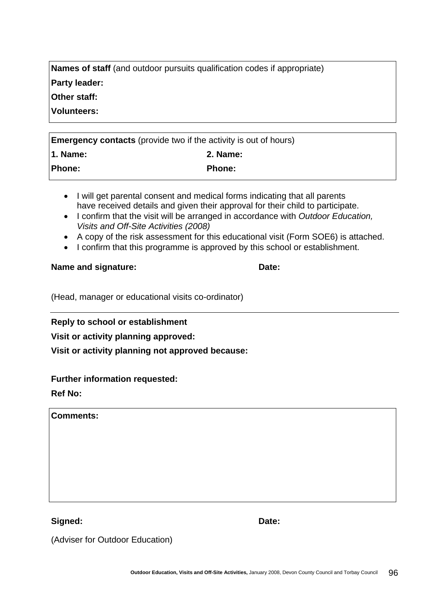| <b>Outdoor Education, Visits and Off-Site Activities, January 2008. Devon County Council and Torbay Council</b> | -96 |
|-----------------------------------------------------------------------------------------------------------------|-----|
|                                                                                                                 |     |

| Signed: | Date: |
|---------|-------|
|---------|-------|

# **Further information requested:**

(Adviser for Outdoor Education)

**Ref No:** 

**Comments:** 

**Reply to school or establishment** 

**Visit or activity planning approved:** 

**Visit or activity planning not approved because:** 

(Head, manager or educational visits co-ordinator)

**1. Name: 2. Name:**  Phone: **Phone:** Phone:

**Name and signature:** Date:

- I will get parental consent and medical forms indicating that all parents have received details and given their approval for their child to participate.
- I confirm that the visit will be arranged in accordance with *Outdoor Education,*
- *Visits and Off-Site Activities (2008)*
- A copy of the risk assessment for this educational visit (Form SOE6) is attached.
- I confirm that this programme is approved by this school or establishment.

**Other staff: Volunteers: Emergency contacts** (provide two if the activity is out of hours)

**Names of staff** (and outdoor pursuits qualification codes if appropriate)

**Party leader:**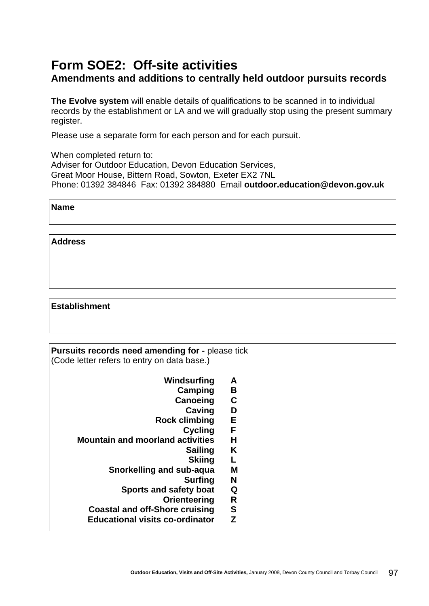# **Form SOE2: Off-site activities Amendments and additions to centrally held outdoor pursuits records**

**The Evolve system** will enable details of qualifications to be scanned in to individual records by the establishment or LA and we will gradually stop using the present summary register.

Please use a separate form for each person and for each pursuit.

When completed return to: Adviser for Outdoor Education, Devon Education Services, Great Moor House, Bittern Road, Sowton, Exeter EX2 7NL Phone: 01392 384846 Fax: 01392 384880 Email **[outdoor.education@devon.gov.uk](mailto:brsmith@dial.devon.gov.uk)**

| Name |  |
|------|--|
|      |  |

**Address** 

#### **Establishment**

**Pursuits records need amending for - please tick** (Code letter refers to entry on data base.)

- **Windsurfing A** 
	- **Camping B**
	- **Canoeing C**
	- **Caving D**
- **Rock climbing E** 
	- **Cycling F**
- **Mountain and moorland activities H** 
	- **Sailing K** 
		- **Skiing L**
	- **Snorkelling and sub-aqua M** 
		- **Surfing N**
		- **Sports and safety boat Q** 
			- **Orienteering R**
	- **Coastal and off-Shore cruising S**
	- **Educational visits co-ordinator Z**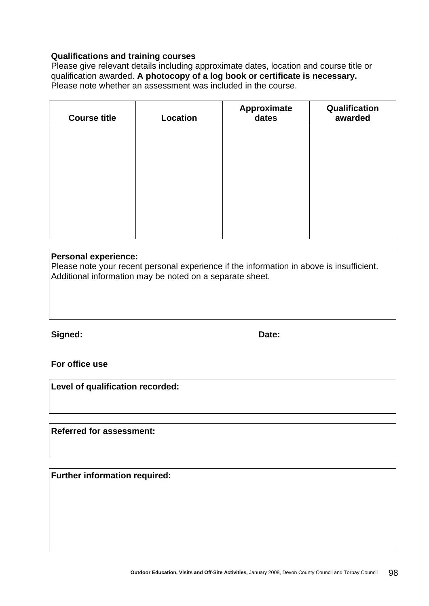#### **Qualifications and training courses**

Please give relevant details including approximate dates, location and course title or qualification awarded. **A photocopy of a log book or certificate is necessary.**  Please note whether an assessment was included in the course.

| <b>Course title</b> | <b>Location</b> | Approximate<br>dates | Qualification<br>awarded |
|---------------------|-----------------|----------------------|--------------------------|
|                     |                 |                      |                          |
|                     |                 |                      |                          |
|                     |                 |                      |                          |
|                     |                 |                      |                          |
|                     |                 |                      |                          |

#### **Personal experience:**

Please note your recent personal experience if the information in above is insufficient. Additional information may be noted on a separate sheet.

Signed: **Date: Date: Date: Date:** 

**For office use** 

**Level of qualification recorded:** 

**Referred for assessment:** 

**Further information required:**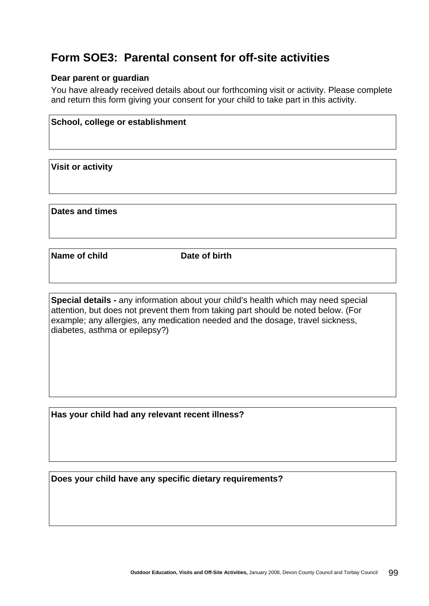# **Form SOE3: Parental consent for off-site activities**

#### **Dear parent or guardian**

You have already received details about our forthcoming visit or activity. Please complete and return this form giving your consent for your child to take part in this activity.

| School, college or establishment |  |
|----------------------------------|--|
|                                  |  |
| <b>Visit or activity</b>         |  |
|                                  |  |

**Dates and times** 

**Name of child Compare 10 Date of birth** 

**Special details -** any information about your child's health which may need special attention, but does not prevent them from taking part should be noted below. (For example; any allergies, any medication needed and the dosage, travel sickness, diabetes, asthma or epilepsy?)

**Has your child had any relevant recent illness?** 

**Does your child have any specific dietary requirements?**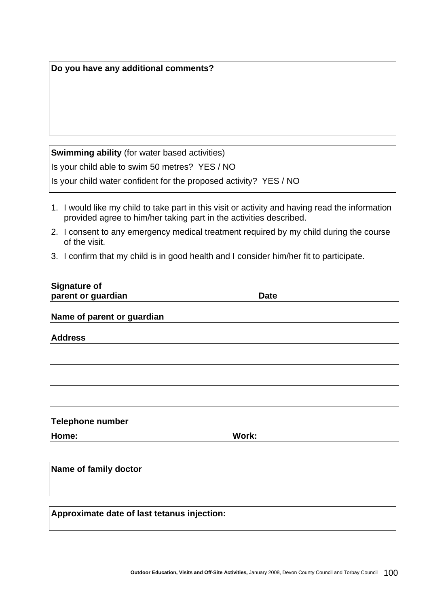| <b>Swimming ability (for water based activities)</b>                                                                                                                  |
|-----------------------------------------------------------------------------------------------------------------------------------------------------------------------|
| Is your child able to swim 50 metres? YES / NO                                                                                                                        |
| Is your child water confident for the proposed activity? YES / NO                                                                                                     |
| 1. I would like my child to take part in this visit or activity and having read the information<br>provided agree to him/her taking part in the activities described. |
| 2. I consent to any emergency medical treatment required by my child during the course<br>of the visit.                                                               |
| 3. I confirm that my child is in good health and I consider him/her fit to participate.                                                                               |
| <b>Signature of</b><br>parent or guardian<br><b>Date</b>                                                                                                              |
| Name of parent or guardian                                                                                                                                            |
|                                                                                                                                                                       |
| <b>Address</b>                                                                                                                                                        |
|                                                                                                                                                                       |
|                                                                                                                                                                       |
|                                                                                                                                                                       |
| <b>Telephone number</b>                                                                                                                                               |
| Home:<br><b>Work:</b>                                                                                                                                                 |
| Name of family doctor                                                                                                                                                 |
|                                                                                                                                                                       |

**Do you have any additional comments?**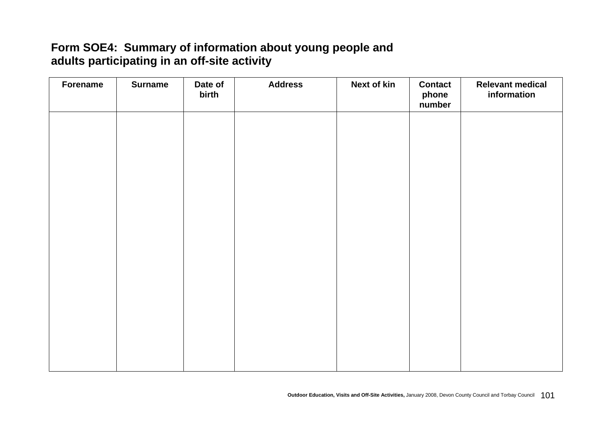# **Form SOE4: Summary of information about young people and adults participating in an off-site activity**

| Forename | <b>Surname</b> | Date of<br>birth | <b>Address</b> | <b>Next of kin</b> | <b>Contact</b><br>phone<br>number | <b>Relevant medical</b><br>information |
|----------|----------------|------------------|----------------|--------------------|-----------------------------------|----------------------------------------|
|          |                |                  |                |                    |                                   |                                        |
|          |                |                  |                |                    |                                   |                                        |
|          |                |                  |                |                    |                                   |                                        |
|          |                |                  |                |                    |                                   |                                        |
|          |                |                  |                |                    |                                   |                                        |
|          |                |                  |                |                    |                                   |                                        |
|          |                |                  |                |                    |                                   |                                        |
|          |                |                  |                |                    |                                   |                                        |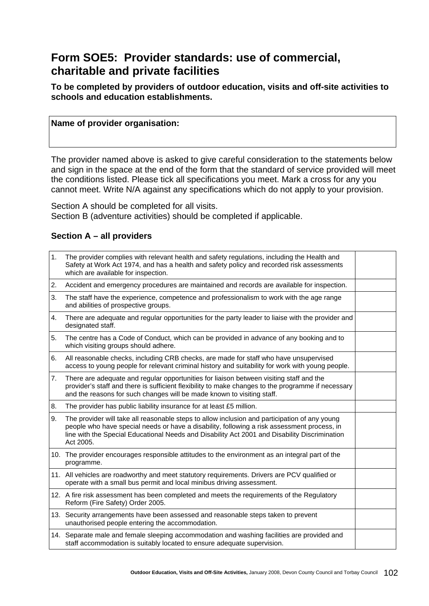### **Form SOE5: Provider standards: use of commercial, charitable and private facilities**

**To be completed by providers of outdoor education, visits and off-site activities to schools and education establishments.** 

#### **Name of provider organisation:**

The provider named above is asked to give careful consideration to the statements below and sign in the space at the end of the form that the standard of service provided will meet the conditions listed. Please tick all specifications you meet. Mark a cross for any you cannot meet. Write N/A against any specifications which do not apply to your provision.

Section A should be completed for all visits. Section B (adventure activities) should be completed if applicable.

#### **Section A – all providers**

| 1. | The provider complies with relevant health and safety regulations, including the Health and<br>Safety at Work Act 1974, and has a health and safety policy and recorded risk assessments<br>which are available for inspection.                                                                            |  |
|----|------------------------------------------------------------------------------------------------------------------------------------------------------------------------------------------------------------------------------------------------------------------------------------------------------------|--|
| 2. | Accident and emergency procedures are maintained and records are available for inspection.                                                                                                                                                                                                                 |  |
| 3. | The staff have the experience, competence and professionalism to work with the age range<br>and abilities of prospective groups.                                                                                                                                                                           |  |
| 4. | There are adequate and regular opportunities for the party leader to liaise with the provider and<br>designated staff.                                                                                                                                                                                     |  |
| 5. | The centre has a Code of Conduct, which can be provided in advance of any booking and to<br>which visiting groups should adhere.                                                                                                                                                                           |  |
| 6. | All reasonable checks, including CRB checks, are made for staff who have unsupervised<br>access to young people for relevant criminal history and suitability for work with young people.                                                                                                                  |  |
| 7. | There are adequate and regular opportunities for liaison between visiting staff and the<br>provider's staff and there is sufficient flexibility to make changes to the programme if necessary<br>and the reasons for such changes will be made known to visiting staff.                                    |  |
| 8. | The provider has public liability insurance for at least £5 million.                                                                                                                                                                                                                                       |  |
| 9. | The provider will take all reasonable steps to allow inclusion and participation of any young<br>people who have special needs or have a disability, following a risk assessment process, in<br>line with the Special Educational Needs and Disability Act 2001 and Disability Discrimination<br>Act 2005. |  |
|    | 10. The provider encourages responsible attitudes to the environment as an integral part of the<br>programme.                                                                                                                                                                                              |  |
|    | 11. All vehicles are roadworthy and meet statutory requirements. Drivers are PCV qualified or<br>operate with a small bus permit and local minibus driving assessment.                                                                                                                                     |  |
|    | 12. A fire risk assessment has been completed and meets the requirements of the Regulatory<br>Reform (Fire Safety) Order 2005.                                                                                                                                                                             |  |
|    | 13. Security arrangements have been assessed and reasonable steps taken to prevent<br>unauthorised people entering the accommodation.                                                                                                                                                                      |  |
|    | 14. Separate male and female sleeping accommodation and washing facilities are provided and<br>staff accommodation is suitably located to ensure adequate supervision.                                                                                                                                     |  |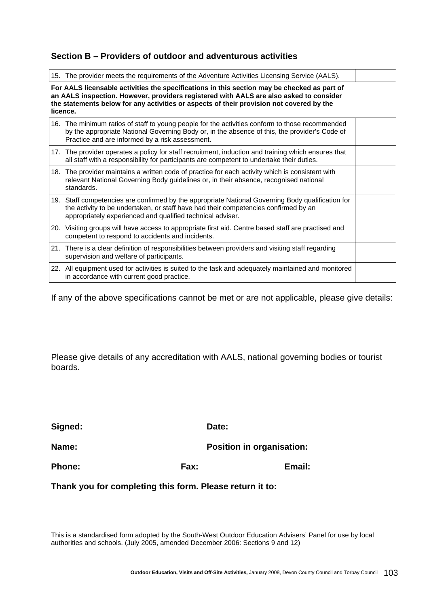#### **Section B – Providers of outdoor and adventurous activities**

15. The provider meets the requirements of the Adventure Activities Licensing Service (AALS).

**For AALS licensable activities the specifications in this section may be checked as part of an AALS inspection. However, providers registered with AALS are also asked to consider the statements below for any activities or aspects of their provision not covered by the licence.** 

| 16. The minimum ratios of staff to young people for the activities conform to those recommended<br>by the appropriate National Governing Body or, in the absence of this, the provider's Code of<br>Practice and are informed by a risk assessment.    |  |
|--------------------------------------------------------------------------------------------------------------------------------------------------------------------------------------------------------------------------------------------------------|--|
| 17. The provider operates a policy for staff recruitment, induction and training which ensures that<br>all staff with a responsibility for participants are competent to undertake their duties.                                                       |  |
| 18. The provider maintains a written code of practice for each activity which is consistent with<br>relevant National Governing Body guidelines or, in their absence, recognised national<br>standards.                                                |  |
| 19. Staff competencies are confirmed by the appropriate National Governing Body qualification for<br>the activity to be undertaken, or staff have had their competencies confirmed by an<br>appropriately experienced and qualified technical adviser. |  |
| 20. Visiting groups will have access to appropriate first aid. Centre based staff are practised and<br>competent to respond to accidents and incidents.                                                                                                |  |
| 21. There is a clear definition of responsibilities between providers and visiting staff regarding<br>supervision and welfare of participants.                                                                                                         |  |
| 22. All equipment used for activities is suited to the task and adequately maintained and monitored<br>in accordance with current good practice.                                                                                                       |  |

If any of the above specifications cannot be met or are not applicable, please give details:

Please give details of any accreditation with AALS, national governing bodies or tourist boards.

| Signed:       |      | Date:                            |
|---------------|------|----------------------------------|
| Name:         |      | <b>Position in organisation:</b> |
| <b>Phone:</b> | Fax: | Email:                           |

**Thank you for completing this form. Please return it to:** 

This is a standardised form adopted by the South-West Outdoor Education Advisers' Panel for use by local authorities and schools. (July 2005, amended December 2006: Sections 9 and 12)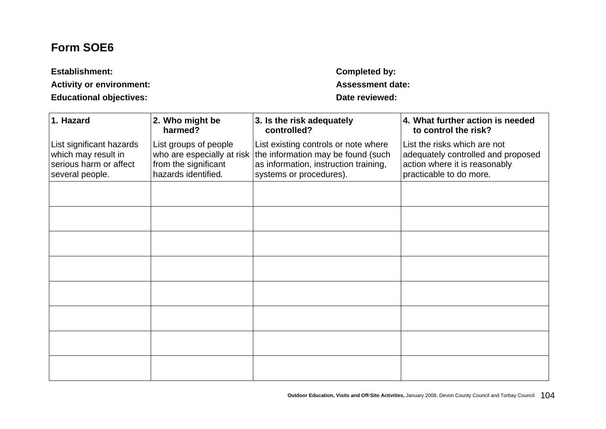# **Form SOE6**

| <b>Establishment:</b>           | Completed by:        |
|---------------------------------|----------------------|
| <b>Activity or environment:</b> | <b>Assessment da</b> |
| <b>Educational objectives:</b>  | Date reviewed:       |

**Completed by: Activity or environment: Assessment date:** 

| 1. Hazard                                                                                    | 2. Who might be<br>harmed?                                                                         | 3. Is the risk adequately<br>controlled?                                                                                                       | 4. What further action is needed<br>to control the risk?                                                                       |
|----------------------------------------------------------------------------------------------|----------------------------------------------------------------------------------------------------|------------------------------------------------------------------------------------------------------------------------------------------------|--------------------------------------------------------------------------------------------------------------------------------|
| List significant hazards<br>which may result in<br>serious harm or affect<br>several people. | List groups of people<br>who are especially at risk<br>from the significant<br>hazards identified. | List existing controls or note where<br>the information may be found (such<br>as information, instruction training,<br>systems or procedures). | List the risks which are not<br>adequately controlled and proposed<br>action where it is reasonably<br>practicable to do more. |
|                                                                                              |                                                                                                    |                                                                                                                                                |                                                                                                                                |
|                                                                                              |                                                                                                    |                                                                                                                                                |                                                                                                                                |
|                                                                                              |                                                                                                    |                                                                                                                                                |                                                                                                                                |
|                                                                                              |                                                                                                    |                                                                                                                                                |                                                                                                                                |
|                                                                                              |                                                                                                    |                                                                                                                                                |                                                                                                                                |
|                                                                                              |                                                                                                    |                                                                                                                                                |                                                                                                                                |
|                                                                                              |                                                                                                    |                                                                                                                                                |                                                                                                                                |
|                                                                                              |                                                                                                    |                                                                                                                                                |                                                                                                                                |